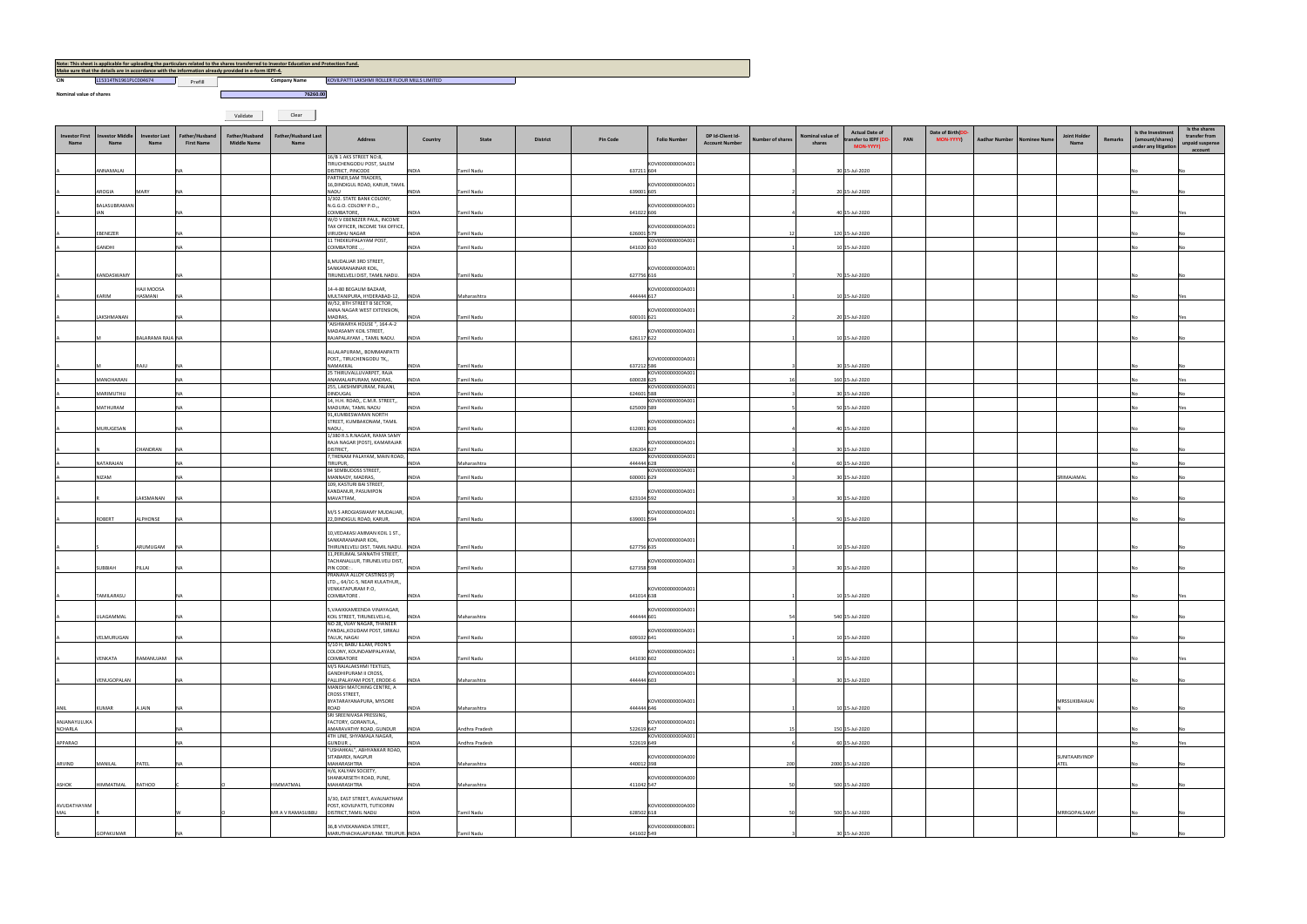**Nominal value of shares**

**CIN COMPANY L15314TN1961PLC004674 COMPANY Prefill COMPANY PROPERTY** A REPORT TO THE PROPERTY OF THE RESERVE OF THE RESERVE OF THE PROPERTY OF THE PROPERTY OF THE PROPERTY OF THE PROPERTY OF THE PROPERTY OF THE PROPERTY OF THE PROPERTY OF THE PROPERTY OF THE PROPERTY OF THE PROPERTY OF THE *<u>Property and the contract of the contract of the contract of the contract of the contract of the contract of the contract of the contract of the contract of the contract of the contract of the contract of the contract o*</u>

Validate Clear

|                                                                                                      |                       |         | Note: This sheet is applicable for uploading the particulars related to the shares transferred to Investor Education and Protection Fund. |                      |  |  |  |  |  |  |  |  |  |
|------------------------------------------------------------------------------------------------------|-----------------------|---------|-------------------------------------------------------------------------------------------------------------------------------------------|----------------------|--|--|--|--|--|--|--|--|--|
| Make sure that the details are in accordance with the information already provided in e-form IEPF-4. |                       |         |                                                                                                                                           |                      |  |  |  |  |  |  |  |  |  |
| CIN                                                                                                  | L15314TN1961PLC004674 | Prefill | <b>Company Name</b>                                                                                                                       | <b>KOVILPATTI LA</b> |  |  |  |  |  |  |  |  |  |

| <b>Investor First</b><br>Name  | <b>nvestor Middle</b><br>Name | <b>Investor Last</b><br>Name | Father/Husband<br><b>First Name</b> | Father/Husband<br><b>Middle Name</b> | <b>Father/Husband Last</b><br>Name | Address                                                                                       | Country               | State                    | <b>District</b> | <b>Pin Code</b>          | <b>Folio Number</b>                    | DP Id-Client Id-<br><b>Account Number</b> | <b>Number of shares</b> | <b>Actual Date of</b><br>Nominal value o<br>ransfer to IEPF (D)<br>shares<br><b>MON-YYYY)</b> | PAN | Date of Birth(DD<br><b>MON-YYYY)</b> | <b>Aadhar Number</b> | <b>Nominee Name</b> | Joint Holde<br>Name | Remarks | Is the Investment<br>(amount/shares)<br>under any litigation | Is the shares<br>transfer from<br>unpaid suspense<br>account |
|--------------------------------|-------------------------------|------------------------------|-------------------------------------|--------------------------------------|------------------------------------|-----------------------------------------------------------------------------------------------|-----------------------|--------------------------|-----------------|--------------------------|----------------------------------------|-------------------------------------------|-------------------------|-----------------------------------------------------------------------------------------------|-----|--------------------------------------|----------------------|---------------------|---------------------|---------|--------------------------------------------------------------|--------------------------------------------------------------|
|                                | ANNAMALAI                     |                              |                                     |                                      |                                    | 16/B 1 AKS STREET NO:8,<br>TIRUCHENGODU POST, SALEM<br>DISTRICT, PINCODE                      | <b>INDIA</b>          | Tamil Nadu               |                 | 637211 604               | KOVI000000000A001                      |                                           |                         | 30 15-Jul-2020                                                                                |     |                                      |                      |                     |                     |         |                                                              |                                                              |
|                                |                               |                              |                                     |                                      |                                    | PARTNER, SAM TRADERS,<br>16, DINDIGUL ROAD, KARUR, TAMIL                                      |                       |                          |                 |                          | KOVI000000000A001                      |                                           |                         |                                                                                               |     |                                      |                      |                     |                     |         |                                                              |                                                              |
|                                | AROGIA<br>BALASUBRAMAN        | MARY                         |                                     |                                      |                                    | NADU<br>3/302. STATE BANK COLONY,<br>N.G.G.O. COLONY P.O.,,                                   | <b>INDIA</b>          | <b>Tamil Nadu</b>        |                 | 639001 605               | KOVI000000000A001                      |                                           |                         | 20 15-Jul-2020                                                                                |     |                                      |                      |                     |                     |         |                                                              |                                                              |
|                                | <b>IAN</b>                    |                              |                                     |                                      |                                    | COIMBATORE,<br>W/O V EBENEZER PAUL, INCOME<br>TAX OFFICER, INCOME TAX OFFICE,                 | <b>INDIA</b>          | Tamil Nadu               |                 | 641022 606               | KOVI000000000A001                      |                                           |                         | 40 15-Jul-2020                                                                                |     |                                      |                      |                     |                     |         |                                                              |                                                              |
|                                | EBENEZER                      |                              |                                     |                                      |                                    | VIRUDHU NAGAR<br>11 THEKKUPALAYAM POST,                                                       | <b>INDIA</b>          | Tamil Nadu               |                 | 626001 579               | KOVI000000000A001                      |                                           |                         | 120 15-Jul-2020                                                                               |     |                                      |                      |                     |                     |         |                                                              |                                                              |
|                                | GANDHI                        |                              |                                     |                                      |                                    | COIMBATORE.<br>8, MUDALIAR 3RD STREET,                                                        | <b>INDIA</b>          | Tamil Nadu               |                 | 641020 610               |                                        |                                           |                         | 10 15-Jul-2020                                                                                |     |                                      |                      |                     |                     |         |                                                              |                                                              |
|                                | KANDASWAMY                    |                              |                                     |                                      |                                    | SANKARANAINAR KOIL,<br>TIRUNELVELI DIST, TAMIL NADU.  INDIA                                   |                       | Tamil Nadu               |                 | 627756 616               | KOVI000000000A001                      |                                           |                         | 70 15-Jul-2020                                                                                |     |                                      |                      |                     |                     |         |                                                              |                                                              |
|                                | KARIM                         | A2OOM ILAH<br>IASMANI        |                                     |                                      |                                    | 14-4-80 BEGAUM BAZAAR,<br>MULTANIPURA, HYDERABAD-12,<br>W/52, 8TH STREET B SECTOR,            | <b>INDIA</b>          | Maharashtra              |                 | 444444 617               | KOVI000000000A001                      |                                           |                         | 10 15-Jul-2020                                                                                |     |                                      |                      |                     |                     |         |                                                              |                                                              |
|                                | LAKSHMANAN                    |                              | NA                                  |                                      |                                    | ANNA NAGAR WEST EXTENSION,<br>MADRAS,                                                         | <b>INDIA</b>          | Tamil Nadu               |                 | 600101 621               | KOVI000000000A001                      |                                           |                         | 20 15-Jul-2020                                                                                |     |                                      |                      |                     |                     |         | <b>No</b>                                                    |                                                              |
|                                |                               | BALARAMA RAJA NA             |                                     |                                      |                                    | "AISHWARYA HOUSE ", 164-A-2<br>MADASAMY KOIL STREET,<br>RAJAPALAYAM ., TAMIL NADU.            | <b>INDIA</b>          | Tamil Nadu               |                 | 626117 622               | KOVI000000000A001                      |                                           |                         | 10 15-Jul-2020                                                                                |     |                                      |                      |                     |                     |         |                                                              |                                                              |
|                                |                               |                              |                                     |                                      |                                    | ALLALAPURAM,, BOMMANPATTI<br>POST,, TIRUCHENGODU TK,,                                         |                       |                          |                 |                          | KOVI000000000A001                      |                                           |                         |                                                                                               |     |                                      |                      |                     |                     |         |                                                              |                                                              |
|                                |                               | RAILI                        |                                     |                                      |                                    | NAMAKKAL<br>25 THIRUVALLUVARPET, RAJA                                                         | <b>INDIA</b>          | <b>Tamil Nadu</b>        |                 | 637212 586               | KOVI000000000A001                      |                                           |                         | 30 15-Jul-2020                                                                                |     |                                      |                      |                     |                     |         |                                                              |                                                              |
|                                | MANOHARAN<br>MARIMUTHU        |                              |                                     |                                      |                                    | ANAMALAIPURAM, MADRAS,<br>255, LAKSHMIPURAM, PALANI,<br><b>DINDUGAL</b>                       | INDIA<br><b>INDIA</b> | Tamil Nadu<br>Tamil Nadu |                 | 600028 625<br>624601 588 | KOVI000000000A001                      |                                           |                         | 160 15-Jul-2020<br>30 15-Jul-2020                                                             |     |                                      |                      |                     |                     |         |                                                              |                                                              |
|                                | MATHURAM                      |                              | NA                                  |                                      |                                    | 14, H.H. ROAD,, C.M.R. STREET,,<br>MADURAI, TAMIL NADU<br>91, KUMBESWARAN NORTH               | <b>INDIA</b>          | Tamil Nadu               |                 | 625009 589               | KOVI000000000A001                      |                                           |                         | 50 15-Jul-2020                                                                                |     |                                      |                      |                     |                     |         |                                                              |                                                              |
|                                | MURUGESAN                     |                              |                                     |                                      |                                    | STREET, KUMBAKONAM, TAMIL<br>NADU.,                                                           | <b>INDIA</b>          | Tamil Nadu               |                 | 612001 626               | KOVI000000000A001                      |                                           |                         | 40 15-Jul-2020                                                                                |     |                                      |                      |                     |                     |         |                                                              |                                                              |
|                                |                               | CHANDRAN                     |                                     |                                      |                                    | 1/380 R.S.R.NAGAR, RAMA SAMY<br>RAJA NAGAR (POST), KAMARAJAR<br><b>DISTRICT.</b>              | <b>INDIA</b>          | <b>Tamil Nadu</b>        |                 | 626204 627               | KOVI000000000A001                      |                                           |                         | 30 15-Jul-2020                                                                                |     |                                      |                      |                     |                     |         |                                                              |                                                              |
|                                | NATARAJAN                     |                              |                                     |                                      |                                    | 7, THENAM PALAYAM, MAIN ROAD,<br>TIRUPUR,<br>84 SEMBUDOSS STREET,                             | <b>INDIA</b>          | Maharashtra              |                 | 444444 628               | KOVI000000000A001<br>KOVI000000000A001 |                                           |                         | 60 15-Jul-2020                                                                                |     |                                      |                      |                     |                     |         |                                                              |                                                              |
|                                | NIZAM                         |                              |                                     |                                      |                                    | MANNADY, MADRAS,<br>109, KASTURI BAI STREET,                                                  | INDIA                 | Tamil Nadu               |                 | 600001 629               |                                        |                                           |                         | 30 15-Jul-2020                                                                                |     |                                      |                      |                     | SRIMAJAMAL          |         |                                                              |                                                              |
|                                |                               | LAKSMANAN                    | <b>NA</b>                           |                                      |                                    | KANDANUR, PASUMPON<br>MAVATTAM,                                                               | INDIA                 | Tamil Nadu               |                 | 623104 592               | KOVI000000000A001                      |                                           |                         | 30 15-Jul-2020                                                                                |     |                                      |                      |                     |                     |         |                                                              |                                                              |
|                                | <b>ROBERT</b>                 | ALPHONSE                     | NA                                  |                                      |                                    | M/S S AROGIASWAMY MUDALIAR,<br>22, DINDIGUL ROAD, KARUR,                                      | <b>INDIA</b>          | Tamil Nadu               |                 | 639001 594               | KOVI000000000A001                      |                                           |                         | 50 15-Jul-2020                                                                                |     |                                      |                      |                     |                     |         |                                                              |                                                              |
|                                |                               | ARUMUGAM                     | <b>INA</b>                          |                                      |                                    | 10, VEDAKASI AMMAN KOIL 1 ST.,<br>SANKARANAINAR KOIL,<br>THIRUNELVELI DIST, TAMIL NADU. INDIA |                       | Tamil Nadu               |                 | 627756 635               | KOVI000000000A001                      |                                           |                         | 10 15-Jul-2020                                                                                |     |                                      |                      |                     |                     |         | <b>No</b>                                                    |                                                              |
|                                |                               |                              |                                     |                                      |                                    | 11, PERUMAL SANNATHI STREET,<br>TACHANALLUR, TIRUNELVELI DIST,                                |                       |                          |                 |                          | KOVI000000000A001                      |                                           |                         |                                                                                               |     |                                      |                      |                     |                     |         |                                                              |                                                              |
|                                | SUBBIAH                       | PILLAI                       |                                     |                                      |                                    | PIN CODE:<br>PRANAVA ALLOY CASTINGS (P)<br>LTD.,, 64/1C-5, NEAR KULATHUR,,                    | <b>INDIA</b>          | <b>Tamil Nadu</b>        |                 | 627358 598               |                                        |                                           |                         | 30 15-Jul-2020                                                                                |     |                                      |                      |                     |                     |         |                                                              |                                                              |
|                                | TAMILARASU                    |                              |                                     |                                      |                                    | VENKATAPURAM P.O,<br>COIMBATORE                                                               | <b>INDIA</b>          | Tamil Nadu               |                 | 641014 638               | KOVI000000000A001                      |                                           |                         | 10 15-Jul-2020                                                                                |     |                                      |                      |                     |                     |         |                                                              |                                                              |
|                                | <b>ULAGAMMAL</b>              |                              |                                     |                                      |                                    | 5, VAAIKKAMEENDA VINAYAGAR,<br>KOIL STREET, TIRUNELVELI-6,                                    | <b>INDIA</b>          | Maharashtra              |                 | 444444 601               | KOVI000000000A001                      |                                           |                         | 540 15-Jul-2020                                                                               |     |                                      |                      |                     |                     |         |                                                              |                                                              |
|                                | VELMURUGAN                    |                              | NA                                  |                                      |                                    | NO 28, VIJAY NAGAR, THANEER<br>PANDAL, KOLIDAM POST, SIRKALI<br>TALUK, NAGAI                  | <b>INDIA</b>          | Tamil Nadu               |                 | 609102 641               | KOVI000000000A001                      |                                           |                         | 10 15-Jul-2020                                                                                |     |                                      |                      |                     |                     |         |                                                              |                                                              |
|                                | <b>/ENKATA</b>                | RAMANUJAM                    | N/                                  |                                      |                                    | 5/10 H, BABU ILLAM, PEON'S<br>COLONY, KOUNDAMPALAYAM,<br>COIMBATORE                           | <b>INDIA</b>          | <b>Tamil Nadu</b>        |                 | 641030 602               | KOVI000000000A001                      |                                           |                         | 10 15-Jul-2020                                                                                |     |                                      |                      |                     |                     |         |                                                              |                                                              |
|                                | VENUGOPALAN                   |                              | <b>NA</b>                           |                                      |                                    | M/S RAJALAKSHMI TEXTILES,<br>GANDHIPURAM II CROSS,<br>PALLIPALAYAM POST, ERODE-6  INDIA       |                       | Maharashtra              |                 | 444444 603               | KOVI000000000A001                      |                                           |                         | 30 15-Jul-2020                                                                                |     |                                      |                      |                     |                     |         | N <sub>0</sub>                                               |                                                              |
|                                |                               |                              |                                     |                                      |                                    | MANISH MATCHING CENTRE, A<br><b>CROSS STREET,</b>                                             |                       |                          |                 |                          |                                        |                                           |                         |                                                                                               |     |                                      |                      |                     |                     |         |                                                              |                                                              |
| ANIL                           | KUMAR                         | A JAIN                       | <b>NA</b>                           |                                      |                                    | BYATARAYANAPURA, MYSORE<br>ROAD<br>SRI SREENIVASA PRESSING,                                   | <b>INDIA</b>          | Maharashtra              |                 | 444444 646               | KOVI000000000A001                      |                                           |                         | 10 15-Jul-2020                                                                                |     |                                      |                      |                     | MRSSUKIBAIAJAI      |         |                                                              |                                                              |
| ANJANAYULUKA<br><b>NCHARLA</b> |                               |                              | <b>NA</b>                           |                                      |                                    | FACTORY, GORANTLA,,<br>AMARAVATHY ROAD, GUNDUR<br>4TH LINE, SHYAMALA NAGAR,                   | <b>INDIA</b>          | Andhra Pradesh           |                 | 522619 647               | KOVI000000000A001<br>KOVI000000000A001 |                                           |                         | 150 15-Jul-2020                                                                               |     |                                      |                      |                     |                     |         |                                                              |                                                              |
| APPARAO                        |                               |                              | <b>NA</b>                           |                                      |                                    | GUNDUR.,<br>"USHAHKAL", ABHYANKAR ROAD,<br>SITABARDI, NAGPUR                                  | <b>INDIA</b>          | Andhra Pradesh           |                 | 522619 649               | KOVI000000000A000                      |                                           |                         | 60 15-Jul-2020                                                                                |     |                                      |                      |                     | SUNITAARVINDP       |         |                                                              |                                                              |
| ARVIND                         | MANILAL                       | PATEL                        |                                     |                                      |                                    | MAHARASHTRA<br>H/6, KALYAN SOCIETY,                                                           | <b>INDIA</b>          | Maharashtra              |                 | 440012 398               |                                        |                                           | 200                     | 2000 15-Jul-2020                                                                              |     |                                      |                      |                     | <b>ATEL</b>         |         |                                                              |                                                              |
| ASHOK                          | HIMMATMAL                     | RATHOD                       |                                     |                                      | HIMMATMAL                          | SHANKARSETH ROAD, PUNE,<br>MAHARASHTRA                                                        | <b>INDIA</b>          | Maharashtra              |                 | 411042 547               | KOVI000000000A000                      |                                           |                         | 500 15-Jul-2020                                                                               |     |                                      |                      |                     |                     |         |                                                              |                                                              |
| AVUDATHAYAM<br>MAL             |                               |                              |                                     |                                      | MR A V RAMASUBBU                   | 3/30, EAST STREET, AVALNATHAM<br>POST, KOVILPATTI, TUTICORIN<br>DISTRICT, TAMIL NADU          | <b>INDIA</b>          | <b>Tamil Nadu</b>        |                 | 628502 618               | KOVI000000000A000                      |                                           |                         | 500 15-Jul-2020                                                                               |     |                                      |                      |                     | MRRGOPALSAMY        |         |                                                              |                                                              |
|                                | <b>GOPAKUMAR</b>              |                              |                                     |                                      |                                    | 36,B VIVEKANANDA STREET,<br>MARUTHACHALAPURAM. TIRUPUR. INDIA                                 |                       | Tamil Nadu               |                 | 641602 549               | KOVI000000000B001                      |                                           |                         | 30 15-Jul-2020                                                                                |     |                                      |                      |                     |                     |         |                                                              |                                                              |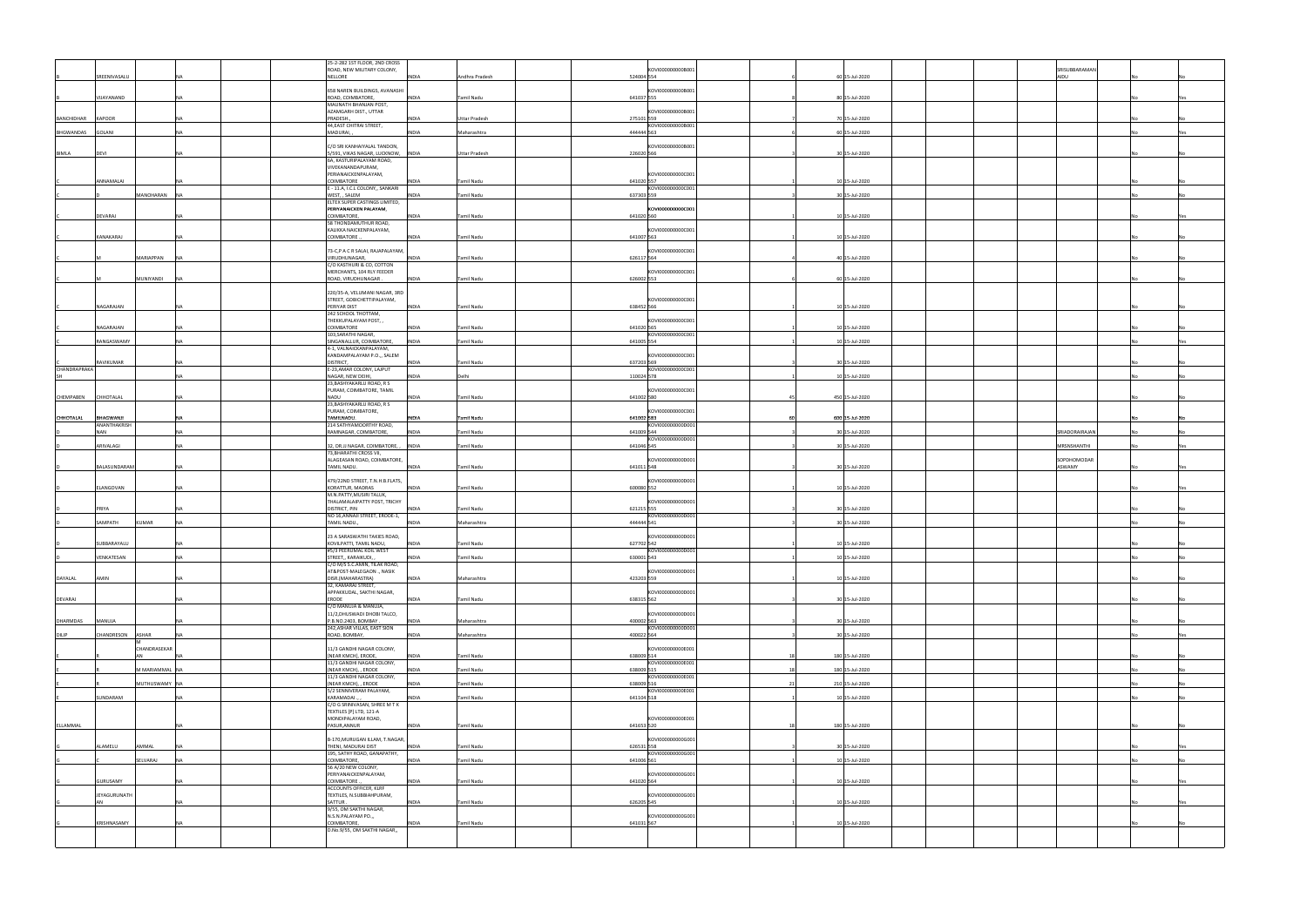|                   |                           |                      |              | 25-2-282 1ST FLOOR, 2ND CROSS<br>ROAD, NEW MILITARY COLONY,               |              |                      | KOVI000000000B001               |                 | SRISUBBARAMAN         |     |
|-------------------|---------------------------|----------------------|--------------|---------------------------------------------------------------------------|--------------|----------------------|---------------------------------|-----------------|-----------------------|-----|
|                   | SREENIVASALU              |                      | NELLORE      |                                                                           | <b>INDIA</b> | Andhra Pradesh       | 524004 554                      | 60 15-Jul-2020  | AIDU                  |     |
|                   | VIJAYANAND                |                      |              | 658 NAREN BUILDINGS, AVANASHI<br>ROAD, COIMBATORE,                        | INDIA        | Tamil Nadu           | KOVI000000000B001<br>641037 555 | 80 15-Jul-2020  |                       |     |
|                   |                           |                      |              | MAUNATH BHANJAN POST,<br>AZAMGARH DIST., UTTAR                            |              |                      | KOVI000000000B001               |                 |                       |     |
| BANCHIDHAR KAPOOR |                           |                      |              | PRADESH.,<br>44, EAST CHITRAI STREET,                                     | <b>INDIA</b> | <b>Uttar Pradesh</b> | 275101 559<br>KOVI000000000B001 | 70 15-Jul-2020  |                       |     |
| BHGWANDAS         | GOLANI                    |                      |              | MADURAI,                                                                  | <b>INDIA</b> | Maharashtra          | 444444 563                      | 60 15-Jul-2020  |                       |     |
| BIMLA             | DEVI                      |                      |              | C/O SRI KANHAIYALAL TANDON,<br>5/591, VIKAS NAGAR, LUCKNOW, INDIA         |              | <b>Uttar Pradesh</b> | KOVI000000000B001<br>226020 566 | 30 15-Jul-2020  |                       |     |
|                   |                           |                      |              | 6A, KASTURIPALAYAM ROAD,                                                  |              |                      |                                 |                 |                       |     |
|                   |                           |                      |              | VIVEKANANDAPURAM,<br>PERIANAICKENPALAYAM,                                 |              |                      | KOVI000000000C001               |                 |                       |     |
|                   | ANNAMALAI                 |                      |              | COIMBATORE<br>E - 11.A, I.C.L COLONY,, SANKARI                            | <b>INDIA</b> | Tamil Nadu           | 641020 557<br>KOVI000000000C001 | 10 15-Jul-2020  |                       |     |
|                   |                           | MANOHARAN            |              | WEST, , SALEM<br>ELTEX SUPER CASTINGS LIMITED,                            | <b>INDIA</b> | Tamil Nadu           | 637303 559                      | 30 15-Jul-2020  |                       |     |
|                   | DEVARAJ                   |                      |              | PERIYANAICKEN PALAYAM,<br>COIMBATORE,                                     | <b>INDIA</b> | Tamil Nadu           | KOVI000000000C001<br>641020 560 | 10 15-Jul-2020  |                       |     |
|                   |                           |                      |              | 58 THONDAMUTHUR ROAD,<br>KALIKKA NAICKENPALAYAM,                          |              |                      | KOVI000000000C001               |                 |                       |     |
|                   | KANAKARAJ                 |                      |              | COIMBATORE                                                                | <b>INDIA</b> | <b>Tamil Nadu</b>    | 641007 563                      | 10 15-Jul-2020  |                       |     |
|                   |                           | MARIAPPAN            |              | 73-C,P A C R SALAI, RAJAPALAYAM,<br>VIRUDHUNAGAR,                         | <b>INDIA</b> | Tamil Nadu           | KOVI000000000C001<br>626117 564 | 40 15-Jul-2020  |                       |     |
|                   |                           |                      |              | C/O KASTHURI & CO, COTTON                                                 |              |                      |                                 |                 |                       |     |
|                   |                           | MUNIYANDI            |              | MERCHANTS, 104 RLY FEEDER<br>ROAD, VIRUDHUNAGAR.                          | <b>INDIA</b> | Tamil Nadu           | KOVI000000000C001<br>626002 553 | 60 15-Jul-2020  |                       |     |
|                   |                           |                      |              | 220/35-A, VELUMANI NAGAR, 3RD                                             |              |                      |                                 |                 |                       |     |
|                   | NAGARAJAN                 |                      |              | STREET, GOBICHETTIPALAYAM,<br>PERIYAR DIST                                | <b>INDIA</b> | Tamil Nadu           | KOVI000000000C001<br>638452 566 | 10 15-Jul-2020  |                       |     |
|                   |                           |                      |              | 242 SCHOOL THOTTAM,<br>THEKKUPALAYAM POST,,                               |              |                      | KOVI000000000C001               |                 |                       |     |
|                   | NAGARAJAN                 |                      |              | COIMBATORE<br>103, SARATHI NAGAR,                                         | <b>INDIA</b> | Tamil Nadu           | 641020 565<br>KOVI000000000C001 | 10 15-Jul-2020  |                       |     |
|                   | RANGASWAMY                |                      |              | SINGANALLUR, COIMBATORE,<br>4-1, VALNAICKANPALAYAM,                       | <b>INDIA</b> | Tamil Nadu           | 641005 554                      | 10 15-Jul-2020  |                       |     |
|                   |                           |                      |              | KANDAMPALAYAM P.O.,, SALEM                                                |              |                      | KOVI000000000C001               |                 |                       |     |
| CHANDRAPRAKA      | RAVIKUMAR                 |                      | DISTRICT,    | E-23, AMAR COLONY, LAJPUT                                                 | INDIA        | Tamil Nadu           | 637203 569<br>KOVI000000000C001 | 30 15-Jul-2020  |                       |     |
|                   |                           |                      |              | NAGAR, NEW DEIHI,<br>23, BASHYAKARLU ROAD, R S                            | <b>INDIA</b> | Delhi                | 110024 578                      | 10 15-Jul-2020  |                       |     |
| CHEMPABEN         | CHHOTALAL                 | NA                   | NADU         | PURAM, COIMBATORE, TAMIL                                                  | <b>INDIA</b> | Tamil Nadu           | KOVI000000000C001<br>641002 580 | 450 15-Jul-2020 |                       |     |
|                   |                           |                      |              | 23, BASHYAKARLU ROAD, R S<br>PURAM, COIMBATORE,                           |              |                      | KOVI000000000C001               |                 |                       |     |
| CHHOTALAL         | BHAGWANJI<br>ANANTHAKRISH |                      |              | TAMILNADU.<br>214 SATHYAMOORTHY ROAD,                                     | <b>INDIA</b> | Tamil Nadu           | 641002 583<br>KOVI000000000D001 | 600 15-Jul-2020 |                       |     |
|                   | NAN                       |                      |              | RAMNAGAR, COIMBATORE,                                                     | <b>INDIA</b> | Tamil Nadu           | 641009 544<br>KOVI000000000D001 | 30 15-Jul-2020  | SRIADORAIRAJAN        |     |
|                   | ARIVALAGI                 |                      |              | 32, DR.JJ NAGAR, COIMBATORE, , INDIA<br>73, BHARATHI CROSS VII,           |              | <b>Tamil Nadu</b>    | 641046 545                      | 30 15-Jul-2020  | MRSNSHANTHI           | Yes |
|                   |                           |                      |              |                                                                           |              |                      |                                 |                 |                       |     |
|                   | BALASUNDARAM              |                      |              | ALAGEASAN ROAD, COIMBATORE,<br>TAMIL NADU.                                | <b>INDIA</b> | Tamil Nadu           | KOVI000000000D001<br>641011 548 | 30 15-Jul-2020  | SOPDHOMODAR<br>ASWAMY |     |
|                   |                           |                      |              | 479/22ND STREET, T.N.H.B.FLATS,                                           |              |                      | KOVI000000000D001               |                 |                       |     |
|                   | ELANGOVAN                 |                      |              | KORATTUR, MADRAS                                                          | <b>INDIA</b> | Tamil Nadu           | 600080 552                      | 10 15-Jul-2020  |                       |     |
|                   | PRIYA                     |                      |              | M.N.PATTY, MUSIRI TALUK,<br>THALAMALAIPATTY POST, TRICHY<br>DISTRICT, PIN | <b>INDIA</b> | Tamil Nadu           | KOVI000000000D001               |                 |                       |     |
|                   |                           |                      |              | NO 16, ANNAJI STREET, ERODE-1,                                            |              |                      | 621215 555<br>KOVI000000000D001 | 30 15-Jul-2020  |                       |     |
|                   | SAMPATH                   | KUMAR                |              | TAMIL NADU.                                                               | <b>INDIA</b> | Maharashtra          | 444444 541                      | 30 15-Jul-2020  |                       |     |
|                   | SUBBARAYALU               |                      |              | 23 A SARASWATHI TAKIES ROAD,<br>KOVILPATTI, TAMIL NADU,                   | <b>INDIA</b> | Tamil Nadu           | KOVI000000000D001<br>627702 542 | 10 15-Jul-2020  |                       |     |
|                   | VENKATESAN                |                      |              | #5/3 PEERUMAL KOIL WEST<br>STREET,, KARAIKUDI,                            | <b>INDIA</b> | <b>Tamil Nadu</b>    | TKOVI000000000D00<br>630001 543 | 10 15-Jul-2020  |                       |     |
|                   |                           |                      |              | C/O M/S S.C.AMIN, TILAK ROAD,<br>AT&POST-MALEGAON ., NASIK                |              |                      | KOVI000000000D001               |                 |                       |     |
| DAYALAL           | AMIN                      |                      |              | DISR.(MAHARASTRA)<br>32, KAMARAJ STREET,                                  | <b>INDIA</b> | Maharashtra          | 423203 559                      | 10 15-Jul-2020  |                       |     |
| DEVARAJ           |                           |                      | <b>ERODE</b> | APPAKKUDAL, SAKTHI NAGAR,                                                 | <b>INDIA</b> | <b>Tamil Nadu</b>    | KOVI000000000D001<br>638315 562 | 30 15-Jul-2020  |                       |     |
|                   |                           |                      |              | C/O MANUJA & MANUJA,<br>11/2, DHUSWADI DHOBI TALCO,                       |              |                      | KOVI000000000D001               |                 |                       |     |
| DHARMDAS          | MANUJA                    | NΔ                   |              | P.B.NO.2403, BOMBAY.<br>242, ASHAR VILLAS, EAST SION                      | <b>INDIA</b> | Maharashtra          | 400002 563<br>KOVI000000000D001 | 30 15-Jul-2020  |                       |     |
| DILIP             | CHANDRESON                | ASHAR<br>NΔ          |              | ROAD, BOMBAY,                                                             | <b>INDIA</b> | Maharashtra          | 400022 564                      | 30 15-Jul-2020  |                       | Yes |
|                   |                           | CHANDRASEKAR         |              | 11/3 GANDHI NAGAR COLONY,                                                 |              |                      | KOVI000000000E001               |                 |                       |     |
|                   |                           |                      |              | [NEAR KMCH], ERODE,<br>11/3 GANDHI NAGAR COLONY,                          | <b>INDIA</b> | <b>Tamil Nadu</b>    | 638009 514<br>KOVI000000000E001 | 180 15-Jul-2020 |                       |     |
|                   |                           | <b>MMARIAMMAL</b> NA |              | (NEAR KMCH), , ERODE<br>11/3 GANDHI NAGAR COLONY,                         | <b>INDIA</b> | <b>Tamil Nadu</b>    | 638009 515<br>KOVI000000000E001 | 180 15-Jul-2020 |                       |     |
|                   |                           | MUTHUSWAMY NA        |              | (NEAR KMCH), , ERODE<br>5/2 SENNIVERAM PALAYAM,                           | <b>INDIA</b> | <b>Tamil Nadu</b>    | 638009 516<br>KOVI000000000E001 | 210 15-Jul-2020 |                       |     |
|                   | SUNDARAM                  |                      |              | KARAMADAI.,<br>C/O G SRINIVASAN, SHREE M T K                              | <b>INDIA</b> | <b>Tamil Nadu</b>    | 641104 518                      | 10 15-Jul-2020  |                       |     |
|                   |                           |                      |              | TEXTILES [P] LTD, 121-A<br>MONDIPALAYAM ROAD,                             |              |                      | KOVI000000000E001               |                 |                       |     |
| ELLAMMAL          |                           |                      |              | PASUR, ANNUR                                                              | <b>INDIA</b> | Tamil Nadu           | 641653 520                      | 180 15-Jul-2020 |                       |     |
|                   | ALAMELU                   | AMMAL                |              | B-170, MURUGAN ILLAM, T.NAGAR,<br>THENI, MADURAI DIST                     | <b>INDIA</b> | <b>Tamil Nadu</b>    | KOVI000000000G001<br>626531 558 | 30 15-Jul-2020  |                       |     |
|                   |                           | SELVARAJ             |              | 195, SATHY ROAD, GANAPATHY,<br>COIMBATORE,                                | <b>INDIA</b> | <b>Tamil Nadu</b>    | KOVI000000000G001<br>641006 561 | 10 15-Jul-2020  |                       |     |
|                   |                           |                      |              | 56 A/20 NEW COLONY,<br>PERIYANAICKENPALAYAM,                              |              |                      | KOVI000000000G001               |                 |                       |     |
|                   | <b>GURUSAMY</b>           |                      |              | COIMBATORE                                                                | <b>INDIA</b> | Tamil Nadu           | 641020 564                      | 10 15-Jul-2020  |                       |     |
|                   | JEYAGURUNATH              |                      |              | ACCOUNTS OFFICER, KLRF<br>TEXTILES, N.SUBBIAHPURAM,                       |              |                      | KOVI000000000G001               |                 |                       | Yes |
|                   | AN                        |                      | SATTUR.      | 9/55, OM SAKTHI NAGAR,                                                    | <b>INDIA</b> | <b>Tamil Nadu</b>    | 626205 545                      | 10 15-Jul-2020  |                       |     |
|                   | KRISHNASAMY               |                      |              | N.S.N.PALAYAM PO.,,<br>COIMBATORE,                                        | <b>INDIA</b> | <b>Tamil Nadu</b>    | KOVI000000000G001<br>641031 567 | 10 15-Jul-2020  |                       |     |
|                   |                           |                      |              | D.No.9/55, OM SAKTHI NAGAR,,                                              |              |                      |                                 |                 |                       |     |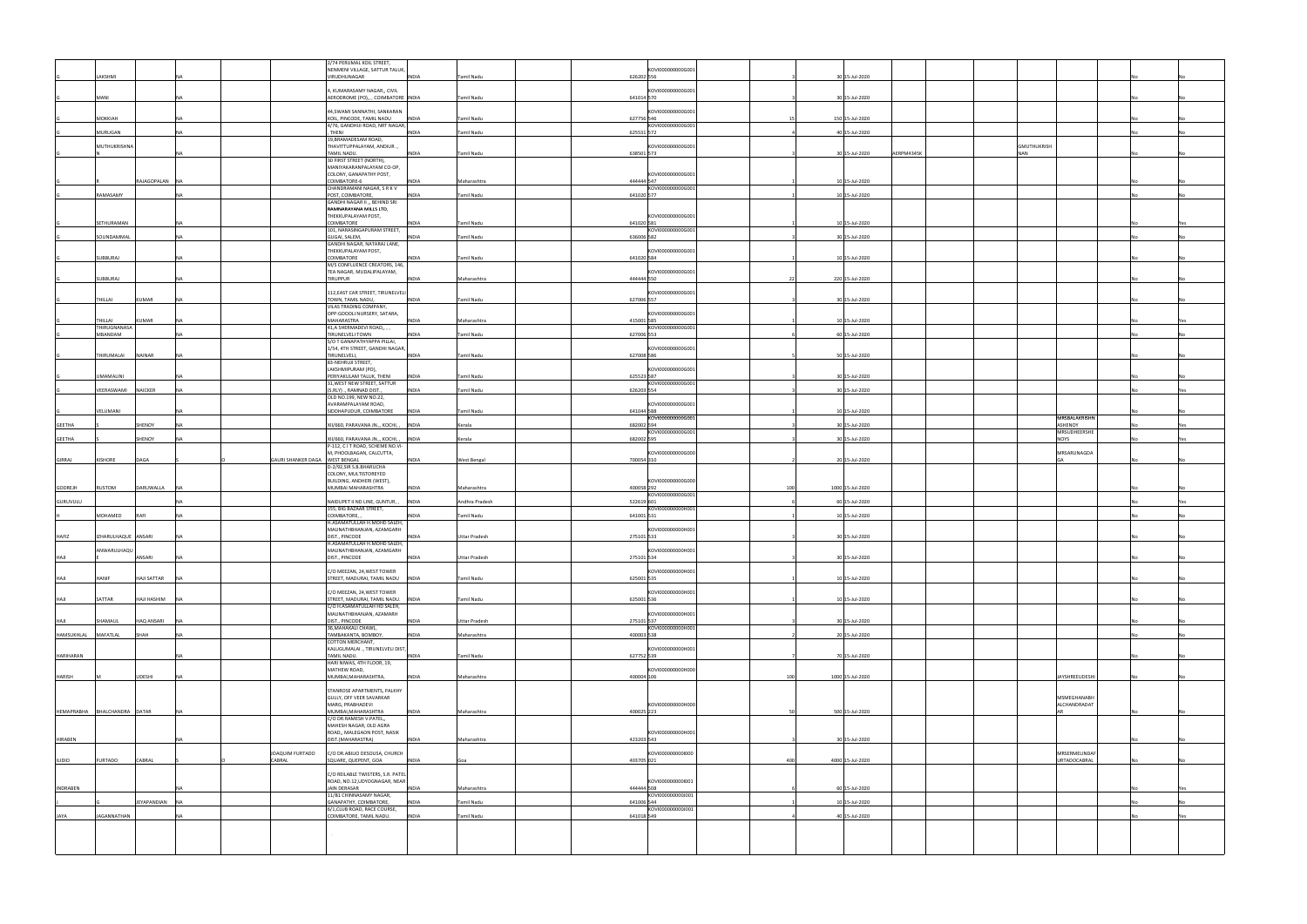|                     |                              |                                 |                                | 2/74 PERUMAL KOIL STREET<br>NENMENI VILLAGE, SATTUR TALUK,       |                                |            | KOVI000000000G001                                                                        |     |                              |                    |                         |     |
|---------------------|------------------------------|---------------------------------|--------------------------------|------------------------------------------------------------------|--------------------------------|------------|------------------------------------------------------------------------------------------|-----|------------------------------|--------------------|-------------------------|-----|
|                     | LAKSHMI                      |                                 |                                | VIRUDHUNAGAR                                                     | <b>INDIA</b><br>Tamil Nadu     | 626202 556 |                                                                                          |     | 30 15-Jul-2020               |                    |                         |     |
|                     |                              |                                 |                                | I, KUMARASAMY NAGAR,, CIVIL                                      |                                |            | <0VI000000000G001                                                                        |     |                              |                    |                         |     |
|                     | MANI                         |                                 |                                | AERODROME (PO),, , COIMBATORE INDIA                              | Tamil Nadu                     | 641014 570 |                                                                                          |     | 30 15-Jul-2020               |                    |                         |     |
|                     |                              |                                 |                                | 44, SWAMI SANNATHI, SANKARAN                                     |                                |            | <ovi000000000g00< td=""><td></td><td></td><td></td><td></td><td></td></ovi000000000g00<> |     |                              |                    |                         |     |
|                     | MOKKIAH                      |                                 |                                | KOIL, PINCODE, TAMIL NADU<br>4/76, GANDHIJI ROAD, NRT NAGAR,     | <b>INDIA</b><br>Tamil Nadu     | 627756 546 | KOVI000000000G001                                                                        |     | 150 15-Jul-2020              |                    |                         |     |
|                     | MURUGAN                      | NΔ                              |                                | THENI                                                            | Tamil Nadu<br><b>INDIA</b>     | 625531 572 |                                                                                          |     | 40 15-Jul-2020               |                    |                         |     |
|                     | MUTHUKRISHNA                 |                                 |                                | 19, BRAMADESAM ROAD,<br>,. THAVITTUPPALAYAM, ANDIUR              |                                |            | KOVI000000000G001                                                                        |     |                              | <b>GMUTHUKRISH</b> |                         |     |
|                     |                              |                                 |                                | TAMIL NADU.                                                      | <b>INDIA</b><br>Tamil Nadu     | 638501 573 |                                                                                          |     | 30 15-Jul-2020<br>AERPM4345K | <b>NAN</b>         |                         |     |
|                     |                              |                                 |                                | 30 FIRST STREET (NORTH),<br>MANIYAKARANPALAYAM CO-OP,            |                                |            |                                                                                          |     |                              |                    |                         |     |
|                     |                              | RAJAGOPALAN NA                  |                                | COLONY, GANAPATHY POST,<br>COIMBATORE-6                          | Maharashtra<br><b>INDIA</b>    | 444444 547 | KOVI000000000G001                                                                        |     | 10 15-Jul-2020               |                    |                         |     |
|                     |                              |                                 |                                | CHANDRAMANI NAGAR, S R K V                                       |                                |            | KOVI000000000G001                                                                        |     |                              |                    |                         |     |
|                     | RAMASAMY                     |                                 |                                | POST, COIMBATORE,<br>GANDHI NAGAR II ,, BEHIND SRI               | <b>INDIA</b><br>Tamil Nadu     | 641020 577 |                                                                                          |     | 10 15-Jul-2020               |                    |                         |     |
|                     |                              |                                 |                                | RAMNARAYANA MILLS LTD,<br>THEKKUPALAYAM POST,                    |                                |            | KOVI000000000G001                                                                        |     |                              |                    |                         |     |
|                     | SETHURAMAN                   |                                 |                                | COIMBATORE                                                       | Tamil Nadu<br><b>INDIA</b>     | 641020 581 |                                                                                          |     | 10 15-Jul-2020               |                    |                         |     |
|                     | SOUNDAMMAL                   |                                 |                                | 101, NARASINGAPURAM STREET,<br>GUGAI, SALEM,                     | <b>INDIA</b><br>Tamil Nadu     | 636006 582 | KOVI000000000G001                                                                        |     | 30 15-Jul-2020               |                    |                         |     |
|                     |                              |                                 |                                | GANDHI NAGAR, NATARAJ LANE,<br>THEKKUPALAYAM POST,               |                                |            | KOVI000000000G001                                                                        |     |                              |                    |                         |     |
|                     | SUBBURAJ                     |                                 |                                | COIMBATORE                                                       | <b>INDIA</b><br>Tamil Nadu     | 641020 584 |                                                                                          |     | 10 15-Jul-2020               |                    |                         |     |
|                     |                              |                                 |                                | M/S CONFLUENCE CREATORS, 146,<br>TEA NAGAR, MUDALIPALAYAM,       |                                |            | KOVI000000000G001                                                                        |     |                              |                    |                         |     |
|                     | SUBBURAJ                     |                                 |                                | TIRUPPUR                                                         | <b>INDIA</b><br>Maharashtra    | 444444 550 |                                                                                          | -22 | 220 15-Jul-2020              |                    |                         |     |
|                     |                              |                                 |                                | 112, EAST CAR STREET, TIRUNELVELI                                |                                |            | <0VI000000000G001                                                                        |     |                              |                    |                         |     |
|                     | THILLAI                      | KUMAR                           |                                | TOWN, TAMIL NADU,<br>VILAS TRADING COMPANY,                      | <b>INDIA</b><br>Tamil Nadu     | 627006 557 |                                                                                          |     | 30 15-Jul-2020               |                    |                         |     |
|                     |                              |                                 |                                | OPP:GODOLI NURSERY, SATARA,                                      |                                |            | OVI000000000G001                                                                         |     |                              |                    |                         |     |
|                     | THILLAI<br>THIRUGNANASA      | KUMAR                           |                                | MAHARASTRA<br>41, A SHERMADEVI ROAD,, , ,                        | <b>INDIA</b><br>Maharashtra    | 415001 585 | KOVI000000000G001                                                                        |     | 10 15-Jul-2020               |                    |                         |     |
|                     | MBANDAM                      |                                 |                                | TIRUNELVELI TOWN<br>S/O T GANAPATHYAPPA PILLAI,                  | Tamil Nadu<br>INDIA            | 627006 553 |                                                                                          |     | 60 15-Jul-2020               |                    |                         |     |
|                     |                              |                                 |                                | 1/54, 4TH STREET, GANDHI NAGAR,                                  |                                |            | KOVI000000000G001                                                                        |     |                              |                    |                         |     |
|                     | THIRUMALAI                   | <b>NAINAR</b>                   |                                | TIRUNELVELI,<br>83-NEHRUJI STREET,                               | Tamil Nadu<br><b>INDIA</b>     | 627008 586 |                                                                                          |     | 50 15-Jul-2020               |                    |                         |     |
|                     |                              |                                 |                                | LAKSHMIPURAM (PO),                                               |                                | 625523 587 | KOVI000000000G00:                                                                        |     |                              |                    |                         |     |
|                     | <b>UMAMALINI</b>             |                                 |                                | PERIYAKULAM TALUK, THENI<br>31, WEST NEW STREET, SATTUR          | <b>INDIA</b><br>Tamil Nadu     |            | KOVI000000000G001                                                                        |     | 30 15-Jul-2020               |                    |                         |     |
|                     | VEERASWAMI                   | <b>NAICKER</b>                  |                                | (S.RLY) ., RAMNAD DIST.<br>OLD NO.199, NEW NO.22,                | Tamil Nadu<br><b>INDIA</b>     | 626203 554 |                                                                                          |     | 30 15-Jul-2020               |                    |                         |     |
|                     |                              |                                 |                                | AVARAMPALAYAM ROAD,                                              |                                |            | KOVI000000000G001                                                                        |     |                              |                    |                         |     |
|                     | VELUMANI                     |                                 |                                | SIDDHAPUDUR, COIMBATORE                                          | <b>INDIA</b><br>Tamil Nadu     | 641044 588 | KOVI000000000G001                                                                        |     | 10 15-Jul-2020               |                    | MRSBALAKRISHN           |     |
| <b>GEETHA</b>       |                              | SHENOY                          |                                | XII/660, PARAVANA JN.,, KOCHI,                                   | <b>INDIA</b><br>Kerala         | 682002 594 | KOVI000000000G001                                                                        |     | 30 15-Jul-2020               |                    | ASHENOY<br>MRSUDHEERSHE | Yes |
| <b>GEETHA</b>       |                              | SHENOY                          |                                | XII/660, PARAVANA JN.,, KOCHI, ,                                 | <b>INDIA</b><br>Kerala         | 682002 595 |                                                                                          |     | 30 15-Jul-2020               |                    | NOYS                    |     |
|                     |                              |                                 |                                | P-112, C I T ROAD, SCHEME NO.VI-<br>M, PHOOLBAGAN, CALCUTTA,     |                                |            | KOVI000000000G000                                                                        |     |                              |                    | MRSARUNAGDA             |     |
| <b>GIRRAJ</b>       | <b>KISHORE</b><br>DAGA       |                                 | GAURI SHANKER DAGA WEST BENGAL | D-2/92, SIR S.B. BHARUCHA                                        | <b>INDIA</b><br>West Bengal    | 700054 310 |                                                                                          |     | 20 15-Jul-2020               |                    | GA                      |     |
|                     |                              |                                 |                                |                                                                  |                                |            |                                                                                          |     |                              |                    |                         |     |
|                     |                              |                                 |                                | COLONY, MULTISTOREYED                                            |                                |            |                                                                                          |     |                              |                    |                         |     |
| GODREJH             | <b>RUSTOM</b>                | DARUWALLA                       |                                | BUILDING, ANDHERI (WEST),<br>MUMBAI MAHARASHTRA                  | <b>INDIA</b><br>Maharashtra    | 400058 292 | KOVI000000000G000                                                                        | 100 | 1000 15-Jul-2020             |                    |                         |     |
|                     |                              |                                 |                                |                                                                  |                                |            | KOVI000000000G001                                                                        |     |                              |                    |                         |     |
| GURUVULU            |                              |                                 |                                | NAIDUPET II ND LINE, GUNTUR, ,<br>155, BIG BAZAAR STREET,        | <b>INDIA</b><br>Andhra Pradesh | 522619 601 | KOVI000000000H001                                                                        |     | 60 15-Jul-2020               |                    |                         |     |
|                     | MOHAMED<br>RAFI              | NA.                             |                                | COIMBATORE,<br>H.ASAMATULLAH H.MOHD SALEH,                       | INDIA<br>Tamil Nadu            | 641001 531 |                                                                                          |     | 10 15-Jul-2020               |                    |                         |     |
|                     |                              |                                 |                                | MAUNATHBHANJAN, AZAMGARH                                         |                                |            | KOVI000000000H001                                                                        |     |                              |                    |                         |     |
| HAFIZ               | IZHARULHAQUE ANSARI          |                                 |                                | DIST., PINCODE<br>H.ASAMATULLAH H.MOHD SALEH,                    | <b>INDIA</b><br>Uttar Pradesh  | 275101 533 |                                                                                          |     | 30 15-Jul-2020               |                    |                         |     |
| HAJI                | WARULHAOL                    | ANSARI                          |                                | AAUNATHBHANJAN, AZAMGARH<br>DIST., PINCODE                       | <b>INDIA</b><br>Uttar Pradesh  | 275101 534 | <b>KUVIUUU</b>                                                                           |     | 30 15-Jul-2020               |                    |                         |     |
|                     |                              |                                 |                                |                                                                  |                                |            |                                                                                          |     |                              |                    |                         |     |
| HAJI                | HANIF                        | <b>HAJI SATTAR</b><br><b>NA</b> |                                | C/O MEEZAN, 24, WEST TOWER<br>STREET, MADURAI, TAMIL NADU INDIA  | Tamil Nadu                     | 625001 535 | KOVI000000000H001                                                                        |     | 10 15-Jul-2020               |                    |                         |     |
|                     |                              |                                 |                                |                                                                  |                                |            |                                                                                          |     |                              |                    |                         |     |
| <b>HAJI</b>         | SATTAR                       | HAJI HASHIM<br><b>NA</b>        |                                | C/O MEEZAN, 24, WEST TOWER<br>STREET, MADURAI, TAMIL NADU. INDIA | Tamil Nadu                     | 625001 536 | KOVI000000000H001                                                                        |     | 10 15-Jul-2020               |                    |                         |     |
|                     |                              |                                 |                                | C/O H.ASAMATULLAH HD SALEH,<br>MAUNATHBHANJAN, AZAMARH           |                                |            | KOVI000000000H001                                                                        |     |                              |                    |                         |     |
| HAJI                | SHAMAUL                      | HAQ ANSARI                      |                                | DIST., PINCODE<br>36, MAHAKALI CHAWL,                            | <b>INDIA</b><br>Uttar Pradesh  | 275101 537 | KOVI000000000H001                                                                        |     | 30 15-Jul-2020               |                    |                         |     |
| HAMSUKHLAL MAFATLAL | SHAH                         | <b>NA</b>                       |                                | TAMBAKANTA, BOMBOY,                                              | <b>INDIA</b><br>Maharashtra    | 400003 538 |                                                                                          |     | 20 15-Jul-2020               |                    |                         |     |
|                     |                              |                                 |                                | COTTON MERCHANT,<br>KALUGUMALAI ., TIRUNELVELI DIST,             |                                |            | KOVI000000000H001                                                                        |     |                              |                    |                         |     |
| <b>HARIHARAN</b>    |                              |                                 |                                | TAMIL NADU.                                                      | <b>INDIA</b><br>Tamil Nadu     | 627752 539 |                                                                                          |     | 70 15-Jul-2020               |                    |                         |     |
|                     |                              |                                 |                                | HARI NIWAS, 4TH FLOOR, 19,<br>MATHEW ROAD,                       |                                |            | KOVI000000000H000                                                                        |     |                              |                    |                         |     |
| <b>HARISH</b>       |                              | <b>UDESHI</b>                   |                                | MUMBAI, MAHARASHTRA,                                             | <b>INDIA</b><br>Maharashtra    | 400004 106 |                                                                                          | 100 | 1000 15-Jul-2020             |                    | JAYSHREEUDESHI          |     |
|                     |                              |                                 |                                | STANROSE APARTMENTS, PALKHY<br>GULLY, OFF VEER SAVARKAR          |                                |            |                                                                                          |     |                              |                    | MSMEGHANABH             |     |
|                     |                              |                                 |                                | MARG, PRABHADEVI                                                 |                                |            | KOVI000000000H000                                                                        |     |                              |                    | ALCHANDRADAT            |     |
|                     | HEMAPRABHA BHALCHANDRA DATAR |                                 |                                | MUMBAI, MAHARASHTRA<br>C/O DR.RAMESH V.PATEL,,                   | <b>INDIA</b><br>Maharashtra    | 400025 223 |                                                                                          |     | 500 15-Jul-2020              |                    | <b>AR</b>               |     |
|                     |                              |                                 |                                | MAHESH NAGAR, OLD AGRA                                           |                                |            |                                                                                          |     |                              |                    |                         |     |
| <b>HIRABEN</b>      |                              |                                 |                                | ROAD,, MALEGAON POST, NASIK<br>DIST.(MAHARASTRA)                 | <b>INDIA</b><br>Maharashtra    | 423203 543 | KOVI000000000H001                                                                        |     | 30 15-Jul-2020               |                    |                         |     |
|                     |                              |                                 | JOAQUIM FURTADO                | C/O DR.ABILIO DESOUSA, CHURCH                                    |                                |            | KOVI0000000001000                                                                        |     |                              |                    | MRSERMELINDAF           |     |
| <b>ILIDIO</b>       | <b>FURTADO</b>               | CABRAL                          | CABRAL                         | SQUARE, QUEPENT, GOA                                             | <b>INDIA</b><br>Goa            | 403705 021 |                                                                                          | 400 | 4000 15-Jul-2020             |                    | <b>URTADOCABRAL</b>     |     |
|                     |                              |                                 |                                | C/O REILABLE TWISTERS, S.R. PATEL                                |                                |            |                                                                                          |     |                              |                    |                         |     |
| <b>INDRABEN</b>     |                              |                                 |                                | ROAD, NO.12, UDYOGNAGAR, NEAR<br>JAIN DERASAR                    | <b>INDIA</b><br>Maharashtra    | 444444 508 | KOVI0000000001001                                                                        |     | 60 15-Jul-2020               |                    |                         |     |
|                     |                              |                                 |                                | 11/B1 CHINNASAMY NAGAR,                                          |                                |            | KOVI0000000000001                                                                        |     |                              |                    |                         |     |
|                     |                              | JEYAPANDIAN NA                  |                                | GANAPATHY, COIMBATORE,<br>6/1, CLUB ROAD, RACE COURSE,           | <b>INDIA</b><br>Tamil Nadu     | 641006 544 | KOVI0000000000001                                                                        |     | 10 15-Jul-2020               |                    |                         |     |
| JAYA                | <b>JAGANNATHAN</b>           | <b>NA</b>                       |                                | COIMBATORE, TAMIL NADU.                                          | Tamil Nadu<br><b>INDIA</b>     | 641018 549 |                                                                                          |     | 40 15-Jul-2020               |                    |                         | Yes |
|                     |                              |                                 |                                |                                                                  |                                |            |                                                                                          |     |                              |                    |                         |     |
|                     |                              |                                 |                                |                                                                  |                                |            |                                                                                          |     |                              |                    |                         |     |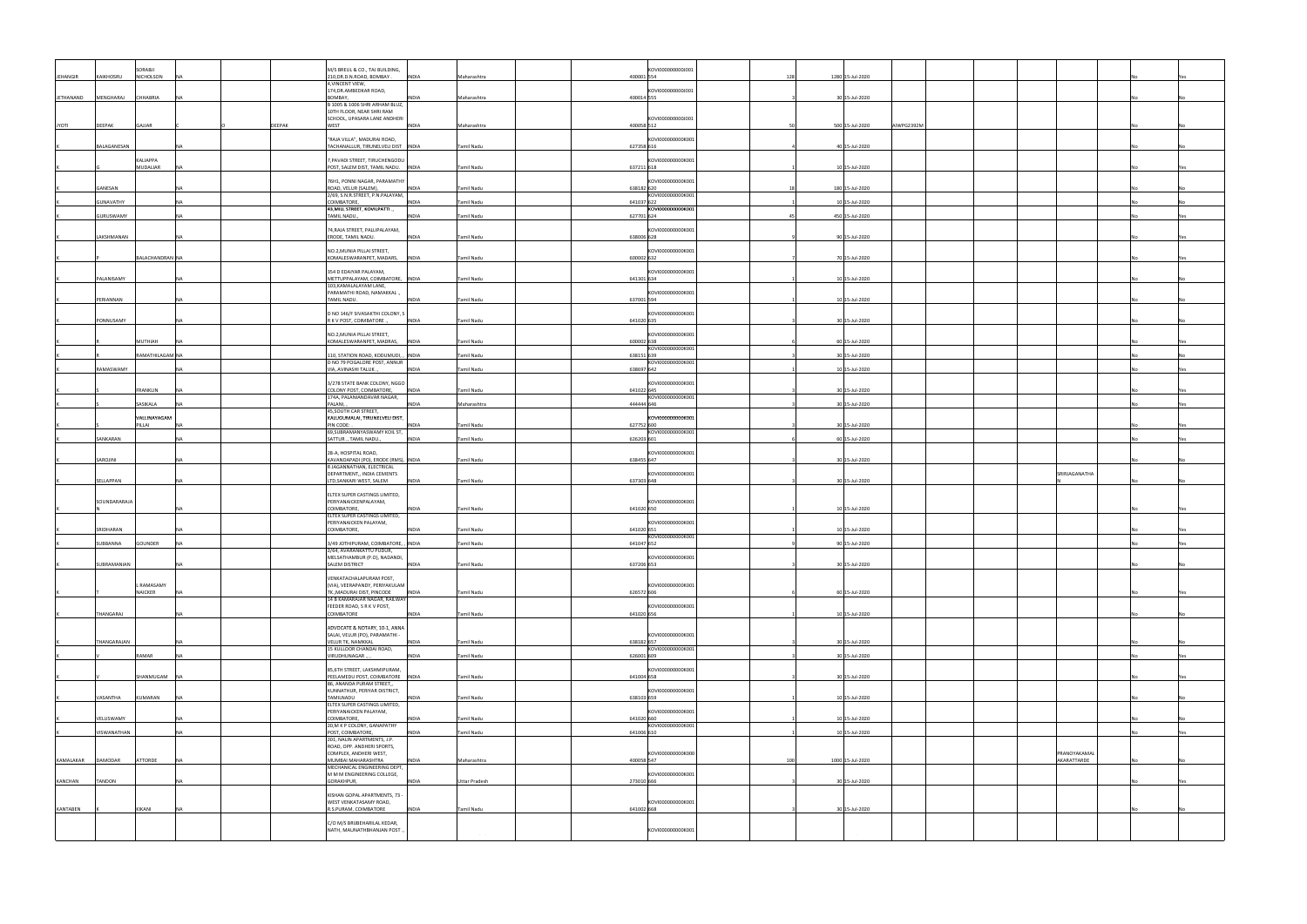|              |                  | SORABJI                |               | M/S BREUL & CO., TAJ BUILDING,                                       |                               |            | KOVI0000000000001 |     |                               |                             |     |
|--------------|------------------|------------------------|---------------|----------------------------------------------------------------------|-------------------------------|------------|-------------------|-----|-------------------------------|-----------------------------|-----|
| JEHANGIR     | KAIKHOSRU        | <b>NICHOLSON</b>       |               | 210, DR.D.N.ROAD, BOMBAY.                                            | <b>INDIA</b><br>Maharashtra   | 400001 554 |                   | 128 | 1280 15-Jul-2020              |                             |     |
|              |                  |                        |               | 4,VINCENT VIEW,<br>174, DR. AMBEDKAR ROAD,                           |                               |            | <0VI000000000J001 |     |                               |                             |     |
| JETHANAND    | MENGHARAJ        | CHHABRIA               |               | BOMBAY,<br>B 1005 & 1006 SHRI ARHAM BLUZ,                            | <b>INDIA</b><br>Maharashtra   | 400014 555 |                   |     | 30 15-Jul-2020                |                             |     |
|              |                  |                        |               | 10TH FLOOR, NEAR SHRI RAM                                            |                               |            |                   |     |                               |                             |     |
| <b>JYOTI</b> | DEEPAK           | GAJJAR                 | <b>DEEPAK</b> | SCHOOL, UPASARA LANE ANDHERI<br>WEST                                 | <b>INDIA</b><br>Maharashtra   | 400058 512 | KOVI0000000000001 |     | 500 15-Jul-2020<br>AIWPG2392M |                             |     |
|              |                  |                        |               | "RAJA VILLA", MADURAI ROAD,                                          |                               |            | KOVI000000000K001 |     |                               |                             |     |
|              | BALAGANESAN      |                        |               | TACHANALLUR, TIRUNELVELI DIST INDIA                                  | Tamil Nadu                    | 627358 616 |                   |     | 40 15-Jul-2020                |                             |     |
|              |                  | KALIAPPA               |               | 7, PAVADI STREET, TIRUCHENGODU                                       |                               |            | KOVI000000000K001 |     |                               |                             |     |
|              |                  | MUDALIAR               |               | POST, SALEM DIST, TAMIL NADU.   INDIA                                | Tamil Nadu                    | 637211 618 |                   |     | 10 15-Jul-2020                |                             |     |
|              | GANESAN          |                        |               | 76H1, PONNI NAGAR, PARAMATHY<br>ROAD, VELUR (SALEM),                 | <b>INDIA</b><br>Tamil Nadu    | 638182 620 | KOVI000000000K001 |     | 180 15-Jul-2020               |                             |     |
|              | <b>GUNAVATHY</b> |                        |               | 2/69, S.N.R.STREET, P.N.PALAYAM,<br>COIMBATORE,                      | <b>INDIA</b><br>Tamil Nadu    | 641037 622 | KOVI000000000K001 |     | 10 15-Jul-2020                |                             |     |
|              | GURUSWAMY        |                        |               | 43, MILL STREET, KOVILPATTI .,                                       | <b>INDIA</b><br>Tamil Nadu    | 627701 624 | KOVI000000000K001 |     | 450 15-Jul-2020               |                             |     |
|              |                  |                        |               | TAMIL NADU.                                                          |                               |            |                   |     |                               |                             |     |
|              | LAKSHMANAN       |                        |               | 74, RAJA STREET, PALLIPALAYAM,<br>ERODE, TAMIL NADU.                 | <b>INDIA</b><br>Tamil Nadu    | 638006 628 | KOVI000000000K001 |     | 90 15-Jul-2020                |                             |     |
|              |                  |                        |               | NO.2, MUNIA PILLAI STREET,                                           |                               |            | KOVI000000000K001 |     |                               |                             |     |
|              |                  | BALACHANDRAN NA        |               | KOMALESWARANPET, MADARS, INDIA                                       | Tamil Nadu                    | 600002 632 |                   |     | 70 15-Jul-2020                |                             |     |
|              |                  |                        |               | 354 D EDAIYAR PALAYAM,                                               |                               |            | KOVI000000000K001 |     |                               |                             |     |
|              | PALANISAMY       |                        |               | METTUPPALAYAM, COIMBATORE, INDIA<br>103, KAMALALAYAM LANE,           | Tamil Nadu                    | 641301 634 |                   |     | 10 15-Jul-2020                |                             |     |
|              | PERIANNAN        |                        |               | PARAMATHI ROAD, NAMAKKAL.<br>TAMIL NADU.                             | Tamil Nadu<br><b>INDIA</b>    | 637001 594 | KOVI000000000K001 |     | 10 15-Jul-2020                |                             |     |
|              |                  |                        |               |                                                                      |                               |            |                   |     |                               |                             |     |
|              | PONNUSAMY        |                        |               | D NO 146/F SIVASAKTHI COLONY, S<br>R K V POST, COIMBATORE.,          | <b>INDIA</b><br>Tamil Nadu    | 641020 635 | KOVI000000000K001 |     | 30 15-Jul-2020                |                             |     |
|              |                  |                        |               | NO.2, MUNIA PILLAI STREET,                                           |                               |            | KOVI000000000K001 |     |                               |                             |     |
|              |                  | MUTHIAH                |               | KOMALESWARANPET, MADRAS, INDIA                                       | Tamil Nadu                    | 600002 638 | KOVI000000000K001 |     | 60 15-Jul-2020                |                             |     |
|              |                  | RAMATHILAGAM NA        |               | 110, STATION ROAD, KODUMUDI, , INDIA<br>D NO 79 POGALORE POST, ANNUR | Tamil Nadu                    | 638151 639 | KOVI000000000K001 |     | 30 15-Jul-2020                |                             |     |
|              | RAMASWAMY        |                        |               | VIA, AVINASHI TALUK.                                                 | <b>INDIA</b><br>Tamil Nadu    | 638697 642 |                   |     | 10 15-Jul-2020                |                             |     |
|              |                  |                        |               | 3/278 STATE BANK COLONY, NGGO                                        |                               |            | KOVI000000000K001 |     |                               |                             |     |
|              |                  | FRANKLIN               |               | COLONY POST, COIMBATORE,<br>174A, PALANIANDAVAR NAGAR,               | Tamil Nadu<br><b>INDIA</b>    | 641022 645 | KOVI000000000K001 |     | 30 15-Jul-2020                |                             |     |
|              |                  | SASIKALA               |               | PALANI,<br>45, SOUTH CAR STREET,                                     | INDIA<br>Maharashtra          | 444444 646 |                   |     | 30 15-Jul-2020                |                             | Yes |
|              |                  | VALLINAYAGAM<br>PILLAI |               | KALUGUMALAI, TIRUNELVELI DIST,<br>PIN CODE:                          | <b>INDIA</b><br>Tamil Nadu    | 627752 600 | KOVI000000000K001 |     | 30 15-Jul-2020                |                             |     |
|              | SANKARAN         |                        |               | 69,SUBRAMANYASWAMY KOIL ST,<br>SATTUR ., TAMIL NADU.,                | <b>INDIA</b><br>Tamil Nadu    | 626203 601 | KOVI000000000K001 |     | 60 15-Jul-2020                |                             |     |
|              |                  |                        |               |                                                                      |                               |            |                   |     |                               |                             |     |
|              |                  |                        |               | 28-A, HOSPITAL ROAD,                                                 |                               |            | KOVI000000000K001 |     |                               |                             |     |
|              | SAROJINI         |                        | NA.           | KAVANDAPADI (PO), ERODE (RMS), INDIA                                 | Tamil Nadu                    | 638455 647 |                   |     | 30 15-Jul-2020                |                             |     |
|              |                  |                        |               | R JAGANNATHAN, ELECTRICAL<br>DEPARTMENT,, INDIA CEMENTS              |                               |            | KOVI000000000K001 |     |                               | SRIRJAGANATHA               |     |
|              | SELLAPPAN        |                        |               | LTD, SANKARI WEST, SALEM                                             | Tamil Nadu<br><b>INDIA</b>    | 637303 648 |                   |     | 30 15-Jul-2020                |                             |     |
|              |                  |                        |               | ELTEX SUPER CASTINGS LIMITED,                                        |                               |            |                   |     |                               |                             |     |
|              | SOUNDARARAJA     |                        |               | PERIYANAICKENPALAYAM,<br>COIMBATORE,                                 | Tamil Nadu<br><b>INDIA</b>    | 641020 650 | KOVI000000000K001 |     | 10 15-Jul-2020                |                             |     |
|              |                  |                        |               | ELTEX SUPER CASTINGS LIMITED,<br>PERIYANAICKEN PALAYAM,              |                               |            | KOVI000000000K001 |     |                               |                             |     |
|              | SRIDHARAN        |                        |               | COIMBATORE,                                                          | Tamil Nadu<br><b>INDIA</b>    | 641020 651 | KOVI000000000K001 |     | 10 15-Jul-2020                |                             |     |
|              | SUBBANNA         | GOUNDER                |               | 3/49 JOTHIPURAM, COIMBATORE, , INDIA                                 | Tamil Nadu                    | 641047 652 |                   |     | 90 15-Jul-2020                |                             |     |
|              |                  |                        |               | /64, AVARANKATTU PUDUR,<br>MELSATHAMBUR (P.O), NADANDI,              |                               |            | KOVI000000000K001 |     |                               |                             |     |
|              | SUBRAMANIAN      |                        |               | SALEM DISTRICT                                                       | <b>INDIA</b><br>Tamil Nadu    | 637206 653 |                   |     | 30 15-Jul-2020                |                             |     |
|              |                  | L RAMASAMY             |               | VENKATACHALAPURAM POST,<br>(VIA), VEERAPANDY, PERIYAKULAM            |                               |            | KOVI000000000K001 |     |                               |                             |     |
|              |                  | <b>NAICKER</b>         |               | TK., MADURAI DIST, PINCODE<br>14 B KAMARAJAR NAGAR, RAILWAY          | <b>INDIA</b><br>Tamil Nadu    | 626572 606 |                   |     | 60 15-Jul-2020                |                             |     |
|              | THANGARAJ        |                        |               | FEEDER ROAD, S R K V POST,<br>COIMBATORE                             | Tamil Nadu<br><b>INDIA</b>    | 641020 656 | KOVI000000000K001 |     | 10 15-Jul-2020                |                             |     |
|              |                  |                        |               |                                                                      |                               |            |                   |     |                               |                             |     |
|              |                  |                        |               | ADVOCATE & NOTARY, 10-1, ANNA<br>SALAI, VELUR (PO), PARAMATHI -      |                               |            | KOVI000000000K001 |     |                               |                             |     |
|              | THANGARAJAN      |                        | <b>NA</b>     | VELUR TK, NAMKKAL<br>15 KULLOOR CHANDAI ROAD,                        | Tamil Nadu<br><b>INDIA</b>    | 638182 657 | KOVI000000000K001 |     | 30 15-Jul-2020                |                             |     |
|              |                  | RAMAR                  | NΔ            | VIRUDHUNAGAR.,                                                       | <b>INDIA</b><br>Tamil Nadu    | 626001 609 |                   |     | 30 15-Jul-2020                |                             | Yes |
|              |                  | SHANMUGAM              |               | 85,6TH STREET, LAKSHMIPURAM,<br>PEELAMEDU POST, COIMBATORE INDIA     | Tamil Nadu                    | 641004 658 | KOVI000000000K001 |     | 30 15-Jul-2020                |                             |     |
|              |                  |                        |               | 86, ANANDA PURAM STREET,,                                            |                               |            |                   |     |                               |                             |     |
|              | VASANTHA         | KUMARAN                |               | KUNNATHUR, PERIYAR DISTRICT,<br>TAMILNADU                            | Tamil Nadu<br><b>INDIA</b>    | 638103 659 | KOVI000000000K001 |     | 10 15-Jul-2020                |                             |     |
|              |                  |                        |               | ELTEX SUPER CASTINGS LIMITED,<br>PERIYANAICKEN PALAYAM,              |                               |            | KOVI000000000K001 |     |                               |                             |     |
|              | VELUSWAMY        |                        |               | COIMBATORE,<br>20, M K P COLONY, GANAPATHY                           | Tamil Nadu<br><b>INDIA</b>    | 641020 660 | KOVI000000000K001 |     | 10 15-Jul-2020                |                             |     |
|              | VISWANATHAN      |                        |               | POST, COIMBATORE,                                                    | <b>INDIA</b><br>Tamil Nadu    | 641006 610 |                   |     | 10 15-Jul-2020                |                             |     |
|              |                  |                        |               | 201, NALIN APARTMENTS, J.P.<br>ROAD, OPP. ANDHERI SPORTS,            |                               |            |                   |     |                               |                             |     |
| KAMALAKAR    | DAMODAR          | <b>ATTORDE</b>         | <b>NA</b>     | COMPLEX, ANDHERI WEST,<br>MUMBAI MAHARASHTRA                         | <b>INDIA</b><br>Maharashtra   | 400058 547 | KOVI000000000K000 | 100 | 1000 15-Jul-2020              | PRANOYAKAMAL<br>AKARATTARDE |     |
|              |                  |                        |               | MECHANICAL ENGINEERING DEPT,<br>M M M ENGINEERING COLLEGE,           |                               |            | KOVI000000000K001 |     |                               |                             |     |
| KANCHAN      | TANDON           |                        |               | GORAKHPUR,                                                           | <b>INDIA</b><br>Uttar Pradesh | 273010 666 |                   |     | 30 15-Jul-2020                |                             |     |
|              |                  |                        |               | KISHAN GOPAL APARTMENTS, 73 -<br>WEST VENKATASAMY ROAD,              |                               |            | KOVI000000000K001 |     |                               |                             |     |
| KANTABEN     |                  | KIKANI                 | <b>NA</b>     | R.S.PURAM, COIMBATORE                                                | Tamil Nadu<br><b>INDIA</b>    | 641002 668 |                   |     | 30 15-Jul-2020                |                             |     |
|              |                  |                        |               | C/O M/S BRIJBEHARILAL KEDAR,<br>NATH, MAUNATHBHANJAN POST.           |                               |            | KOVI000000000K001 |     |                               |                             |     |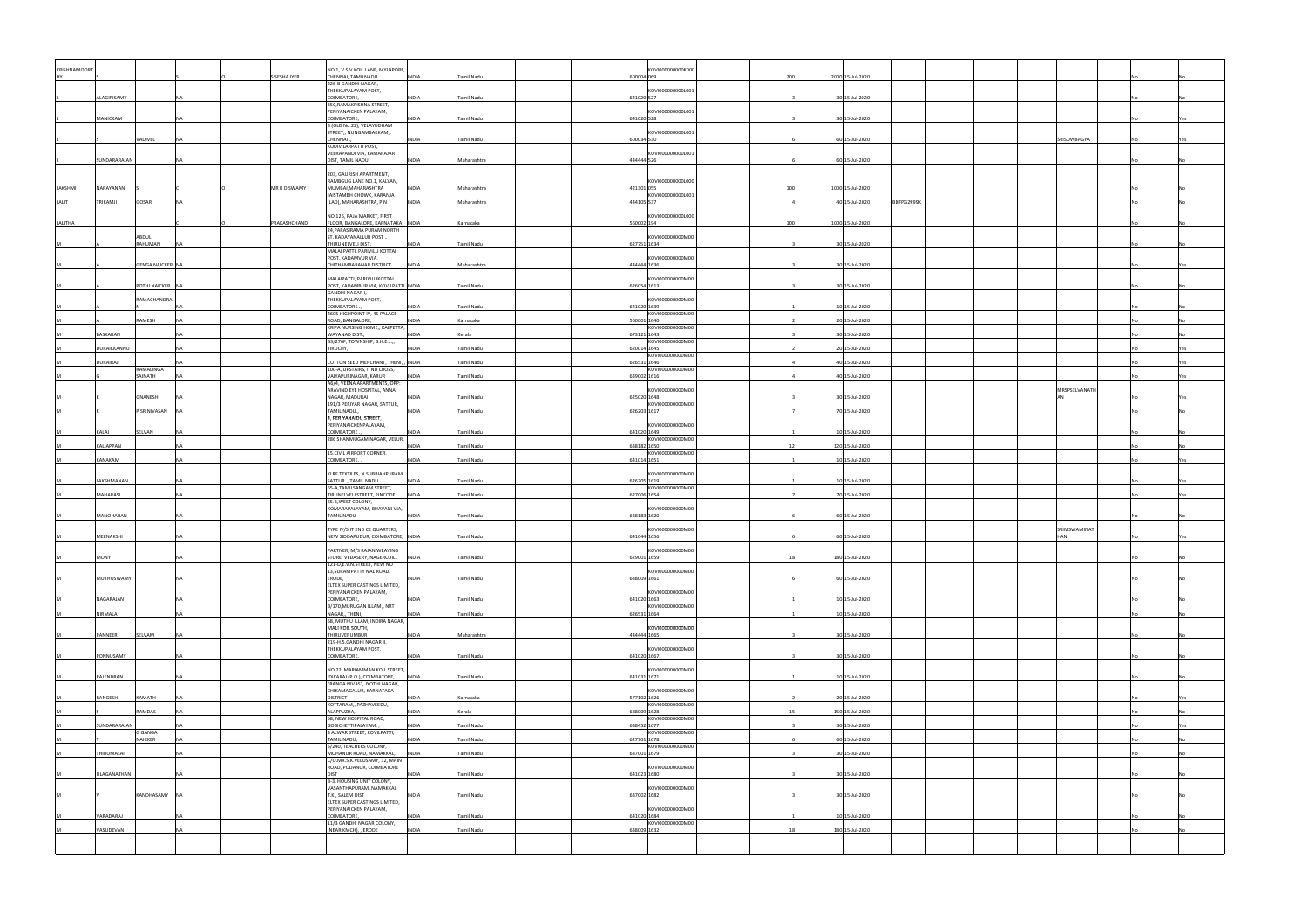| <b>KRISHNAMOORT</b> |                    |                         |           |              | NO.1, V.S.V.KOIL LANE, MYLAPORE,                                      |              |                   | KOVI000000000K000               |     |                              |               |    |     |
|---------------------|--------------------|-------------------------|-----------|--------------|-----------------------------------------------------------------------|--------------|-------------------|---------------------------------|-----|------------------------------|---------------|----|-----|
|                     |                    |                         |           | S SESHA IYER | CHENNAI, TAMILNADU                                                    | INDIA        | Tamil Nadu        | 600004 069                      | 200 | 2000 15-Jul-2020             |               |    |     |
|                     |                    |                         |           |              | 226-B GANDHI NAGAR,<br>THEKKUPALAYAM POST,                            |              |                   | KOVI000000000L001               |     |                              |               |    |     |
|                     | ALAGIRISAMY        |                         |           |              | COIMBATORE,                                                           | <b>INDIA</b> | Tamil Nadu        | 641020 527                      |     | 30 15-Jul-2020               |               |    |     |
|                     |                    |                         |           |              | 35C, RAMAKRISHNA STREET,<br>PERIYANAICKEN PALAYAM,                    |              |                   | KOVI000000000L001               |     |                              |               |    |     |
|                     | MANICKAM           |                         |           |              | COIMBATORE,<br>8 (OLD No.22), VELAYUDHAM                              | <b>INDIA</b> | Tamil Nadu        | 641020 528                      |     | 30 15-Jul-2020               |               |    |     |
|                     |                    |                         |           |              | STREET,, NUNGAMBAKKAM,,                                               |              |                   | KOVI000000000L001               |     |                              |               |    |     |
|                     |                    | VADIVEL                 |           |              | CHENNAI.<br>KODIVILARPATTI POST,                                      | INDIA        | Tamil Nadu        | 600034 530                      |     | 60 15-Jul-2020               | SRISOWBAGYA   |    |     |
|                     |                    |                         |           |              | VEERAPANDI VIA, KAMARAJAR                                             |              |                   | KOVI000000000L001               |     |                              |               |    |     |
|                     | SUNDARARAJAN       |                         |           |              | DIST, TAMIL NADU                                                      | <b>INDIA</b> | Maharashtra       | 444444 526                      |     | 60 15-Jul-2020               |               |    |     |
|                     |                    |                         |           |              | 203, GAURISH APARTMENT,<br>RAMBGUG LANE NO.1, KALYAN,                 |              |                   | KOVI000000000L000               |     |                              |               |    |     |
| LAKSHMI             | NARAYANAN          |                         |           | MR R D SWAMY | MUMBAI, MAHARASHTRA                                                   | INDIA        | Maharashtra       | 421301 055                      | 100 | 1000 15-Jul-2020             |               |    |     |
| LALIT               | TRIKAMJI           | GOSAR                   |           |              | JAISTAMBH CHOWK, KARANJA<br>(LAD), MAHARASHTRA, PIN                   | <b>INDIA</b> | Maharashtra       | KOVI000000000L001<br>444105 537 |     | BDFPG2999K<br>40 15-Jul-2020 |               |    |     |
|                     |                    |                         |           |              |                                                                       |              |                   |                                 |     |                              |               |    |     |
| LALITHA             |                    |                         |           | PRAKASHCHAND | NO.126, RAJA MARKET, FIRST<br>FLOOR, BANGALORE, KARNATAKA INDIA       |              | Karnataka         | KOVI000000000L000<br>560002 194 | 100 | 1000 15-Jul-2020             |               |    |     |
|                     |                    | ABDUL                   |           |              | 24, PARASIRAMA PURAM NORTH<br>ST, KADAYANALLUR POST.,                 |              |                   | KOVI000000000M00                |     |                              |               |    |     |
|                     |                    | RAHUMAN                 |           |              | THIRUNELVELI DIST,                                                    | <b>INDIA</b> | Tamil Nadu        | 627751 1634                     |     | 30 15-Jul-2020               |               |    |     |
|                     |                    |                         |           |              | MALAI PATTI, PARIVILLI KOTTAI<br>POST, KADAMVUR VIA,                  |              |                   | KOVI000000000M00                |     |                              |               |    |     |
|                     |                    | <b>GENGA NAICKER NA</b> |           |              | CHITHAMBARANAR DISTRICT                                               | <b>INDIA</b> | Maharashtra       | 444444 1636                     |     | 30 15-Jul-2020               |               |    |     |
|                     |                    |                         |           |              | MALAIPATTI, PARIVILLIKOTTAI                                           |              |                   | KOVI000000000M00                |     |                              |               |    |     |
|                     |                    | POTHI NAICKER NA        |           |              | POST, KADAMBUR VIA, KOVILPATTI INDIA<br>GANDHI NAGAR I,               |              | Tamil Nadu        | 626054 1613                     |     | 30 15-Jul-2020               |               |    |     |
|                     |                    | RAMACHANDRA             |           |              | THEKKUPALAYAM POST,                                                   |              |                   | KOVI000000000M00                |     |                              |               |    |     |
|                     |                    |                         |           |              | COIMBATORE<br>4605 HIGHPOINT IV, 45 PALACE                            | INDIA        | <b>Tamil Nadu</b> | 641020 1639<br>KOVI000000000M00 |     | 10 15-Jul-2020               |               |    |     |
|                     |                    | <b>AMESH</b>            |           |              | ROAD, BANGALORE,<br>KRIPA NURSING HOME,, KALPETTA,                    | <b>INDIA</b> | Karnataka         | 560001 1640<br>KOVI000000000M00 |     | 20 15-Jul-2020               |               |    |     |
|                     | BASKARAN           |                         |           |              | WAYANAD DIST.,                                                        | INDIA        | Kerala            | 673121 1643                     |     | 30 15-Jul-2020               |               |    |     |
|                     | DURAIKKANNU        |                         |           |              | B3/276F, TOWNSHIP, B.H.E.L.,,<br>TIRUCHY,                             | <b>INDIA</b> | Tamil Nadu        | KOVI000000000M00<br>620014 1645 |     | 20 15-Jul-2020               |               |    |     |
|                     |                    |                         |           |              |                                                                       |              |                   | KOVI000000000M00                |     |                              |               |    |     |
|                     | DURAIRAJ           | RAMALINGA               |           |              | COTTON SEED MERCHANT, THENI, , INDIA<br>100-A, UPSTAIRS, II ND CROSS, |              | Tamil Nadu        | 626531 1646<br>KOVI000000000M00 |     | 40 15-Jul-2020               |               |    |     |
|                     |                    | SAINATH                 |           |              | VAIYAPURINAGAR, KARUR<br>A6/4, VEENA APARTMENTS, OPP:                 | <b>INDIA</b> | Tamil Nadu        | 639002 1616                     |     | 40 15-Jul-2020               |               |    |     |
|                     |                    |                         |           |              | ARAVIND EYE HOSPITAL, ANNA                                            |              |                   | KOVI000000000M00                |     |                              | MRSPSELVANATH |    |     |
|                     |                    | GNANESH<br>N            |           |              | NAGAR, MADURAI<br>191/3 PERIYAR NAGAR, SATTUR,                        | <b>INDIA</b> | Tamil Nadu        | 625020 1648<br>KOVI000000000M00 |     | 30 15-Jul-2020               | ΔN            | No | Yes |
|                     |                    | SRINIVASAN              |           |              | TAMIL NADU.,                                                          | <b>INDIA</b> | Tamil Nadu        | 626203 1617                     |     | 70 15-Jul-2020               |               |    |     |
|                     |                    |                         |           |              | 4, PERIYANAIDU STREET,<br>PERIYANAICKENPALAYAM,                       |              |                   | KOVI000000000M00                |     |                              |               |    |     |
|                     | KALAI              | SELVAN                  |           |              | COIMBATORE.<br>286 SHANMUGAM NAGAR, VELUR,                            | INDIA        | Tamil Nadu        | 641020 1649<br>KOVI000000000M00 |     | 10 15-Jul-2020               |               |    |     |
|                     | KALIAPPAN          |                         | NA        |              |                                                                       | <b>INDIA</b> | <b>Tamil Nadu</b> | 638182 1650                     |     | 120 15-Jul-2020              |               |    |     |
|                     | KANAKAM            |                         | <b>NA</b> |              | 15, CIVIL AIRPORT CORNER,<br>COIMBATORE,                              | INDIA        | Tamil Nadu        | KOVI000000000M00<br>641014 1651 |     | 10 15-Jul-2020               |               |    |     |
|                     |                    |                         |           |              | KLRF TEXTILES, N.SUBBIAHPURAM,                                        |              |                   | KOVI000000000M00                |     |                              |               |    |     |
|                     | LAKSHMANAN         |                         |           |              | SATTUR ., TAMIL NADU.                                                 | <b>INDIA</b> | Tamil Nadu        | 626205 1619                     |     | 10 15-Jul-2020               |               |    |     |
|                     | MAHARASI           |                         |           |              | 65-A,TAMILSANGAM STREET,<br>TIRUNELVELI STREET, PINCODE, INDIA        |              | Tamil Nadu        | KOVI000000000M00<br>627006 1654 |     | 70 15-Jul-2020               |               |    | Yes |
|                     |                    |                         |           |              | 65.B, WEST COLONY,                                                    |              |                   |                                 |     |                              |               |    |     |
|                     | MANOHARAN          |                         |           |              | KOMARAPALAYAM, BHAVANI VIA,<br>TAMIL NADU                             | <b>INDIA</b> | Tamil Nadu        | KOVI000000000M00<br>638183 1620 |     | 60 15-Jul-2020               |               |    |     |
|                     |                    |                         |           |              | TYPE IV/5 IT 2ND CE QUARTERS,                                         |              |                   | KOVI000000000M00                |     |                              | SRIMSWAMINAT  |    |     |
|                     | MEENAKSHI          |                         |           |              | NEW SIDDAPUDUR, COIMBATORE, INDIA                                     |              | Tamil Nadu        | 641044 1656                     |     | 60 15-Jul-2020               | HAN           |    |     |
|                     |                    |                         |           |              | PARTNER, M/S RAJAN WEAVING                                            |              |                   | <b>IKOVI000000000M00</b>        |     |                              |               |    |     |
|                     | <b>MONY</b>        |                         |           |              | STORE, VEDASERY, NAGERCOIL . INDIA<br>121-D,E.V.N.STREET, NEW NO      |              | Tamil Nadu        | 629001 1659                     |     | 180 15-Jul-2020              |               |    |     |
|                     |                    |                         |           |              | 13, SURAMPATTY NAL ROAD,                                              |              |                   | KOVI000000000M00                |     |                              |               |    |     |
|                     | MUTHUSWAMY         |                         |           |              | ERODE,<br>ELTEX SUPER CASTINGS LIMITED,                               | <b>INDIA</b> | <b>Tamil Nadu</b> | 638009 1661                     |     | 60 15-Jul-2020               |               |    |     |
|                     |                    |                         |           |              | PERIYANAICKEN PALAYAM,                                                |              |                   | KOVI000000000M00                |     |                              |               |    |     |
|                     | NAGARAJAN          |                         |           |              | COIMBATORE,<br>B/170, MURUGAN ILLAM,, NRT                             | <b>INDIA</b> | Tamil Nadu        | 641020 1663<br>KOVI000000000M00 |     | 10 15-Jul-2020               |               |    |     |
|                     | NIRMALA            |                         |           |              | NAGAR,, THENI,<br>58, MUTHU ILLAM, INDIRA NAGAR,                      | <b>INDIA</b> | Tamil Nadu        | 626531 1664                     |     | 10 15-Jul-2020               |               |    |     |
|                     |                    |                         |           |              | MALI KOIL SOUTH,                                                      |              |                   | KOVI000000000M00                |     |                              |               |    |     |
|                     | PANNEER            | SELVAM                  | <b>NA</b> |              | THIRUVERUMBUR<br>219-H.5, GANDHI NAGAR II,                            | INDIA        | Maharashtra       | 444444 1665                     |     | 30 15-Jul-2020               |               |    |     |
|                     | PONNUSAMY          |                         |           |              | THEKKUPALAYAM POST,<br>COIMBATORE,                                    | <b>INDIA</b> | Tamil Nadu        | KOVI000000000M00<br>641020 1667 |     | 30 15-Jul-2020               |               |    |     |
|                     |                    |                         |           |              |                                                                       |              |                   |                                 |     |                              |               |    |     |
|                     | RAJENDRAN          |                         |           |              | NO.22, MARIAMMAN KOIL STREET,<br>IDIKARAI (P.O.), COIMBATORE,         | <b>INDIA</b> | Tamil Nadu        | KOVI000000000M00<br>641031 1671 |     | 10 15-Jul-2020               |               |    |     |
|                     |                    |                         |           |              | "RANGA NIVAS", JYOTHI NAGAR,                                          |              |                   |                                 |     |                              |               |    |     |
|                     | RANGESH            | KAMATH                  |           |              | CHIKAMAGALUR, KARNATAKA<br><b>DISTRICT</b>                            | <b>INDIA</b> | Karnataka         | KOVI000000000M00<br>577102 1626 |     | 20 15-Jul-2020               |               |    |     |
|                     |                    | RAMDAS                  |           |              | KOTTARAM,, PAZHAVEEDU,,<br>ALAPPUZHA,                                 | INDIA        |                   | KOVI000000000M00<br>688009 1628 |     | 150 15-Jul-2020              |               |    |     |
|                     |                    |                         |           |              | 58, NEW HOSPITAL ROAD,                                                |              | Kerala            | KOVI000000000M00                |     |                              |               |    |     |
|                     | SUNDARARAJAN       | G GANGA                 |           |              | GOBICHETTIPALAYAM,<br>3 ALWAR STREET, KOVILPATTI,                     | INDIA        | Tamil Nadu        | 638452 1677<br>KOVI000000000M00 |     | 30 15-Jul-2020               |               |    |     |
|                     |                    | NAICKER                 |           |              | TAMIL NADU,                                                           | <b>INDIA</b> | Tamil Nadu        | 627701 1678                     |     | 60 15-Jul-2020               |               |    |     |
|                     | THIRUMALAI         |                         |           |              | 5/240, TEACHERS COLONY,<br>MOHANUR ROAD, NAMAKKAL,                    | <b>INDIA</b> | Tamil Nadu        | KOVI000000000M00<br>637001 1679 |     | 30 15-Jul-2020               |               |    |     |
|                     |                    |                         |           |              | C/O.MR.S.K.VELUSAMY, 32, MAIN                                         |              |                   | KOVI000000000M00                |     |                              |               |    |     |
|                     | <b>JLAGANATHAN</b> |                         |           |              | ROAD, PODANUR, COIMBATORE<br><b>DIST</b>                              | <b>INDIA</b> | Tamil Nadu        | 641023 1680                     |     | 30 15-Jul-2020               |               |    |     |
|                     |                    |                         |           |              | B-3, HOUSING UNIT COLONY,<br>VASANTHAPURAM, NAMAKKAL                  |              |                   | KOVI000000000M00                |     |                              |               |    |     |
|                     |                    | KANDHASAMY NA           |           |              | T.K., SALEM DIST                                                      | <b>INDIA</b> | Tamil Nadu        | 637002 1682                     |     | 30 15-Jul-2020               |               |    |     |
|                     |                    |                         |           |              | ELTEX SUPER CASTINGS LIMITED,<br>PERIYANAICKEN PALAYAM,               |              |                   | KOVI000000000M00                |     |                              |               |    |     |
|                     | VARADARAJ          |                         |           |              | COIMBATORE,<br>11/3 GANDHI NAGAR COLONY,                              | <b>INDIA</b> | Tamil Nadu        | 641020 1684<br>KOVI000000000M00 |     | 10 15-Jul-2020               |               |    |     |
|                     | VASUDEVAN          |                         |           |              | (NEAR KMCH), , ERODE                                                  | <b>INDIA</b> | Tamil Nadu        | 638009 1632                     |     | 180 15-Jul-2020              |               |    |     |
|                     |                    |                         |           |              |                                                                       |              |                   |                                 |     |                              |               |    |     |
|                     |                    |                         |           |              |                                                                       |              |                   |                                 |     |                              |               |    |     |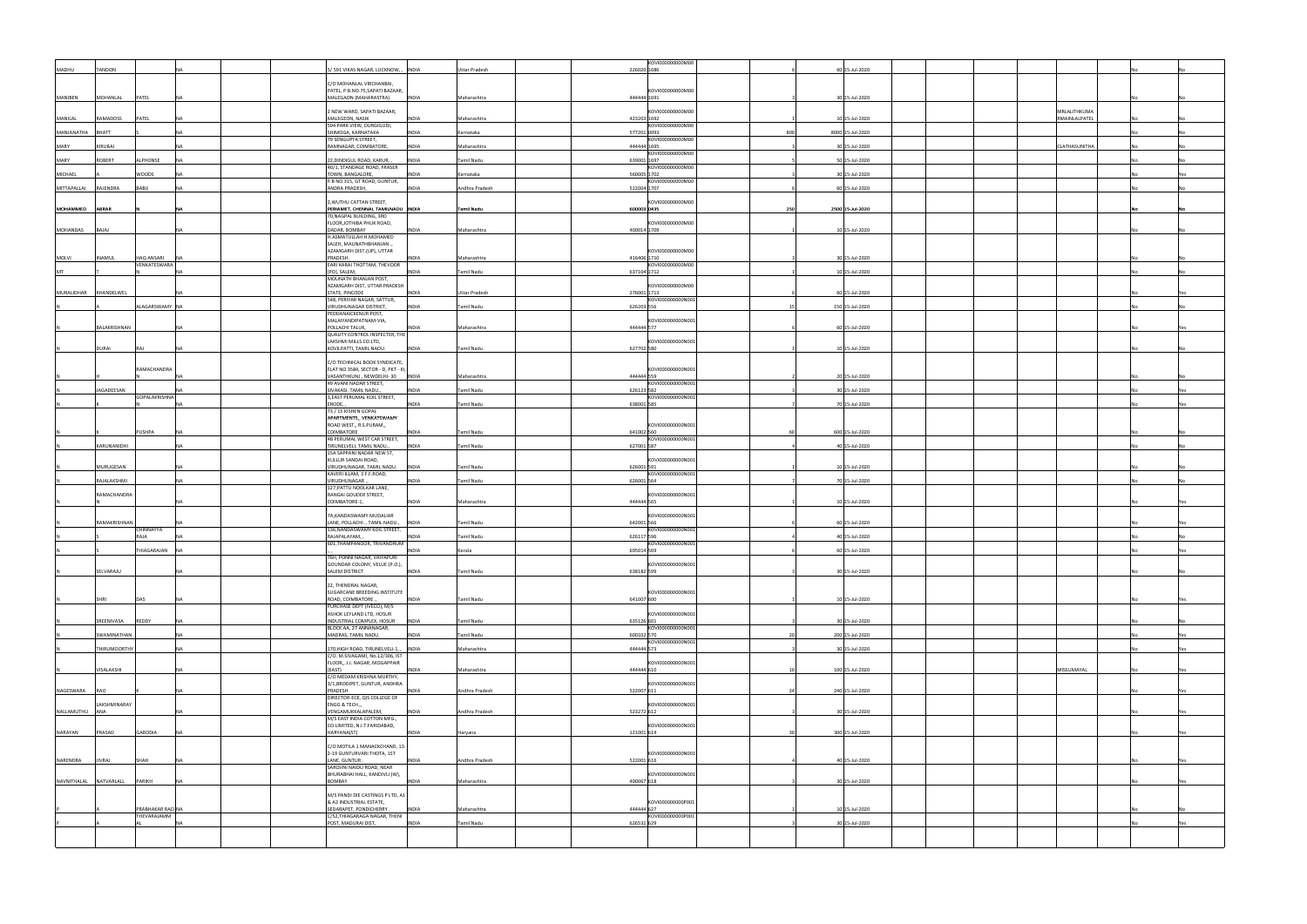| MADHU                  | <b>TANDON</b>       |                            |           | 5/591 VIKAS NAGAR, LUCKNOW, ,<br>INDIA                                                                 | <b>Uttar Pradesh</b>      | KOVI000000000M00<br>226020 1686                      |     | 60 15-Jul-2020   |  |                               |  |     |
|------------------------|---------------------|----------------------------|-----------|--------------------------------------------------------------------------------------------------------|---------------------------|------------------------------------------------------|-----|------------------|--|-------------------------------|--|-----|
|                        |                     |                            |           | C/O MOHANLAL VIRCHANBAI,                                                                               |                           |                                                      |     |                  |  |                               |  |     |
| MANIBEN                | MOHANLAL            | PATEL                      |           | PATEL, P.B.NO.75, SAPATI BAZAAR,<br>MALEGAON (MAHARASTRA)<br><b>INDIA</b>                              | Maharashtra               | KOVI000000000M00<br>444444 1691                      |     | 30 15-Jul-2020   |  |                               |  |     |
| MANILAL                | RAMADOSS            | PATEL                      | <b>NA</b> | 2 NEW WARD, SAPATI BAZAAR,<br>MALEGEON, NASIK<br><b>INDIA</b>                                          | Maharashtra               | KOVI000000000M00<br>423203 1692                      |     | 10 15-Jul-2020   |  | MRLALITHKUMA<br>RMAINLALPATEL |  |     |
| MANJANATHA             | <b>BHATT</b>        |                            | NΔ        | 594 PARK VIEW, DURGIGUDI,<br>SHIMOGA, KARNATAKA<br><b>INDIA</b>                                        | Karnataka                 | KOVI000000000M00<br>577201 0093                      | 800 | 8000 15-Jul-2020 |  |                               |  |     |
| MARY                   | KIRUBAI             |                            |           | 79 SENGUPTA STREET,<br>RAMNAGAR, COIMBATORE,<br><b>INDIA</b>                                           | Maharashtra               | KOVI000000000M00<br>444444 1695                      |     | 30 15-Jul-2020   |  | CLATHASUNITHA                 |  |     |
| MARY                   | <b>ROBERT</b>       | ALPHONSE                   | <b>NA</b> | 22, DINDIGUL ROAD, KARUR,<br><b>INDIA</b>                                                              | Tamil Nadu                | KOVI000000000M00<br>639001 1697                      |     | 50 15-Jul-2020   |  |                               |  |     |
| MICHAEL                |                     | WOODS                      | <b>NA</b> | 40/1, STANDAGE ROAD, FRASER<br>TOWN, BANGALORE,<br><b>INDIA</b>                                        | Karnataka                 | KOVI000000000M00<br>560005 1702                      |     | 30 15-Jul-2020   |  |                               |  |     |
| MITTAPALLAI            | RAJENDRA            | BABU                       | NΔ        | P.B NO 315, GT ROAD, GUNTUR,<br>ANDRA PRADESH,<br><b>INDIA</b>                                         | Andhra Pradesh            | KOVI000000000M00<br>522004 1707                      |     | 60 15-Jul-2020   |  |                               |  |     |
| MOHAMMED               | <b>ABRAR</b>        |                            |           | 2, WUTHU CATTAN STREET,<br>PERIAMET, CHENNAI, TAMILNADU INDIA                                          | Tamil Nadu                | KOVI000000000M00<br>600003 0435                      | 250 | 2500 15-Jul-2020 |  |                               |  |     |
|                        |                     |                            |           | 70, NAGPAL BUILDING, 3RD<br>FLOOR, JOTHIBA PHUK ROAD,                                                  |                           | KOVI000000000M00                                     |     |                  |  |                               |  |     |
| MOHANDAS               | BAJAJ               |                            | <b>NA</b> | DADAR, BOMBAY<br><b>INDIA</b><br>H.ASMATULLAH H.MOHAMED                                                | Maharashtra               | 400014 1709                                          |     | 10 15-Jul-2020   |  |                               |  |     |
|                        |                     |                            |           | SALEH, MAUNATHBHANJAN.,<br>AZAMGARH DIST.(UP), UTTAR                                                   |                           | KOVI000000000M00                                     |     |                  |  |                               |  |     |
| MOLVI                  | <b>INAMUL</b>       | HAQ ANSARI<br>VENKATESWARA |           | PRADESH.<br><b>INDIA</b><br>EARI KARAI THOTTAM, THEVOOR                                                | Maharashtra               | 416406 1710<br>KOVI000000000M00                      |     | 30 15-Jul-2020   |  |                               |  |     |
| MT                     |                     |                            | <b>NA</b> | [PO], SALEM,<br><b>INDIA</b><br>MOUNATH BHANJAN POST,                                                  | Tamil Nadu                | 637104 1712                                          |     | 10 15-Jul-2020   |  |                               |  |     |
| MURALIDHAR             | KHANDELWEL          |                            | <b>NA</b> | AZAMGARH DIST, UTTAR PRADESH<br>STATE, PINCODE<br><b>INDIA</b><br>548, PERIYAR NAGAR, SATTUR,          | <b>Uttar Pradesh</b>      | KOVI000000000M00<br>276001 1713<br>KOVI000000000N001 |     | 60 15-Jul-2020   |  |                               |  |     |
|                        |                     | ALAGARSWAMY NA             |           | VIRUDHUNAGAR DISTRICT,<br><b>INDIA</b><br>PEDDANAICKENUR POST,                                         | <b>Tamil Nadu</b>         | 626203 556                                           |     | 150 15-Jul-2020  |  |                               |  |     |
|                        | <b>BALAKRISHNAN</b> |                            |           | MALAIYANDIPATNAM-VIA,<br>POLLACHI TALUK,<br>INDIA                                                      | Maharashtra               | KOVI000000000N001<br>444444 577                      |     | 60 15-Jul-2020   |  |                               |  |     |
|                        |                     |                            |           | QUALITY CONTROL INSPECTER, THE<br>LAKSHMI MILLS CO.LTD,                                                |                           | KOVI000000000N001                                    |     |                  |  |                               |  |     |
|                        | <b>DURAI</b>        | RAI                        | <b>NA</b> | KOVILPATTI, TAMIL NADU.<br><b>INDIA</b>                                                                | <b>Tamil Nadu</b>         | 627702 580                                           |     | 10 15-Jul-2020   |  |                               |  |     |
|                        |                     | RAMACHANDRA                |           | C/O TECHNICAL BOOK SYNDICATE,<br>FLAT NO 3584, SECTOR - D, PKT - III,                                  |                           | KOVI000000000N001<br>444444 559                      |     | 20 15-Jul-2020   |  |                               |  |     |
|                        | JAGADEESAN          |                            |           | VASANTHKUNJ, NEWDELHI-30  INDIA<br>49 AVANI NADAR STREET,<br>SIVAKASI, TAMIL NADU.,<br><b>INDIA</b>    | Maharashtra<br>Tamil Nadu | KOVI000000000N001<br>626123 582                      |     | 30 15-Jul-2020   |  |                               |  |     |
|                        |                     | GOPALAKRISHNA              |           | 3, EAST PERUMAL KOIL STREET,<br>ERODE,<br><b>INDIA</b>                                                 | <b>Tamil Nadu</b>         | KOVI000000000N001<br>638001 585                      |     | 70 15-Jul-2020   |  |                               |  |     |
|                        |                     |                            |           | 73 / 15 KISHEN GOPAL<br>APARTMENTS,, VENKATSWAMY                                                       |                           |                                                      |     |                  |  |                               |  |     |
|                        |                     | PUSHPA                     |           | ROAD WEST,, R.S.PURAM,,<br>COIMBATORE<br><b>INDIA</b>                                                  | Tamil Nadu                | KOVI000000000N001<br>641002 560                      |     | 600 15-Jul-2020  |  |                               |  |     |
|                        | KARUNANIDHI         |                            | <b>NA</b> | 4B PERUMAL WEST CAR STREET,<br>TIRUNELVELI, TAMIL NADU.,<br><b>INDIA</b>                               | <b>Tamil Nadu</b>         | KOVI000000000N001<br>627001 587                      |     | 40 15-Jul-2020   |  |                               |  |     |
|                        | MURUGESAN           |                            | <b>NA</b> | 15A SAPPANI NADAR NEW ST,<br>KULLUR SANDAI ROAD,<br>VIRUDHUNAGAR, TAMIL NADU.<br>INDIA                 | <b>Tamil Nadu</b>         | KOVI000000000N001<br>626001 591                      |     | 10 15-Jul-2020   |  |                               |  |     |
|                        | RAJALAKSHMI         |                            | <b>NA</b> | KAVERI ILLAM, 3 F.F.ROAD,<br>VIRUDHUNAGAR.<br><b>INDIA</b>                                             | Tamil Nadu                | KOVI000000000N001<br>626001 564                      |     | 70 15-Jul-2020   |  |                               |  |     |
|                        | RAMACHANDRA         |                            |           | 127, PATTU NOOLKAR LANE,<br>RANGAI GOUDER STREET,                                                      |                           | KOVI000000000N001                                    |     |                  |  |                               |  |     |
|                        |                     |                            | NΔ        | COIMBATORE-1,<br><b>INDIA</b><br>7A,KANDASWAMY MUDALIAR                                                | Maharashtra               | 444444 565                                           |     | 10 15-Jul-2020   |  |                               |  |     |
|                        | RAMAKRISHNAN        | CHINNAYYA                  |           | LANE, POLLACHI ., TAMIL NADU.,<br><b>INDIA</b><br>136, NANDASWAMY KOIL STREET,                         | <b>Tamil Nadu</b>         | KOVI000000000N001<br>642001 566<br>KOVI000000000N001 |     | 60 15-Jul-2020   |  |                               |  |     |
|                        |                     | RAJA                       |           | RAJAPALAYAM,<br><b>INDIA</b><br>601, THAMPANOOR, TRIVANDRUM                                            | <b>Tamil Nadu</b>         | 626117 596<br>KOVI000000000N001                      |     | 40 15-Jul-2020   |  |                               |  |     |
|                        |                     | IHIAGARAJAN INA            |           | NDIA<br>76H, PONNI NAGAR, VAIYAPURI                                                                    | Kerala                    | 695014 569                                           |     | 60 15-Jul-2020   |  |                               |  |     |
|                        | SELVARAJU           |                            | <b>NA</b> | GOUNDAR COLONY, VELUE (P.O.),<br><b>SALEM DISTRICT</b><br><b>INDIA</b>                                 | Tamil Nadu                | KOVI000000000N001<br>638182 599                      |     | 30 15-Jul-2020   |  |                               |  |     |
|                        |                     |                            |           | 22, THENDRAL NAGAR,<br>SUGARCANE BREEDING INSTITUTE                                                    |                           | KOVI000000000N001                                    |     |                  |  |                               |  |     |
|                        | SHRI                | DAS                        | <b>NA</b> | ROAD, COIMBATORE.<br><b>INDIA</b><br>PURCHASE DEPT (IVECO), M/S                                        | <b>Tamil Nadu</b>         | 641007 600                                           |     | 10 15-Jul-2020   |  |                               |  | Yes |
|                        | SREENIVASA          | REDDY                      | <b>NA</b> | ASHOK LEYLAND LTD, HOSUR<br>INDUSTRIAL COMPLEX, HOSUR<br><b>INDIA</b>                                  | Tamil Nadu                | KOVI000000000N001<br>635126 601                      |     | 30 15-Jul-2020   |  |                               |  |     |
|                        | SWAMINATHAN         |                            | <b>NA</b> | BLOCK AA, 27 ANNANAGAR,<br>MADRAS, TAMIL NADU.<br>INDIA                                                | Tamil Nadu                | KOVI000000000N001<br>600102 570                      |     | 200 15-Jul-2020  |  |                               |  | Yes |
|                        | THIRUMOORTHY        |                            | <b>NA</b> | 170, HIGH ROAD, TIRUNELVELI-1, , INDIA<br>C/O. M.SIVAGAMI, No.12/306, IST                              | Maharashtra               | KOVI000000000N001<br>444444 573                      |     | 30 15-Jul-2020   |  |                               |  | Yes |
|                        | VISALAKSHI          |                            | <b>NA</b> | FLOOR,, J.J. NAGAR, MOGAPPAIR<br>(EAST)<br><b>INDIA</b>                                                | Maharashtra               | KOVI000000000N001<br>444444 610                      |     | 100 15-Jul-2020  |  | MISSUMAYAL                    |  |     |
|                        |                     |                            |           | C/O MEDAM KRISHNA MURTHY,<br>3/1, BRODIPET, GUNTUR, ANDHRA                                             |                           | KOVI000000000N001                                    |     |                  |  |                               |  |     |
| NAGESWARA              | RAO                 |                            | <b>NA</b> | PRADESH<br><b>INDIA</b><br>DIRECTOR-ECE, QIS COLLEGE OF                                                | Andhra Pradesh            | 522007 611                                           |     | 240 15-Jul-2020  |  |                               |  | Yes |
| NALLAMUTHU ANA         | LAKSHMINARAY        |                            | <b>NA</b> | ENGG & TECH.,,<br>VENGAMUKKALAPALEM,<br><b>INDIA</b>                                                   | Andhra Pradesh            | KOVI000000000N001<br>523272 612                      |     | 30 15-Jul-2020   |  |                               |  |     |
| NARAYAN                | PRASAD              | GARODIA                    | <b>NA</b> | M/S EAST INDIA COTTON MFG.,<br>CO.LIMITED, N.I.T.FARIDABAD,<br>HARYANA(ST)<br><b>INDIA</b>             |                           | KOVI000000000N001<br>121001 614                      |     | 300 15-Jul-2020  |  |                               |  |     |
|                        |                     |                            |           | C/O MOTILA 1 MANACKCHAND, 13-                                                                          | Haryana                   |                                                      |     |                  |  |                               |  |     |
| NARENDRA               | <b>JIVRAJ</b>       | SHAH                       | <b>NA</b> | 2-19 GUNTURVARI THOTA, 1ST<br>LANE, GUNTUR.<br><b>INDIA</b>                                            | Andhra Pradesh            | KOVI000000000N001<br>522001 616                      |     | 40 15-Jul-2020   |  |                               |  |     |
|                        |                     |                            |           | SAROJINI NAIDU ROAD, NEAR<br>BHURABHAI HALL, KANDIVLI (W),                                             |                           | KOVI000000000N001                                    |     |                  |  |                               |  |     |
| NAVNITHALAL NATVARLALL |                     | <b>PARIKH</b>              |           | BOMBAY<br><b>INDIA</b>                                                                                 | Maharashtra               | 400067 618                                           |     | 30 15-Jul-2020   |  |                               |  |     |
|                        |                     | PRABHAKAR RAO NA           |           | M/S PANDI DIE CASTINGS P LTD, A1<br>& A2 INDUSTRIAL ESTATE,<br>SEDARAPET, PONDICHERRY.<br><b>INDIA</b> | Maharashtra               | KOVI000000000P001<br>444444 627                      |     | 10 15-Jul-2020   |  |                               |  |     |
|                        |                     | THEVARAJAMM                | <b>NA</b> | C/52, THIAGARAGA NAGAR, THENI<br>POST, MADURAI DIST,<br><b>INDIA</b>                                   | Tamil Nadu                | KOVI000000000P001<br>626531 629                      |     | 30 15-Jul-2020   |  |                               |  | Yes |
|                        |                     |                            |           |                                                                                                        |                           |                                                      |     |                  |  |                               |  |     |
|                        |                     |                            |           |                                                                                                        |                           |                                                      |     |                  |  |                               |  |     |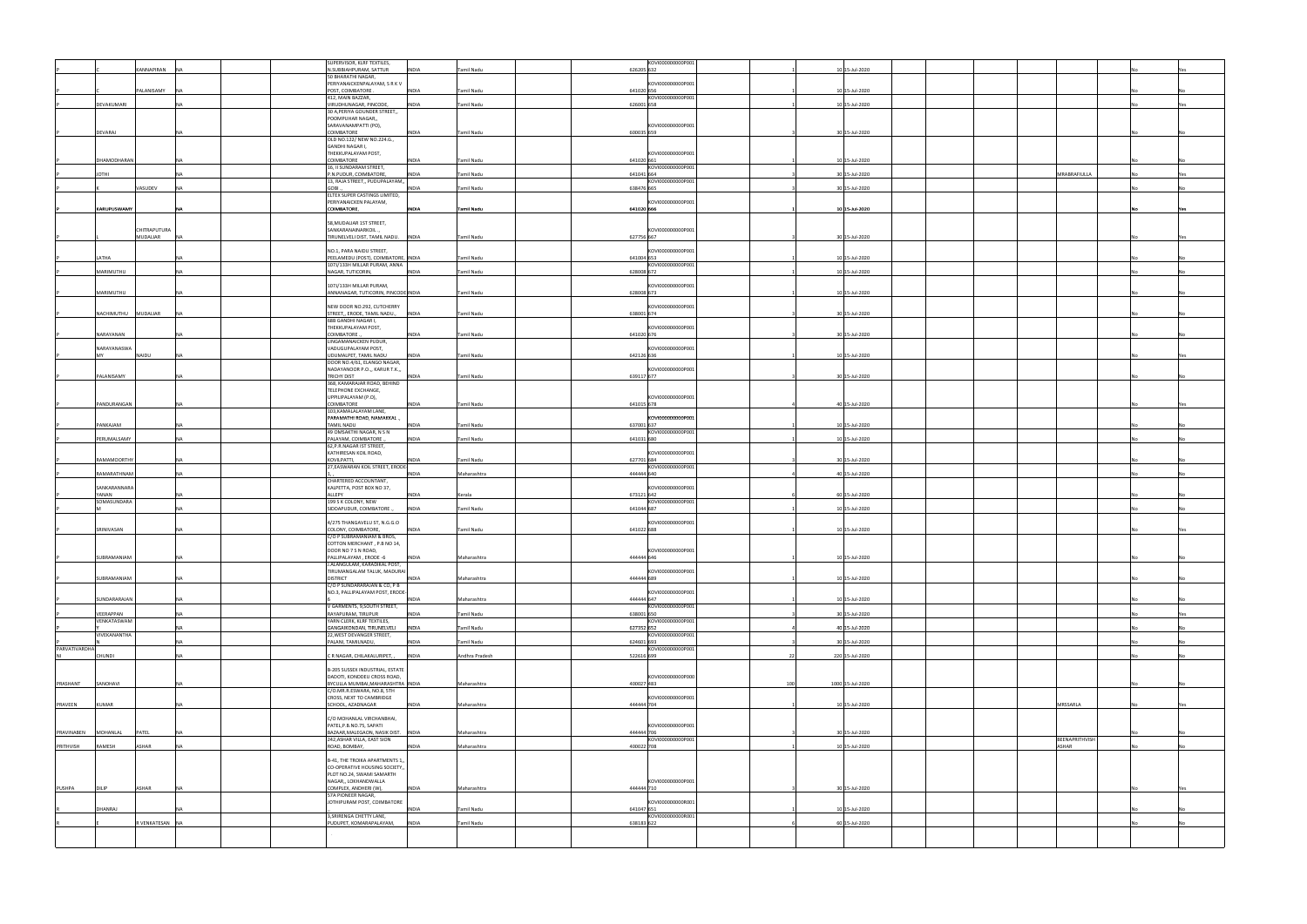|               |                          |                 |            | SUPERVISOR, KLRF TEXTILES,                                      |              |                   |            | KOVI000000000P001 |     |                  |  |                |     |
|---------------|--------------------------|-----------------|------------|-----------------------------------------------------------------|--------------|-------------------|------------|-------------------|-----|------------------|--|----------------|-----|
|               |                          | KANNAPIRAN      | <b>INA</b> | N.SUBBIAHPURAM, SATTUR<br>50 BHARATHI NAGAR,                    | <b>INDIA</b> | Tamil Nadu        | 626205 632 |                   |     | 10 15-Jul-2020   |  |                |     |
|               |                          |                 |            | PERIYANAICKENPALAYAM, S R K V                                   |              |                   |            | KOVI000000000P001 |     |                  |  |                |     |
|               |                          | PALANISAMY      | <b>NA</b>  | POST, COIMBATORE.                                               | <b>INDIA</b> | <b>Tamil Nadu</b> | 641020 656 |                   |     | 10 15-Jul-2020   |  |                |     |
|               |                          |                 |            | 412, MAIN BAZZAR,                                               |              |                   |            | KOVI000000000P001 |     |                  |  |                |     |
|               | DEVAKUMARI               |                 | <b>NA</b>  | VIRUDHUNAGAR, PINCODE,<br>30 A, PERIYA GOUNDER STREET,,         | <b>INDIA</b> | Tamil Nadu        | 626001 658 |                   |     | 10 15-Jul-2020   |  |                |     |
|               |                          |                 |            | POOMPUHAR NAGAR,,                                               |              |                   |            |                   |     |                  |  |                |     |
|               |                          |                 |            | SARAVANAMPATTI (PO),                                            |              |                   |            | KOVI000000000P001 |     |                  |  |                |     |
|               | DEVARAJ                  |                 | <b>NA</b>  | COIMBATORE<br>OLD NO.122/ NEW NO.224.G.,                        | <b>INDIA</b> | Tamil Nadu        | 600035 659 |                   |     | 30 15-Jul-2020   |  |                |     |
|               |                          |                 |            | GANDHI NAGAR I,                                                 |              |                   |            |                   |     |                  |  |                |     |
|               |                          |                 |            | THEKKUPALAYAM POST,                                             |              |                   |            | KOVI000000000P001 |     |                  |  |                |     |
|               | DHAMODHARAN              |                 | <b>NA</b>  | COIMBATORE<br>16, II SUNDARAM STREET,                           | <b>INDIA</b> | Tamil Nadu        | 641020 661 | KOVI000000000P001 |     | 10 15-Jul-2020   |  |                |     |
|               | <b>IHTOL</b>             |                 | <b>NA</b>  | P.N.PUDUR, COIMBATORE                                           | <b>INDIA</b> | <b>Tamil Nadu</b> | 641041 664 |                   |     | 30 15-Jul-2020   |  | MRABRAFIULLA   |     |
|               |                          |                 |            | 13, RAJA STREET,, PUDUPALAYAM,,                                 |              |                   |            | KOVI000000000P001 |     |                  |  |                |     |
|               |                          | VASUDEV         | <b>NA</b>  | GOBI.<br>ELTEX SUPER CASTINGS LIMITED,                          | <b>INDIA</b> | Tamil Nadu        | 638476 665 |                   |     | 30 15-Jul-2020   |  |                |     |
|               |                          |                 |            | PERIYANAICKEN PALAYAM,                                          |              |                   |            | KOVI000000000P001 |     |                  |  |                |     |
|               | <b>KARUPUSWAMY</b>       |                 | <b>INA</b> | COIMBATORE,                                                     | <b>INDIA</b> | Tamil Nadu        | 641020 666 |                   |     | 10 15-Jul-2020   |  |                | Yes |
|               |                          |                 |            |                                                                 |              |                   |            |                   |     |                  |  |                |     |
|               |                          | CHITRAPUTURA    |            | 58, MUDALIAR 1ST STREET,<br>SANKARANAINARKOIL.,                 |              |                   |            | KOVI000000000P001 |     |                  |  |                |     |
|               |                          | MUDALIAR        | <b>NA</b>  | TIRUNELVELI DIST, TAMIL NADU. INDIA                             |              | Tamil Nadu        | 627756 667 |                   |     | 30 15-Jul-2020   |  |                |     |
|               |                          |                 |            |                                                                 |              |                   |            |                   |     |                  |  |                |     |
|               | LATHA                    |                 | <b>NA</b>  | NO.1, PARA NAIDU STREET,<br>PEELAMEDU (POST), COIMBATORE, INDIA |              | Tamil Nadu        | 641004 653 | KOVI000000000P001 |     | 10 15-Jul-2020   |  |                |     |
|               |                          |                 |            | 107J/133H MILLAR PURAM, ANNA                                    |              |                   |            | KOVI000000000P001 |     |                  |  |                |     |
|               | MARIMUTHU                |                 | <b>NA</b>  | NAGAR, TUTICORIN,                                               | <b>INDIA</b> | Tamil Nadu        | 628008 672 |                   |     | 10 15-Jul-2020   |  |                |     |
|               |                          |                 |            | 107J/133H MILLAR PURAM,                                         |              |                   |            | KOVI000000000P001 |     |                  |  |                |     |
|               | MARIMUTHU                |                 | <b>INA</b> | ANNANAGAR, TUTICORIN, PINCODE INDIA                             |              | <b>Tamil Nadu</b> | 628008 673 |                   |     | 10 15-Jul-2020   |  |                |     |
|               |                          |                 |            |                                                                 |              |                   |            |                   |     |                  |  |                |     |
|               | NACHIMUTHU               | MUDALIAR        | <b>NA</b>  | NEW DOOR NO.292, CUTCHERRY<br>STREET,, ERODE, TAMIL NADU.,      | <b>INDIA</b> | Tamil Nadu        | 638001 674 | KOVI000000000P001 |     | 30 15-Jul-2020   |  |                |     |
|               |                          |                 |            | 68B GANDHI NAGAR I,                                             |              |                   |            |                   |     |                  |  |                |     |
|               |                          |                 | NΔ         | THEKKUPALAYAM POST,                                             |              |                   |            | KOVI000000000P001 |     |                  |  |                |     |
|               | NARAYANAN                |                 |            | COIMBATORE<br>LINGAMANAICKEN PUDUR,                             | INDIA        | Tamil Nadu        | 641020 676 |                   |     | 30 15-Jul-2020   |  |                |     |
|               | NARAYANASWA              |                 |            | VADUGUPALAYAM POST,                                             |              |                   |            | KOVI000000000P001 |     |                  |  |                |     |
|               | MV                       | NAIDU           | <b>INA</b> | UDUMALPET, TAMIL NADU<br>DOOR NO.4/61, ELANGO NAGAR,            | <b>INDIA</b> | Tamil Nadu        | 642126 636 |                   |     | 10 15-Jul-2020   |  |                |     |
|               |                          |                 |            | NADAYANOOR P.O.,, KARUR T.K.,,                                  |              |                   |            | KOVI000000000P001 |     |                  |  |                |     |
|               | PALANISAMY               |                 | <b>NA</b>  | <b>TRICHY DIST</b>                                              | <b>INDIA</b> | <b>Tamil Nadu</b> | 639117 677 |                   |     | 30 15-Jul-2020   |  |                |     |
|               |                          |                 |            | 368, KAMARAJAR ROAD, BEHIND<br>TELEPHONE EXCHANGE,              |              |                   |            |                   |     |                  |  |                |     |
|               |                          |                 |            | UPPILIPALAYAM (P.O),                                            |              |                   |            | KOVI000000000P001 |     |                  |  |                |     |
|               | PANDURANGAN              |                 | <b>NA</b>  | COIMBATORE                                                      | <b>INDIA</b> | Tamil Nadu        | 641015 678 |                   |     | 40 15-Jul-2020   |  |                |     |
|               |                          |                 |            | 103, KAMALALAYAM LANE,<br>PARAMATHI ROAD, NAMAKKAL.,            |              |                   |            | KOVI000000000P001 |     |                  |  |                |     |
|               | PANKAJAM                 |                 | <b>NA</b>  | TAMIL NADU                                                      | <b>INDIA</b> | Tamil Nadu        | 637001 637 |                   |     | 10 15-Jul-2020   |  |                |     |
|               | PERUMALSAMY              |                 | <b>NA</b>  | 49 OMSAKTHI NAGAR, N S N<br>PALAYAM, COIMBATORE.                | <b>INDIA</b> | <b>Tamil Nadu</b> | 641031 680 | KOVI000000000P001 |     | 10 15-Jul-2020   |  |                |     |
|               |                          |                 |            | 62, P.R. NAGAR IST STREET,                                      |              |                   |            |                   |     |                  |  |                |     |
|               |                          |                 |            | KATHIRESAN KOIL ROAD,                                           |              |                   |            | KOVI000000000P001 |     |                  |  |                |     |
|               | <b>RAMAMOORTHY</b>       |                 | <b>NA</b>  | KOVILPATTI,<br>27, EASWARAN KOIL STREET, ERODE-                 | <b>INDIA</b> | Tamil Nadu        | 627701 684 | KOVI000000000P001 |     | 30 15-Jul-2020   |  |                |     |
|               | RAMARATHNAM              |                 | <b>NA</b>  |                                                                 | <b>INDIA</b> | Maharashtra       | 444444 640 |                   |     | 40 15-Jul-2020   |  |                |     |
|               |                          |                 |            | CHARTERED ACCOUNTANT,                                           |              |                   |            |                   |     |                  |  |                |     |
|               | SANKARANNARA<br>YANAN    |                 | <b>INA</b> | KALPETTA, POST BOX NO 37,<br>ALLEPY                             | <b>INDIA</b> | Kerala            | 673121 642 | KOVI000000000P001 |     | 60 15-Jul-2020   |  |                |     |
|               | SOMASUNDARA              |                 |            | 199 S K COLONY, NEW                                             |              |                   |            | KOVI000000000P001 |     |                  |  |                |     |
|               |                          |                 | <b>NA</b>  | SIDDAPUDUR, COIMBATORE.                                         | <b>INDIA</b> | Tamil Nadu        | 641044 687 |                   |     | 10 15-Jul-2020   |  |                |     |
|               |                          |                 |            | 4/275 THANGAVELU ST, N.G.G.O                                    |              |                   |            | KOVI000000000P001 |     |                  |  |                |     |
|               | SRINIVASAN               |                 | <b>NA</b>  | COLONY, COIMBATORE,                                             | <b>INDIA</b> | Tamil Nadu        | 641022 688 |                   |     | 10 15-Jul-2020   |  |                |     |
|               |                          |                 |            | C/O P SUBRAMANIAM & BROS,<br>COTTON MERCHANT, P.B NO 14,        |              |                   |            |                   |     |                  |  |                |     |
|               |                          |                 |            | DOOR NO 7 S N ROAD,                                             |              |                   |            | KOVI000000000P001 |     |                  |  |                |     |
|               | SUBRAMANIAM              |                 | <b>NA</b>  | PALLIPALAYAM, ERODE -6                                          | <b>INDIA</b> | Maharashtra       | 444444 646 |                   |     | 10 15-Jul-2020   |  |                |     |
|               |                          |                 |            | J.ALANGULAM, KARADIKAL POST,<br>TIRUMANGALAM TALUK, MADURAI     |              |                   |            | KOVI000000000P001 |     |                  |  |                |     |
|               | SUBRAMANIAM              |                 | <b>NA</b>  | <b>DISTRICT</b>                                                 | <b>INDIA</b> | Maharashtra       | 444444 689 |                   |     | 10 15-Jul-2020   |  |                |     |
|               |                          |                 |            | C/O P SUNDARARAJAN & CO, P B                                    |              |                   |            |                   |     |                  |  |                |     |
|               | SUNDARARAJAN             |                 | <b>NA</b>  | NO.3, PALLIPALAYAM POST, ERODE-                                 | INDIA        | Maharashtra       | 444444 647 | KOVI000000000P001 |     | 10 15-Jul-2020   |  |                |     |
|               |                          |                 |            | V GARMENTS, 9,SOUTH STREET,                                     |              |                   |            | KOVI000000000P001 |     |                  |  |                |     |
|               | VEERAPPAN<br>VENKATASWAM |                 | <b>NA</b>  | RAYAPURAM, TIRUPUR                                              | <b>INDIA</b> | Tamil Nadu        | 638001 650 | KOVI000000000P001 |     | 30 15-Jul-2020   |  |                | Yes |
|               |                          |                 | <b>NA</b>  | YARN CLERK, KLRF TEXTILES,<br>GANGAIKONDAN, TIRUNELVELI         | <b>INDIA</b> | Tamil Nadu        | 627352 652 |                   |     | 40 15-Jul-2020   |  |                |     |
|               | VIVEKANANTHA             |                 |            | 22, WEST DEVANGER STREET,                                       |              |                   |            | KOVI000000000P001 |     |                  |  |                |     |
| PARVATIVARDHA |                          |                 | <b>NA</b>  | PALANI, TAMILNADU,                                              | <b>INDIA</b> | <b>Tamil Nadu</b> | 624601 693 | KOVI000000000P001 |     | 30 15-Jul-2020   |  |                |     |
|               | CHUNDI                   |                 | <b>NA</b>  | CR NAGAR, CHILAKALURIPET,                                       | <b>INDIA</b> | Andhra Pradesh    | 522616 699 |                   |     | 220 15-Jul-2020  |  |                |     |
|               |                          |                 |            |                                                                 |              |                   |            |                   |     |                  |  |                |     |
|               |                          |                 |            | B-205 SUSSEX INDUSTRIAL, ESTATE<br>DADOTI, KONDDEU CROSS ROAD,  |              |                   |            | KOVI000000000P000 |     |                  |  |                |     |
| PRASHANT      | SANOHAVI                 |                 | <b>NA</b>  | BYCULLA MUMBAI, MAHARASHTRA INDIA                               |              | Maharashtra       | 400027 483 |                   | 100 | 1000 15-Jul-2020 |  |                |     |
|               |                          |                 |            | C/O.MR.R.ESWARA, NO.8, 5TH<br>CROSS, NEXT TO CAMBRIDGE          |              |                   |            | KOVI000000000P001 |     |                  |  |                |     |
| PRAVEEN       | KUMAR                    |                 | <b>INA</b> | SCHOOL, AZADNAGAR                                               | INDIA        | Maharashtra       | 444444 704 |                   |     | 10 15-Jul-2020   |  | MRSSARLA       |     |
|               |                          |                 |            |                                                                 |              |                   |            |                   |     |                  |  |                |     |
|               |                          |                 |            | C/O MOHANLAL VIRCHANBHAI,<br>PATEL, P.B.NO.75, SAPATI           |              |                   |            | KOVI000000000P001 |     |                  |  |                |     |
| PRAVINABEN    | MOHANLAL                 | PATEL           | <b>NA</b>  | BAZAAR, MALEGAON, NASIK DIST.   INDIA                           |              | Maharashtra       | 444444 706 |                   |     | 30 15-Jul-2020   |  |                |     |
|               |                          |                 |            | 242, ASHAR VILLA, EAST SION                                     |              |                   |            | KOVI000000000P001 |     |                  |  | BEENAPRITHVISH |     |
| PRITHVISH     | RAMESH                   | <b>ASHAR</b>    | <b>NA</b>  | ROAD, BOMBAY,                                                   | <b>INDIA</b> | Maharashtra       | 400022 708 |                   |     | 10 15-Jul-2020   |  | <b>ASHAR</b>   |     |
|               |                          |                 |            | B-41, THE TROIKA APARTMENTS 1,,                                 |              |                   |            |                   |     |                  |  |                |     |
|               |                          |                 |            | CO-OPERATIVE HOUSING SOCIETY,                                   |              |                   |            |                   |     |                  |  |                |     |
|               |                          |                 |            | PLOT NO.24, SWAMI SAMARTH<br>NAGAR,, LOKHANDWALLA               |              |                   |            | KOVI000000000P001 |     |                  |  |                |     |
| PUSHPA        | DILIP                    | ASHAR           | <b>NA</b>  | COMPLEX, ANDHERI (W),                                           | INDIA        | Maharashtra       | 444444 710 |                   |     | 30 15-Jul-2020   |  |                |     |
|               |                          |                 |            | 57A PIONEER NAGAR,<br>JOTHIPURAM POST, COIMBATORE               |              |                   |            | KOVI000000000R001 |     |                  |  |                |     |
|               | DHANRAJ                  |                 | <b>NA</b>  |                                                                 | <b>INDIA</b> | Tamil Nadu        | 641047 651 |                   |     | 10 15-Jul-2020   |  |                |     |
|               |                          | R VENKATESAN NA |            | 3, SRIRENGA CHETTY LANE,                                        |              |                   | 638183 622 | KOVI000000000R001 |     |                  |  |                |     |
|               |                          |                 |            | PUDUPET, KOMARAPALAYAM,                                         | <b>INDIA</b> | Tamil Nadu        |            |                   |     | 60 15-Jul-2020   |  |                |     |
|               |                          |                 |            |                                                                 |              |                   |            |                   |     |                  |  |                |     |
|               |                          |                 |            |                                                                 |              |                   |            |                   |     |                  |  |                |     |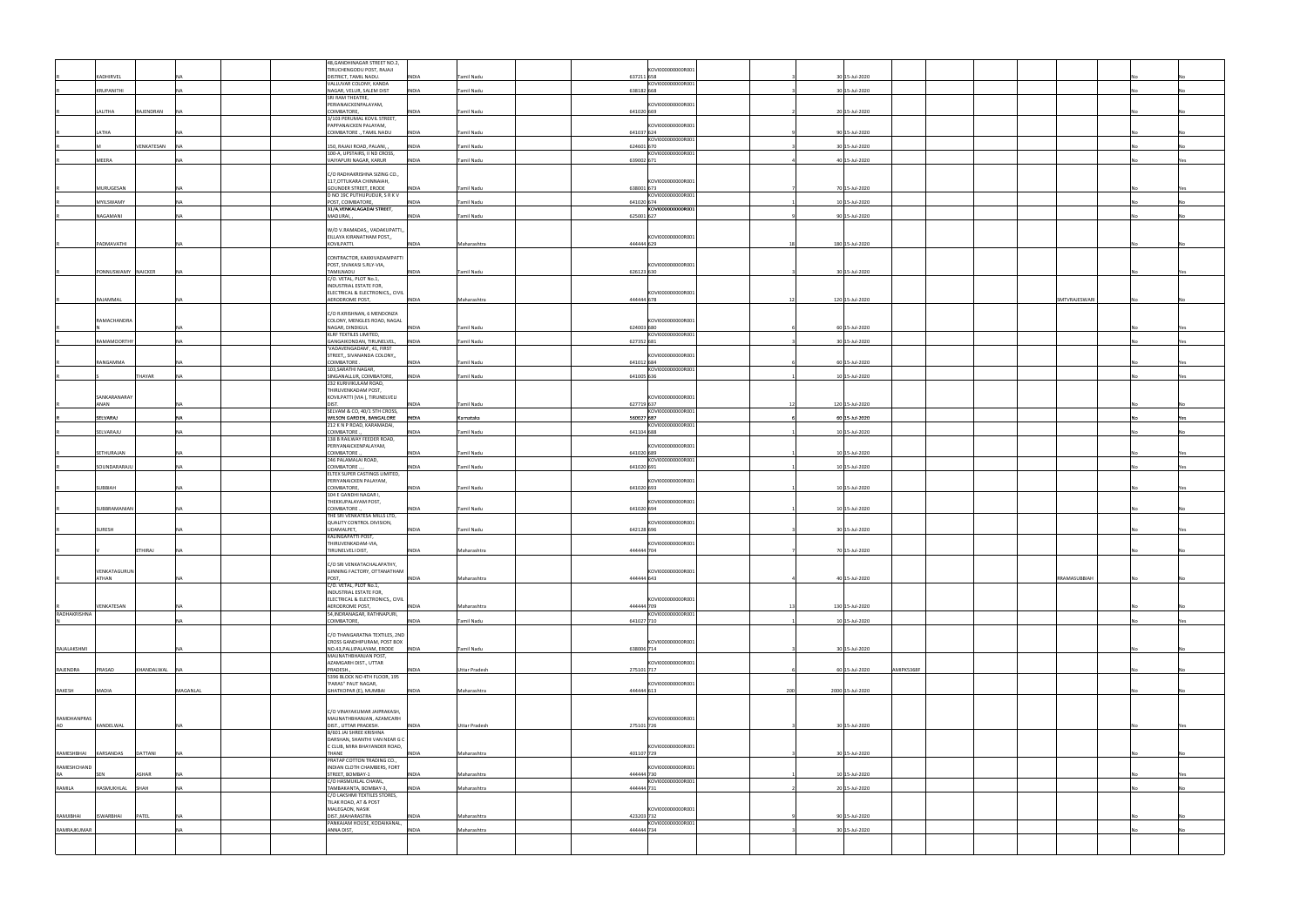|              |                     |                          |             | 48, GANDHINAGAR STREET NO.2,                                 |              |                      |                                 |     |                              |               |     |
|--------------|---------------------|--------------------------|-------------|--------------------------------------------------------------|--------------|----------------------|---------------------------------|-----|------------------------------|---------------|-----|
|              | KADHIRVEL           |                          |             | TIRUCHENGODU POST, RAJAJI<br>DISTRICT, TAMIL NADU.           | <b>INDIA</b> | Tamil Nadu           | KOVI000000000R001<br>637211 658 |     | 30 15-Jul-2020               |               |     |
|              |                     |                          |             | VALLUVAR COLONY, KANDA                                       |              |                      | KOVI000000000R001               |     |                              |               |     |
|              | <b>KRUPANITHI</b>   |                          |             | NAGAR, VELUR, SALEM DIST                                     | <b>INDIA</b> | <b>Tamil Nadu</b>    | 638182 668                      |     | 30 15-Jul-2020               |               |     |
|              |                     |                          |             | SRI RAM THEATRE,<br>PERIANAICKENPALAYAM,                     |              |                      | KOVI000000000R001               |     |                              |               |     |
|              | LALITHA             | <b>AJENDRAN</b>          |             | COIMBATORE,                                                  | <b>INDIA</b> | Tamil Nadu           | 641020 669                      |     | 20 15-Jul-2020               |               |     |
|              |                     |                          |             | 3/103 PERUMAL KOVIL STREET,<br>PAPPANAICKEN PALAYAM,         |              |                      | KOVI000000000R001               |     |                              |               |     |
|              | LATHA               |                          |             | COIMBATORE ., TAMIL NADU                                     | <b>INDIA</b> | Tamil Nadu           | 641037 624                      |     | 90 15-Jul-2020               |               |     |
|              |                     | VENKATESAN<br><b>INA</b> |             | 150, RAJAJI ROAD, PALANI,                                    | <b>INDIA</b> | <b>Tamil Nadu</b>    | KOVI000000000R001<br>624601 670 |     | 30 15-Jul-2020               |               |     |
|              |                     |                          |             | 100-A, UPSTAIRS, II ND CROSS,                                |              |                      | KOVI000000000R001               |     |                              |               |     |
|              | MEERA               |                          |             | VAIYAPURI NAGAR, KARUR                                       | <b>INDIA</b> | <b>Tamil Nadu</b>    | 639002 671                      |     | 40 15-Jul-2020               |               |     |
|              |                     |                          |             | C/O RADHAKRISHNA SIZING CO.,                                 |              |                      |                                 |     |                              |               |     |
|              |                     |                          |             | 117, OTTUKARA CHINNAIAH,                                     |              |                      | KOVI000000000R001               |     |                              |               |     |
|              | MURUGESAN           |                          |             | <b>GOUNDER STREET, ERODE</b>                                 | <b>INDIA</b> | Tamil Nadu           | 638001 673<br>KOVI000000000R001 |     | 70 15-Jul-2020               |               |     |
|              | MYILSWAMY           |                          |             | D NO 19C PUTHUPUDUR, S R K V<br>POST, COIMBATORE,            | <b>INDIA</b> | Tamil Nadu           | 641020 674                      |     | 10 15-Jul-2020               |               |     |
|              |                     |                          |             | 31/A, VENKALAGADAI STREET,                                   |              |                      | KOVI000000000R001               |     |                              |               |     |
|              | NAGAMANI            | NΔ                       | MADURAI,    |                                                              | <b>INDIA</b> | <b>Tamil Nadu</b>    | 625001 627                      |     | 90 15-Jul-2020               |               |     |
|              |                     |                          |             | W/O V.RAMADAS,, VADAKUPATTI,,                                |              |                      |                                 |     |                              |               |     |
|              | PADMAVATHI          |                          | KOVILPATTI. | EILLAYA KIRANATHAM POST,,                                    |              |                      | KOVI000000000R001<br>444444 629 |     | 180 15-Jul-2020              |               |     |
|              |                     |                          |             |                                                              | <b>INDIA</b> | Maharashtra          |                                 |     |                              |               |     |
|              |                     |                          |             | CONTRACTOR, KAKKIVADAMPATTI                                  |              |                      |                                 |     |                              |               |     |
|              | PONNUSWAMY NAICKER  | <b>NA</b>                | TAMILNADU   | POST, SIVAKASI S.RLY-VIA,                                    | <b>INDIA</b> | <b>Tamil Nadu</b>    | KOVI000000000R001<br>626123 630 |     | 30 15-Jul-2020               |               | Yes |
|              |                     |                          |             | C/O. VETAL, PLOT No.1,                                       |              |                      |                                 |     |                              |               |     |
|              |                     |                          |             | INDUSTRIAL ESTATE FOR,                                       |              |                      |                                 |     |                              |               |     |
|              | RAJAMMAL            |                          |             | ELECTRICAL & ELECTRONICS,, CIVIL<br>AERODROME POST,          | <b>INDIA</b> | Maharashtra          | KOVI000000000R001<br>444444 678 |     | 120 15-Jul-2020              | SMTVRAJESWARI |     |
|              |                     |                          |             |                                                              |              |                      |                                 |     |                              |               |     |
|              | RAMACHANDRA         |                          |             | C/O R.KRISHNAN, 6 MENDONZA<br>COLONY, MENGLES ROAD, NAGAL    |              |                      | KOVI000000000R001               |     |                              |               |     |
|              |                     |                          |             | NAGAR, DINDIGUL                                              | INDIA        | Tamil Nadu           | 624003 680                      |     | 60 15-Jul-2020               |               |     |
|              |                     |                          |             | KLRF TEXTILES LIMITED,                                       |              |                      | KOVI000000000R001               |     |                              |               |     |
|              | RAMAMOORTH          |                          |             | GANGAIKONDAN, TIRUNELVEL,<br>'VADAVENGADAM', 41, FIRST       | <b>INDIA</b> | Tamil Nadu           | 627352 681                      |     | 30 15-Jul-2020               |               |     |
|              |                     |                          |             | STREET,, SIVANANDA COLONY,,                                  |              |                      | KOVI000000000R001               |     |                              |               |     |
|              | RANGAMMA            |                          |             | COIMBATORE.<br>103, SARATHI NAGAR,                           | <b>INDIA</b> | Tamil Nadu           | 641012 684<br>KOVI000000000R001 |     | 60 15-Jul-2020               |               |     |
|              |                     | THAYAR                   |             | SINGANALLUR, COIMBATORE,                                     | <b>INDIA</b> | Tamil Nadu           | 641005 636                      |     | 10 15-Jul-2020               |               |     |
|              |                     |                          |             | 232 KURIVIKULAM ROAD,                                        |              |                      |                                 |     |                              |               |     |
|              | SANKARANARAY        |                          |             | THIRUVENKADAM POST,<br>KOVILPATTI (VIA), TIRUNELVELI         |              |                      | KOVI000000000R001               |     |                              |               |     |
|              | ANAN                |                          | DIST.       |                                                              | <b>INDIA</b> | Tamil Nadu           | 627719 637                      |     | 120 15-Jul-2020              |               |     |
|              | SELVARAJ            |                          |             | SELVAM & CO, 40/1 5TH CROSS,<br>WILSON GARDEN, BANGALORE     | INDIA        | Karnataka            | KOVI000000000R001<br>560027 687 |     | 60 15-Jul-2020               |               | Yes |
|              |                     |                          |             | 212 K N P ROAD, KARAMADAI,                                   |              |                      | KOVI000000000R001               |     |                              |               |     |
|              | SELVARAJU           |                          |             | COIMBATORE.                                                  | INDIA        | Tamil Nadu           | 641104 688                      |     | 10 15-Jul-2020               |               |     |
|              |                     |                          |             | 138 B RAILWAY FEEDER ROAD,<br>PERIYANAICKENPALAYAM,          |              |                      | KOVI000000000R001               |     |                              |               |     |
|              | SETHURAJAN          |                          |             | COIMBATORE.                                                  | INDIA        | Tamil Nadu           | 641020 689                      |     | 10 15-Jul-2020               |               | Yes |
|              | SOUNDARARAJL        |                          |             | 246 PALAMALAI ROAD,<br>COIMBATORE.,                          | <b>INDIA</b> | Tamil Nadu           | KOVI000000000R001<br>641020 691 |     | 10 15-Jul-2020               |               | Yes |
|              |                     |                          |             | ELTEX SUPER CASTINGS LIMITED,                                |              |                      |                                 |     |                              |               |     |
|              |                     |                          |             | PERIYANAICKEN PALAYAM,                                       |              |                      | KOVI000000000R001               |     |                              |               |     |
|              | SUBBIAH             |                          | COIMBATORE, | 104 E GANDHI NAGAR I,                                        | <b>INDIA</b> | Tamil Nadu           | 641020 693                      |     | 10 15-Jul-2020               |               |     |
|              |                     |                          |             | THEKKUPALAYAM POST,                                          |              |                      | KOVI000000000R001               |     |                              |               |     |
|              | <b>SUBBRAMANIAM</b> |                          | COIMBATORE  | THE SRI VENKATESA MILLS LTD,                                 | <b>INDIA</b> | Tamil Nadu           | 641020 694                      |     | 10 15-Jul-2020               |               |     |
|              |                     |                          |             | QUALITY CONTROL DIVISION,                                    |              |                      | KOVI000000000R001               |     |                              |               |     |
|              | SURESH              |                          | UDAMALPET,  |                                                              | <b>INDIA</b> | Tamil Nadu           | 642128 696                      |     | 30 15-Jul-2020               |               |     |
|              |                     |                          |             | KALINGAPATTI POST,<br>THIRUVENKADAM-VIA,                     |              |                      | KOVI000000000R001               |     |                              |               |     |
|              |                     | THIRAJ                   |             | <b>TIRUNELVELI DIST,</b>                                     | INDIA        | Maharashtra          | 4444441704                      |     | 70 15-Jul-2020               |               |     |
|              |                     |                          |             | C/O SRI VENKATACHALAPATHY,                                   |              |                      |                                 |     |                              |               |     |
|              | VENKATAGURUN        |                          |             | GINNING FACTORY, OTTANATHAM                                  |              |                      | KOVI000000000R001               |     |                              |               |     |
|              | <b>ATHAN</b>        |                          | POST,       |                                                              | <b>INDIA</b> | Maharashtra          | 444444 643                      |     | 40 15-Jul-2020               | RRAMASUBBIAH  |     |
|              |                     |                          |             | C/O. VETAL, PLOT No.1,<br>INDUSTRIAL ESTATE FOR,             |              |                      |                                 |     |                              |               |     |
|              |                     |                          |             | ELECTRICAL & ELECTRONICS,, CIVIL                             |              |                      | KOVI000000000R001               |     |                              |               |     |
| RADHAKRISHNA | VENKATESAN          |                          |             | AERODROME POST,<br>54, INDRANAGAR, RATHNAPURI,               | <b>INDIA</b> | Maharashtra          | 444444 709<br>KOVI000000000R001 |     | 130 15-Jul-2020              |               |     |
|              |                     |                          | COIMBATORE, |                                                              | <b>INDIA</b> | Tamil Nadu           | 641027 710                      |     | 10 15-Jul-2020               |               | Yes |
|              |                     |                          |             |                                                              |              |                      |                                 |     |                              |               |     |
|              |                     |                          |             | C/O THANGARATNA TEXTILES, 2ND<br>CROSS GANDHIPURAM, POST BOX |              |                      | KOVI000000000R001               |     |                              |               |     |
| RAJALAKSHMI  |                     |                          |             | NO.43, PALLIPALAYAM, ERODE                                   | <b>INDIA</b> | Tamil Nadu           | 638006 714                      |     | 30 15-Jul-2020               |               |     |
|              |                     |                          |             | MAUNATHBHANJAN POST,<br>AZAMGARH DIST., UTTAR                |              |                      | KOVI000000000R001               |     |                              |               |     |
| RAJENDRA     | PRASAD              | KHANDALWAL NA            | PRADESH.,   |                                                              | INDIA        | <b>Uttar Pradesh</b> | 275101 717                      |     | AMIPK5368F<br>60 15-Jul-2020 |               |     |
|              |                     |                          |             | 5396 BLOCK NO 4TH FLOOR, 195<br>'PARAS" PAUT NAGAR,          |              |                      | KOVI000000000R001               |     |                              |               |     |
| RAKESH       | MADIA               | MAGANLAL                 |             | GHATKOPAR (E), MUMBAI                                        | <b>INDIA</b> | Maharashtra          | 444444 613                      | 200 | 2000 15-Jul-2020             |               |     |
|              |                     |                          |             |                                                              |              |                      |                                 |     |                              |               |     |
|              |                     |                          |             | C/O VINAYAKUMAR JAIPRAKASH,                                  |              |                      |                                 |     |                              |               |     |
| RAMDHANPRAS  |                     |                          |             | MAUNATHBHANJAN, AZAMCARH                                     |              |                      | KOVI000000000R001               |     |                              |               |     |
| AD           | KANDELWAL           |                          |             | DIST., UTTAR PRADESH.                                        | <b>INDIA</b> | <b>Uttar Pradesh</b> | 275101 726                      |     | 30 15-Jul-2020               |               |     |
|              |                     |                          |             | B/601 JAI SHREE KRISHNA<br>DARSHAN, SHANTHI VAN NEAR G C     |              |                      |                                 |     |                              |               |     |
|              |                     |                          |             | C CLUB, MIRA BHAYANDER ROAD,                                 |              |                      | KOVI000000000R001               |     |                              |               |     |
| RAMESHBHAI   | <b>KARSANDAS</b>    | DATTANI<br>NΔ            | THANE       | PRATAP COTTON TRADING CO.,                                   | <b>INDIA</b> | Maharashtra          | 401107 729                      |     | 30 15-Jul-2020               |               |     |
| RAMESHCHAND  |                     |                          |             | INDIAN CLOTH CHAMBERS, FORT                                  |              |                      | KOVI000000000R001               |     |                              |               |     |
| <b>RA</b>    |                     | <b>SHAR</b>              |             | STREET, BOMBAY-1                                             | <b>INDIA</b> | Maharashtra          | 444444 730<br>KOVI000000000R001 |     | 10 15-Jul-2020               |               |     |
| RAMILA       | HASMUKHLAL          | SHAH                     |             | C/O HASMUKLAL CHAWL,<br>TAMBAKANTA, BOMBAY-3,                | <b>INDIA</b> | Maharashtra          | 444444 731                      |     | 20 15-Jul-2020               |               |     |
|              |                     |                          |             | C/O LAKSHMI TEXTILES STORES,                                 |              |                      |                                 |     |                              |               |     |
|              |                     |                          |             | TILAK ROAD, AT & POST<br>MALEGAON, NASIK                     |              |                      | KOVI000000000R001               |     |                              |               |     |
| RAMJIBHAI    | <b>ISWARBHAI</b>    | PATEL<br><b>NA</b>       |             | DIST., MAHARASTRA                                            | <b>INDIA</b> | Maharashtra          | 423203 732                      |     | 90 15-Jul-2020               |               |     |
| RAMRAJKUMAR  |                     |                          | ANNA DIST,  | PANKAJAM HOUSE, KODAIKANAL,                                  | <b>INDIA</b> | Maharashtra          | KOVI000000000R001<br>444444 734 |     | 30 15-Jul-2020               |               |     |
|              |                     |                          |             |                                                              |              |                      |                                 |     |                              |               |     |
|              |                     |                          |             |                                                              |              |                      |                                 |     |                              |               |     |
|              |                     |                          |             |                                                              |              |                      |                                 |     |                              |               |     |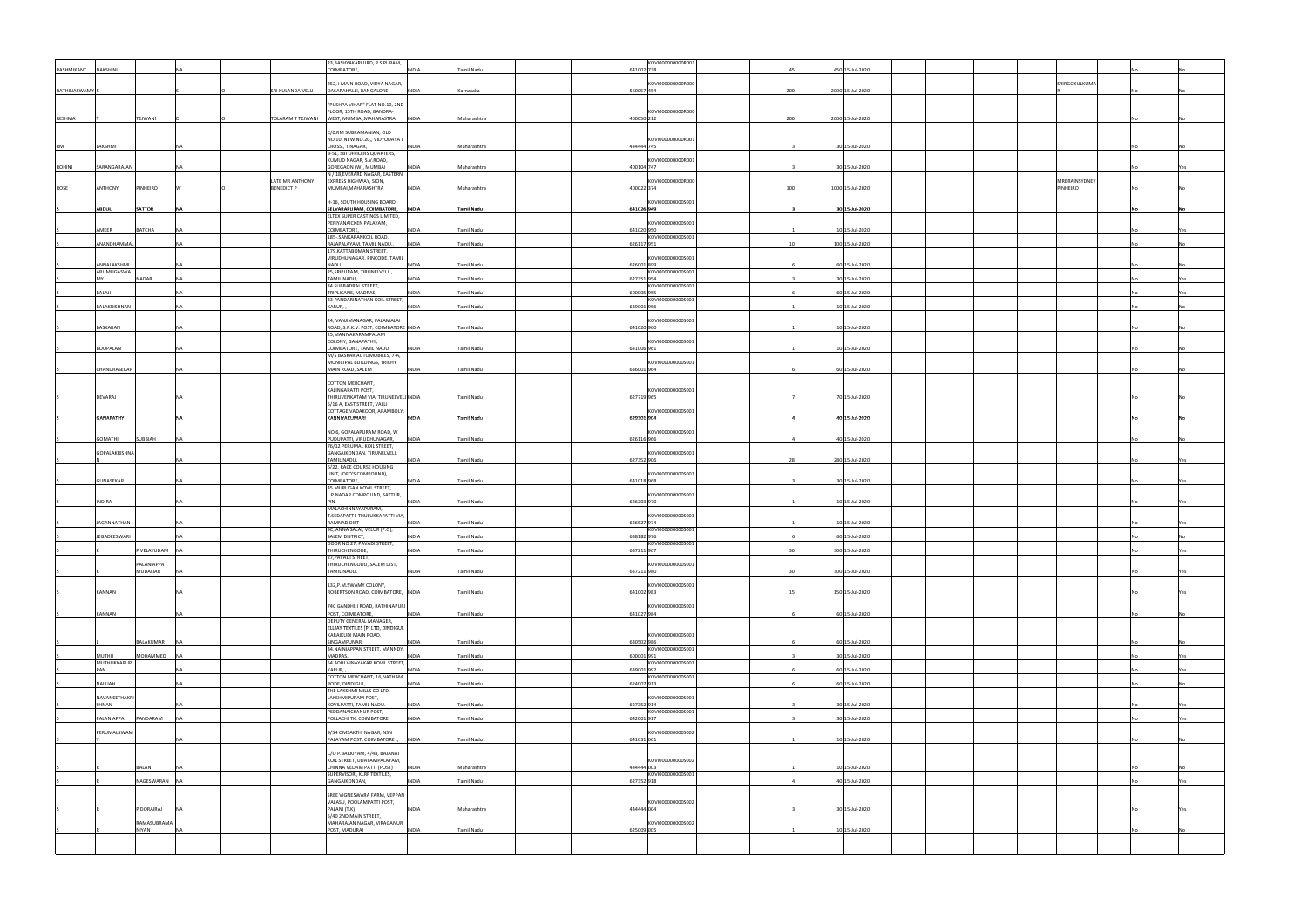|                       |                            |           |                   | 23, BASHYAKARLURD, R S PURAM,                                    |                             |            | KOVI000000000R001 |     |                  |               |     |
|-----------------------|----------------------------|-----------|-------------------|------------------------------------------------------------------|-----------------------------|------------|-------------------|-----|------------------|---------------|-----|
| RASHMIKANT            | <b>DAKSHINI</b>            |           |                   | COIMBATORE,                                                      | <b>INDIA</b><br>Tamil Nadu  | 641002 738 |                   |     | 450 15-Jul-2020  |               |     |
|                       |                            |           |                   |                                                                  |                             |            |                   |     |                  |               |     |
| <b>RATHINASWAMY</b> K |                            |           | SRI KULANDAIVELU  | 252, I MAIN ROAD, VIDYA NAGAR,<br>DASARAHALLI, BANGALORE         | <b>INDIA</b><br>Karnataka   | 560057 454 | KOVI000000000R000 | 200 | 2000 15-Jul-2020 | SRIRGOKULKUMA |     |
|                       |                            |           |                   |                                                                  |                             |            |                   |     |                  |               |     |
|                       |                            |           |                   | "PUSHPA VIHAR" FLAT NO.10, 2ND                                   |                             |            |                   |     |                  |               |     |
|                       |                            |           |                   | FLOOR, 15TH ROAD, BANDRA-                                        |                             |            | KOVI000000000R000 |     |                  |               |     |
| RESHMA                | TEJWANI                    |           | TOLARAM T TEJWANI | WEST, MUMBAI, MAHARASTRA INDIA                                   | Maharashtra                 | 400050 212 |                   | 200 | 2000 15-Jul-2020 |               |     |
|                       |                            |           |                   | C/0.RM SUBRAMANIAN, OLD                                          |                             |            |                   |     |                  |               |     |
|                       |                            |           |                   | NO.10, NEW NO.20,, VIDYODAYA I                                   |                             |            | KOVI000000000R001 |     |                  |               |     |
| RM                    | LAKSHMI                    |           |                   | CROSS,, T.NAGAR,                                                 | <b>INDIA</b><br>Maharashtra | 444444 745 |                   |     | 30 15-Jul-2020   |               |     |
|                       |                            |           |                   | B-51, SBI OFFICERS QUARTERS,                                     |                             |            |                   |     |                  |               |     |
| <b>ROHINI</b>         | SARANGARAJAN               |           |                   | KUMUD NAGAR, S.V.ROAD,<br>GOREGAON (W), MUMBAI                   | <b>INDIA</b><br>Maharashtra | 400104 747 | KOVI000000000R001 |     | 30 15-Jul-2020   |               |     |
|                       |                            |           |                   | N / 18,EVERARD NAGAR, EASTERN                                    |                             |            |                   |     |                  |               |     |
|                       |                            |           | LATE MR ANTHONY   | EXPRESS HIGHWAY, SION,                                           |                             |            | KOVI000000000R000 |     |                  | MRBRAINSYDNEY |     |
| ROSE                  | PINHEIRO<br><b>ANTHONY</b> |           | <b>BENEDICT P</b> | MUMBAI, MAHARASHTRA                                              | <b>INDIA</b><br>Maharashtra | 400022 374 |                   | 100 | 1000 15-Jul-2020 | PINHEIRO      |     |
|                       |                            |           |                   |                                                                  |                             |            |                   |     |                  |               |     |
|                       | SATTOR<br>ABDUL            | <b>NA</b> |                   | H-16, SOUTH HOUSING BOARD,                                       | Tamil Nadu                  | 641026 949 | KOVI000000000S001 |     | 30 15-Jul-2020   |               |     |
|                       |                            |           |                   | SELVARAPURAM, COIMBATORE, INDIA<br>ELTEX SUPER CASTINGS LIMITED, |                             |            |                   |     |                  |               |     |
|                       |                            |           |                   | PERIYANAICKEN PALAYAM,                                           |                             |            | KOVI000000000S001 |     |                  |               |     |
|                       | AMEER<br><b>BATCHA</b>     |           |                   | COIMBATORE,                                                      | Tamil Nadu<br><b>INDIA</b>  | 641020 950 |                   |     | 10 15-Jul-2020   |               |     |
|                       |                            |           |                   | 185-, SANKARANKOIL ROAD,                                         |                             |            | KOVI000000000S001 |     |                  |               |     |
|                       | ANANDHAMMA                 |           |                   | RAJAPALAYAM, TAMIL NADU.,                                        | <b>INDIA</b><br>Tamil Nadu  | 626117 951 |                   |     | 100 15-Jul-2020  |               |     |
|                       |                            |           |                   | 179, KATTABOMAN STREET,<br>VIRUDHUNAGAR, PINCODE, TAMIL          |                             |            | KOVI000000000S001 |     |                  |               |     |
|                       | ANNALAKSHMI                |           |                   | NADU.                                                            | <b>INDIA</b><br>Tamil Nadu  | 626001899  |                   |     | 60 15-Jul-2020   |               |     |
|                       | ARUMUGASWA                 |           |                   | 25, SRIPURAM, TIRUNELVELI.,                                      |                             |            | KOVI000000000S001 |     |                  |               |     |
|                       | MY<br>NADAR                | <b>NA</b> |                   | TAMIL NADU,                                                      | <b>INDIA</b><br>Tamil Nadu  | 627351 954 |                   |     | 30 15-Jul-2020   |               | Yes |
|                       | BALAJI                     |           |                   | 34 SUBBADRAL STREET,<br>TRIPLICANE, MADRAS,                      | <b>INDIA</b><br>Tamil Nadu  | 600005 955 | KOVI000000000S001 |     | 60 15-Jul-2020   |               |     |
|                       |                            |           |                   | 33 PANDARINATHAN KOIL STREET,                                    |                             |            | KOVI000000000S001 |     |                  |               |     |
|                       | BALAKRISHNAN               |           |                   | KARUR,                                                           | <b>INDIA</b><br>Tamil Nadu  | 639001 956 |                   |     | 10 15-Jul-2020   |               |     |
|                       |                            |           |                   |                                                                  |                             |            |                   |     |                  |               |     |
|                       |                            |           |                   | 24, VANJIMANAGAR, PALAMALAI                                      |                             |            | KOVI000000000S001 |     |                  |               |     |
|                       | BASKARAN                   |           |                   | ROAD, S.R.K.V. POST, COIMBATORE INDIA<br>25, MANIYAKARAMPALAM    | Tamil Nadu                  | 641020 960 |                   |     | 10 15-Jul-2020   |               |     |
|                       |                            |           |                   | COLONY, GANAPATHY,                                               |                             |            | KOVI000000000S001 |     |                  |               |     |
|                       | BOOPALAN                   |           |                   | COIMBATORE, TAMIL NADU                                           | Tamil Nadu<br>INDIA         | 641006 961 |                   |     | 10 15-Jul-2020   |               |     |
|                       |                            |           |                   | M/S BASKAR AUTOMOBILES, 7-A,                                     |                             |            |                   |     |                  |               |     |
|                       |                            |           |                   | MUNICIPAL BUILDINGS, TRICHY                                      |                             |            | KOVI000000000S001 |     |                  |               |     |
|                       | CHANDRASEKAR               |           |                   | MAIN ROAD, SALEM                                                 | Tamil Nadu<br><b>INDIA</b>  | 636001 964 |                   |     | 60 15-Jul-2020   |               |     |
|                       |                            |           |                   | COTTON MERCHANT,                                                 |                             |            |                   |     |                  |               |     |
|                       |                            |           |                   | KALINGAPATTI POST,                                               |                             |            | KOVI000000000S001 |     |                  |               |     |
|                       | DEVARAJ                    |           |                   | THIRUVENKATAM VIA, TIRUNELVELI INDIA                             | Tamil Nadu                  | 627719 965 |                   |     | 70 15-Jul-2020   |               |     |
|                       |                            |           |                   | 5/16 A, EAST STREET, VALLI<br>COTTAGE VADAKOOR, ARAMBOLY,        |                             |            |                   |     |                  |               |     |
|                       | <b>GANAPATHY</b>           |           |                   | KANNIYAKUMARI                                                    | Tamil Nadu<br><b>INDIA</b>  | 629301 904 | KOVI000000000S001 |     | 40 15-Jul-2020   |               |     |
|                       |                            |           |                   |                                                                  |                             |            |                   |     |                  |               |     |
|                       |                            |           |                   | NO 6, GOPALAPURAM ROAD, W                                        |                             |            | KOVI000000000S001 |     |                  |               |     |
|                       | GOMATHI<br>SUBBIAH         |           |                   | PUDUPATTI, VIRUDHUNAGAR,                                         | <b>INDIA</b><br>Tamil Nadu  | 626116 966 |                   |     | 40 15-Jul-2020   |               |     |
|                       | GOPALAKRISHNA              |           |                   | 76/12 PERUMAL KOIL STREET,<br>GANGAIKONDAN, TIRUNELVELI,         |                             |            | KOVI000000000S001 |     |                  |               |     |
|                       |                            |           |                   | TAMIL NADU.                                                      | <b>INDIA</b><br>Tamil Nadu  | 627352 906 |                   |     | 280 15-Jul-2020  |               |     |
|                       |                            |           |                   | 6/22, RACE COURSE HOUSING                                        |                             |            |                   |     |                  |               |     |
|                       |                            |           |                   | UNIT, (DFO'S COMPOUND),                                          |                             |            | KOVI000000000S001 |     |                  |               |     |
|                       | GUNASEKAR                  |           |                   | COIMBATORE,<br>45 MURUGAN KOVIL STREET,                          | Tamil Nadu<br><b>INDIA</b>  | 641018 968 |                   |     | 30 15-Jul-2020   |               |     |
|                       |                            |           |                   | L.P.NADAR COMPOUND, SATTUR,                                      |                             |            | KOVI000000000S001 |     |                  |               |     |
|                       | INDIRA                     |           |                   |                                                                  | <b>INDIA</b><br>Tamil Nadu  | 626203 970 |                   |     | 10 15-Jul-2020   |               |     |
|                       |                            |           |                   | MALACHINNAYAPURAM,                                               |                             |            |                   |     |                  |               |     |
|                       |                            |           |                   | T.SEDAPATTI, THULUKKAPATTI VIA,                                  |                             |            | KOVI000000000S001 |     |                  |               |     |
|                       | <b>JAGANNATHAN</b>         |           |                   | RAMNAD DIST<br>9C, ANNA SALAI, VELUR (P.O),                      | <b>INDIA</b><br>Tamil Nadu  | 626527 974 | KOVI000000000S001 |     | 10 15-Jul-2020   |               |     |
|                       | <b>JEGADEESWARI</b>        |           |                   | SALEM DISTRICT,                                                  | Tamil Nadu<br>INDIA         | 638182 976 |                   |     | 60 15-Jul-2020   |               |     |
|                       |                            |           |                   | DOOR NO 27, PAVADI STREET,                                       |                             |            | KOVI000000000S001 |     |                  |               |     |
|                       | P VELAYUDAM NA             |           |                   | THIRUCHENGODE,                                                   | INDIA<br>Tamil Nadu         | 637211 907 |                   |     | 300 15-Jul-2020  |               |     |
|                       | PALANIAPPA                 |           |                   | 27, PAVADI STREET,                                               |                             |            |                   |     |                  |               |     |
|                       | MUDALIAR                   |           |                   | THIRUCHENGODU, SALEM DIST,<br>TAMIL NADU.                        | Tamil Nadu<br><b>INDIA</b>  | 637211 980 | KOVI000000000S001 |     | 300 15-Jul-2020  |               |     |
|                       |                            |           |                   |                                                                  |                             |            |                   |     |                  |               |     |
|                       |                            |           |                   | 132, P.M. SWAMY COLONY,                                          |                             |            | KOVI000000000S001 |     |                  |               |     |
|                       | KANNAN                     |           |                   | ROBERTSON ROAD, COIMBATORE, INDIA                                | Tamil Nadu                  | 641002 983 |                   |     | 150 15-Jul-2020  |               |     |
|                       |                            |           |                   | 74C GANDHIJI ROAD, RATHINAPURI                                   |                             |            | KOVI000000000S001 |     |                  |               |     |
|                       | KANNAN                     | NA.       |                   | POST, COIMBATORE,                                                | Tamil Nadu<br><b>INDIA</b>  | 641027 984 |                   |     | 60 15-Jul-2020   |               |     |
|                       |                            |           |                   | DEPUTY GENERAL MANAGER,                                          |                             |            |                   |     |                  |               |     |
|                       |                            |           |                   | ELLJAY TEXTILES [P] LTD, DINDIGUL                                |                             |            |                   |     |                  |               |     |
|                       | BALAKUMAR                  |           |                   | KARAIKUDI MAIN ROAD,                                             |                             |            | KOVI000000000S001 |     |                  |               |     |
|                       |                            |           |                   | SINGAMPUNARI<br>34, NAINIAPPAN STREET, MANNDY,                   | Tamil Nadu<br><b>INDIA</b>  | 630502 986 | KOVI000000000S001 |     | 60 15-Jul-2020   |               |     |
|                       | MUTHU<br>MOHAMMED          |           |                   | MADRAS,                                                          | Tamil Nadu<br><b>INDIA</b>  | 600001991  |                   |     | 30 15-Jul-2020   |               | Yes |
|                       | MUTHUKKARUP                |           |                   | 54 ADHI VINAYAKAR KOVIL STREET,                                  |                             |            | KOVI0000000005001 |     |                  |               |     |
|                       | PAN                        | <b>NA</b> |                   | KARUR,                                                           | Tamil Nadu<br><b>INDIA</b>  | 639001 992 |                   |     | 60 15-Jul-2020   |               | Yes |
|                       | NALLIAH                    | <b>NA</b> |                   | COTTON MERCHANT, 16, NATHAM<br>RODE, DINDIGUL,                   | <b>INDIA</b><br>Tamil Nadu  | 624007 913 | KOVI000000000S001 |     | 60 15-Jul-2020   |               |     |
|                       |                            |           |                   | THE LAKSHMI MILLS CO LTD,                                        |                             |            |                   |     |                  |               |     |
|                       | NAVANEETHAKRI              |           |                   | LAKSHMIPURAM POST,                                               |                             |            | KOVI000000000S001 |     |                  |               |     |
|                       | SHNAN                      |           |                   | KOVILPATTI, TAMIL NADU.                                          | <b>INDIA</b><br>Tamil Nadu  | 627352 914 |                   |     | 30 15-Jul-2020   |               |     |
|                       | PANDARAM                   |           |                   | PEDDANAICKANUR POST,                                             |                             |            | KOVI0000000005001 |     |                  |               |     |
|                       | PALANIAPPA                 |           |                   | POLLACHI TK, COIMBATORE,                                         | <b>INDIA</b><br>Tamil Nadu  | 642001 917 |                   |     | 30 15-Jul-2020   |               |     |
|                       | PERUMALSWAM                |           |                   | 9/54 OMSAKTHI NAGAR, NSN                                         |                             |            | KOVI0000000005002 |     |                  |               |     |
|                       |                            |           |                   | PALAYAM POST, COIMBATORE.,                                       | <b>INDIA</b><br>Tamil Nadu  | 641031 001 |                   |     | 10 15-Jul-2020   |               |     |
|                       |                            |           |                   |                                                                  |                             |            |                   |     |                  |               |     |
|                       |                            |           |                   | C/O P.BAKKIYAM, 4/48, BAJANAI<br>KOIL STREET, UDAYAMPALAYAM,     |                             |            | KOVI000000000S002 |     |                  |               |     |
|                       | BALAN                      |           |                   | CHINNA VEDAM PATTI (POST)                                        | <b>INDIA</b><br>Maharashtra | 444444 003 |                   |     | 10 15-Jul-2020   |               |     |
|                       |                            |           |                   | SUPERVISOR', KLRF TEXTILES,                                      |                             |            | KOVI000000000S001 |     |                  |               |     |
|                       | NAGESWARAN NA              |           |                   | GANGAIKONDAN,                                                    | Tamil Nadu<br><b>INDIA</b>  | 627352 918 |                   |     | 40 15-Jul-2020   |               |     |
|                       |                            |           |                   |                                                                  |                             |            |                   |     |                  |               |     |
|                       |                            |           |                   | SREE VIGNESWARA FARM, VEPPAN<br>VALASU, POOLAMPATTI POST,        |                             |            | KOVI000000000S002 |     |                  |               |     |
|                       | P DORAIRAJ                 | <b>NA</b> |                   | PALANI (T.K)                                                     | <b>INDIA</b><br>Maharashtra | 444444 004 |                   |     | 30 15-Jul-2020   |               |     |
|                       |                            |           |                   | 5/40 2ND MAIN STREET,                                            |                             |            |                   |     |                  |               |     |
|                       | RAMASUBRAMA                |           |                   | MAHARAJAN NAGAR, VIRAGANUR                                       |                             |            | KOVI0000000005002 |     |                  |               |     |
|                       | NIYAN                      |           |                   | POST, MADURAI                                                    | <b>INDIA</b><br>Tamil Nadu  | 625009 005 |                   |     | 10 15-Jul-2020   |               |     |
|                       |                            |           |                   |                                                                  |                             |            |                   |     |                  |               |     |
|                       |                            |           |                   |                                                                  |                             |            |                   |     |                  |               |     |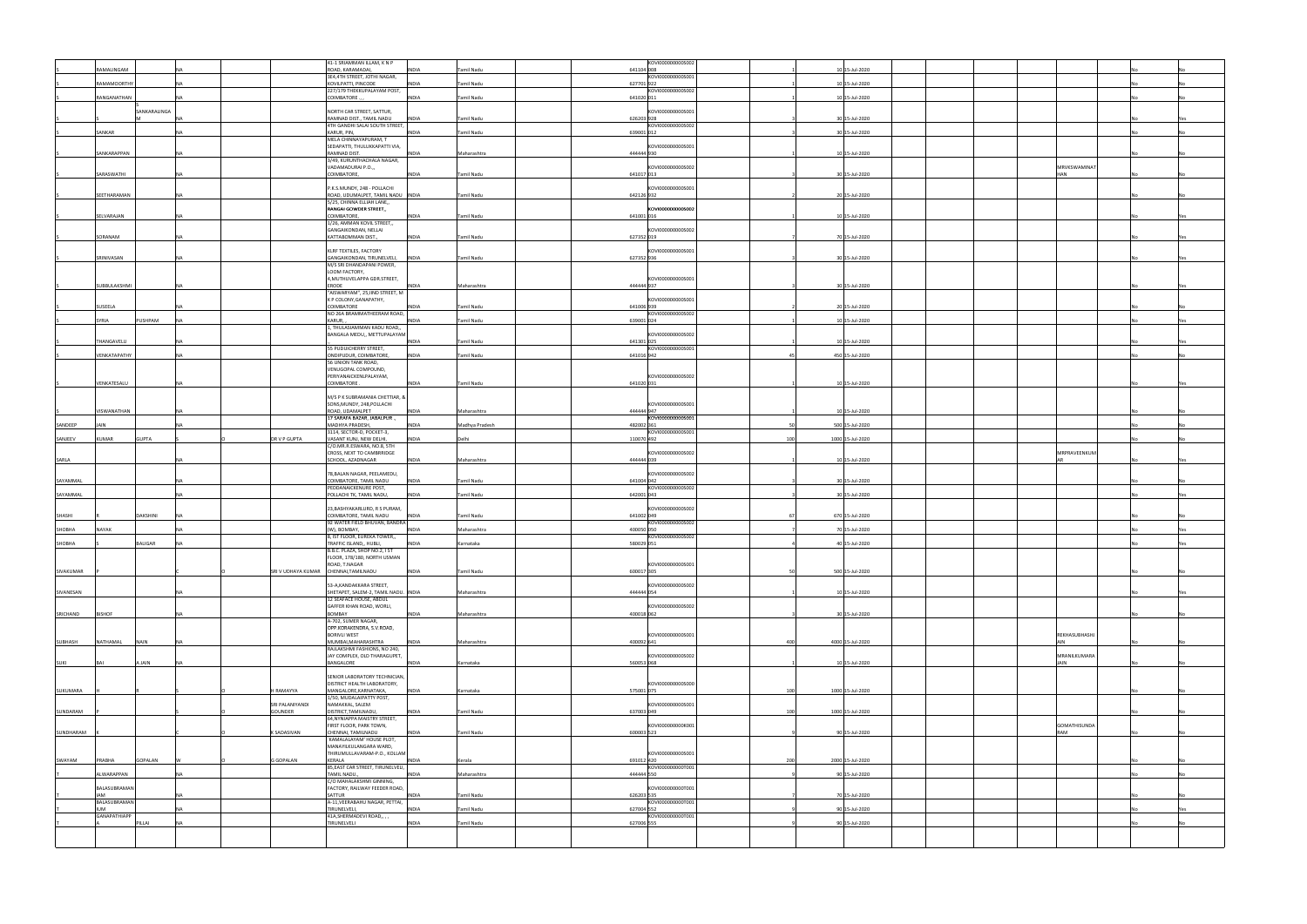|             |                            |                |    |                                       | 41-1 SRIAMMAN ILLAM, K N P                                        |                                |            | KOVI000000000S002 |     |                  |               |     |
|-------------|----------------------------|----------------|----|---------------------------------------|-------------------------------------------------------------------|--------------------------------|------------|-------------------|-----|------------------|---------------|-----|
|             | RAMALINGAM                 |                |    |                                       | ROAD, KARAMADAI,<br>3E4,4TH STREET, JOTHI NAGAR,                  | <b>INDIA</b><br>Tamil Nadu     | 641104 008 | KOVI000000000S001 |     | 10 15-Jul-2020   |               |     |
|             | <b>RAMAMOORTHY</b>         |                |    |                                       | KOVILPATTI, PINCODE                                               | Tamil Nadu<br><b>INDIA</b>     | 627701922  |                   |     | 10 15-Jul-2020   |               |     |
|             | RANGANATHAN                |                | NΔ |                                       | 227/179 THEKKUPALAYAM POST,<br>COIMBATORE                         | <b>INDIA</b><br>Tamil Nadu     | 641020 011 | KOVI000000000S002 |     | 10 15-Jul-2020   |               |     |
|             |                            |                |    |                                       |                                                                   |                                |            |                   |     |                  |               |     |
|             |                            | SANKARALINGA   |    |                                       | NORTH CAR STREET, SATTUR,                                         | <b>INDIA</b><br>Tamil Nadu     | 626203 928 | KOVI000000000S001 |     | 30 15-Jul-2020   |               |     |
|             |                            |                |    |                                       | RAMNAD DIST., TAMIL NADU<br>4TH GANDHI SALAI SOUTH STREET,        |                                |            | KOVI000000000S002 |     |                  |               |     |
|             | SANKAR                     |                |    |                                       | KARUR, PIN,                                                       | <b>INDIA</b><br>Tamil Nadu     | 639001 012 |                   |     | 30 15-Jul-2020   |               |     |
|             |                            |                |    |                                       | MELA CHINNAYAPURAM, T<br>SEDAPATTI, THULUKKAPATTI VIA,            |                                |            | KOVI000000000S001 |     |                  |               |     |
|             | SANKARAPPAN                |                |    |                                       | RAMNAD DIST.                                                      | <b>INDIA</b><br>Maharashtra    | 444444 930 |                   |     | 10 15-Jul-2020   |               |     |
|             |                            |                |    |                                       | 3/49, KURUNTHACHALA NAGAR,<br>VADAMADURAI P.O.,,                  |                                |            | KOVI000000000S002 |     |                  | MRVKSWAMINAT  |     |
|             | SARASWATHI                 |                |    |                                       | COIMBATORE,                                                       | <b>INDIA</b><br>Tamil Nadu     | 641017 013 |                   |     | 30 15-Jul-2020   | <b>HAN</b>    |     |
|             |                            |                |    |                                       |                                                                   |                                |            | <0VI000000000S001 |     |                  |               |     |
|             | SEETHARAMAN                |                |    |                                       | P.K.S.MUNDY, 248 - POLLACHI<br>ROAD, UDUMALPET, TAMIL NADU  INDIA | Tamil Nadu                     | 642126 932 |                   |     | 20 15-Jul-2020   |               |     |
|             |                            |                |    |                                       | 5/25, CHINNA ELLIAH LANE,,                                        |                                |            |                   |     |                  |               |     |
|             | SELVARAJAN                 |                | NΔ |                                       | RANGAI GOWDER STREET,,<br>COIMBATORE,                             | <b>INDIA</b><br>Tamil Nadu     | 641001 016 | KOVI0000000005002 |     | 10 15-Jul-2020   |               |     |
|             |                            |                |    |                                       | 1/26, AMMAN KOVIL STREET,,                                        |                                |            |                   |     |                  |               |     |
|             | SORANAM                    |                |    |                                       | GANGAIKONDAN, NELLAI<br>KATTABOMMAN DIST.,                        | <b>INDIA</b><br>Tamil Nadu     | 627352 019 | KOVI000000000S002 |     | 70 15-Jul-2020   |               |     |
|             |                            |                |    |                                       |                                                                   |                                |            |                   |     |                  |               |     |
|             | SRINIVASAN                 |                |    |                                       | KLRF TEXTILES, FACTORY                                            | Tamil Nadu                     |            | <0VI000000000S001 |     | 30 15-Jul-2020   |               |     |
|             |                            |                |    |                                       | GANGAIKONDAN, TIRUNELVELI, INDIA<br>M/S SRI DHANDAPANI POWER,     |                                | 627352 936 |                   |     |                  |               |     |
|             |                            |                |    |                                       | LOOM FACTORY,                                                     |                                |            |                   |     |                  |               |     |
|             | SUBBULAKSHMI               |                |    |                                       | 4, MUTHUVELAPPA GDR. STREET,<br>ERODE                             | <b>INDIA</b><br>Maharashtra    | 444444 937 | KOVI000000000S001 |     | 30 15-Jul-2020   |               |     |
|             |                            |                |    |                                       | "AISWARYAM", 25, IIND STREET, M                                   |                                |            |                   |     |                  |               |     |
|             | SUSEELA                    |                |    |                                       | K P COLONY, GANAPATHY,<br>COIMBATORE                              | <b>INDIA</b><br>Tamil Nadu     | 641006 939 | KOVI000000000S001 |     | 20 15-Jul-2020   |               |     |
|             |                            |                |    |                                       | NO 26A BRAMMATHEERAM ROAD,                                        |                                |            | KOVI000000000S002 |     |                  |               |     |
|             | SYRIA                      | PUSHPAM        |    |                                       | KARUR.<br>1, THULASIAMMAN KADU ROAD,,                             | Tamil Nadu<br><b>INDIA</b>     | 639001 024 |                   |     | 10 15-Jul-2020   |               |     |
|             |                            |                |    |                                       | BANGALA MEDU,, METTUPALAYAM                                       |                                |            | KOVI000000000S002 |     |                  |               |     |
|             | THANGAVELU                 |                |    |                                       |                                                                   | <b>INDIA</b><br>Tamil Nadu     | 641301 025 | KOVI0000000005001 |     | 10 15-Jul-2020   |               |     |
|             | VENKATAPATHY               |                |    |                                       | 55 PUDUICHERRY STREET,<br>ONDIPUDUR, COIMBATORE,                  | <b>INDIA</b><br>Tamil Nadu     | 641016 942 |                   |     | 450 15-Jul-2020  |               |     |
|             |                            |                |    |                                       | 56 UNION TANK ROAD,                                               |                                |            |                   |     |                  |               |     |
|             |                            |                |    |                                       | VENUGOPAL COMPOUND,<br>PERIYANAICKENLPALAYAM,                     |                                |            | KOVI000000000S002 |     |                  |               |     |
|             | VENKATESALU                |                |    |                                       | COIMBATORE                                                        | <b>INDIA</b><br>Tamil Nadu     | 641020 031 |                   |     | 10 15-Jul-2020   |               |     |
|             |                            |                |    |                                       | M/S P K SUBRAMANIA CHETTIAR, &                                    |                                |            |                   |     |                  |               |     |
|             |                            |                |    |                                       | SONS, MUNDY, 248, POLLACHI                                        |                                |            | KOVI000000000S001 |     |                  |               |     |
|             | VISWANATHAN                |                |    |                                       | ROAD, UDAMALPET                                                   | <b>INDIA</b><br>Maharashtra    | 444444 947 |                   |     | 10 15-Jul-2020   |               |     |
| SANDEEP     | <b>JAIN</b>                |                |    |                                       | 17 SARAFA BAZAR, JABALPUR.,<br>MADHYA PRADESH,                    | <b>INDIA</b><br>Madhya Pradesh | 482002 361 | KOVI000000000S001 |     | 500 15-Jul-2020  |               |     |
|             | <b>KUMAR</b>               | <b>GUPTA</b>   |    |                                       | 3114, SECTOR-D, POCKET-3,                                         |                                |            | KOVI000000000S001 | 100 |                  |               |     |
| SANJEEV     |                            |                |    | DR V P GUPTA                          | VASANT KUNJ, NEW DELHI,<br>C/O.MR.R.ESWARA, NO.8, 5TH             | <b>INDIA</b><br>Delhi          | 110070 492 |                   |     | 1000 15-Jul-2020 |               |     |
|             |                            |                |    |                                       | CROSS, NEXT TO CAMBRRIDGE                                         |                                |            | KOVI000000000S002 |     |                  | MRPRAVEENKUM  |     |
| SARLA       |                            |                |    |                                       | SCHOOL, AZADNAGAR                                                 | <b>INDIA</b><br>Maharashtra    | 444444 039 |                   |     | 10 15-Jul-2020   | <b>AR</b>     | Yes |
|             |                            |                |    |                                       | 78, BALAN NAGAR, PEELAMEDU,                                       |                                |            | KOVI000000000S002 |     |                  |               |     |
| SAYAMMAL    |                            |                |    |                                       | COIMBATORE, TAMIL NADU<br>PEDDANAICKENURE POST,                   | <b>INDIA</b><br>Tamil Nadu     | 641004 042 | KOVI000000000S002 |     | 30 15-Jul-2020   |               |     |
| SAYAMMAL    |                            |                |    |                                       | POLLACHI TK, TAMIL NADU,                                          | <b>INDIA</b><br>Tamil Nadu     | 642001 043 |                   |     | 30 15-Jul-2020   |               | Yes |
|             |                            |                |    |                                       | 23, BASHYAKARLURD, R S PURAM,                                     |                                |            | KOVI000000000S002 |     |                  |               |     |
| SHASHI      |                            | DAKSHINI       |    |                                       | COIMBATORE, TAMIL NADU                                            | <b>INDIA</b><br>Tamil Nadu     | 641002 049 |                   |     | 670 15-Jul-2020  |               |     |
| SHOBHA      | NAYAK                      |                |    |                                       | 92 WATER FIELD BHUVAN, BANDRA<br>(W), BOMBAY                      | <b>INDIA</b><br>Maharashtra    | 400050 050 | KOVI000000000S002 |     | 70 15-Jul-2020   |               |     |
|             |                            |                |    |                                       | 8, IST FLOOR, EUREKA TOWER,,                                      |                                |            | KOVI000000000S002 |     |                  |               |     |
| SHOBHA      |                            | BALIGAR        |    |                                       | TRAFFIC ISLAND,, HUBLI,                                           | <b>INDIA</b><br>Karnataka      | 580029 051 |                   |     | 40 15-Jul-2020   |               |     |
|             |                            |                |    |                                       | B.B.C. PLAZA, SHOP NO.2, I ST<br>FLOOR, 178/180, NORTH USMAN      |                                |            |                   |     |                  |               |     |
|             |                            |                |    |                                       | ROAD, T.NAGAR                                                     |                                |            | KOVI000000000S001 |     |                  |               |     |
| SIVAKUMAR   |                            |                |    | SRI V UDHAYA KUMAR CHENNAI, TAMILNADU |                                                                   | <b>INDIA</b><br>Tamil Nadu     | 600017 305 |                   |     | 500 15-Jul-2020  |               |     |
|             |                            |                |    |                                       | 53-A, KANDAKKARA STREET,                                          |                                |            | KOVI000000000S002 |     |                  |               |     |
| SIVANESAN   |                            |                |    |                                       | SHETAPET, SALEM-2, TAMIL NADU. INDIA<br>12 SEAFACE HOUSE, ABDUL   | Maharashtra                    | 444444 054 |                   |     | 10 15-Jul-2020   |               |     |
|             |                            |                |    |                                       | GAFFER KHAN ROAD, WORLI,                                          |                                |            | KOVI000000000S002 |     |                  |               |     |
| SRICHAND    | <b>BISHOF</b>              |                |    |                                       | BOMBAY<br>A-702, SUMER NAGAR,                                     | <b>INDIA</b><br>Maharashtra    | 400018 062 |                   |     | 30 15-Jul-2020   |               |     |
|             |                            |                |    |                                       | OPP.KORAKENDRA, S.V.ROAD,                                         |                                |            |                   |     |                  |               |     |
|             |                            |                |    |                                       | <b>BORIVLI WEST</b>                                               |                                |            | KOVI000000000S001 |     |                  | REKHASUBHASHJ |     |
| SUBHASH     | NATHAMAL                   | <b>NAIN</b>    |    |                                       | MUMBAI, MAHARASHTRA<br>RAJLAKSHMI FASHIONS, NO 240,               | <b>INDIA</b><br>Maharashtra    | 400092 641 |                   | 400 | 4000 15-Jul-2020 | AIN           |     |
|             |                            |                |    |                                       | JAY COMPLEX, OLD THARAGUPET,                                      |                                |            | KOVI000000000S002 |     |                  | MRANILKUMARA  |     |
| <b>SUKI</b> |                            | A JAIN         |    |                                       | BANGALORE                                                         | <b>INDIA</b><br>Karnataka      | 560053 068 |                   |     | 10 15-Jul-2020   | JAIN          |     |
|             |                            |                |    |                                       | SENIOR LABORATORY TECHNICIAN,                                     |                                |            |                   |     |                  |               |     |
| SUKUMARA    |                            |                |    | H RAMAYYA                             | DISTRICT HEALTH LABORATORY,<br>MANGALORE.KARNATAKA.               | <b>INDIA</b><br>Karnataka      | 575001 075 | KOVI0000000005000 | 100 | 1000 15-Jul-2020 |               |     |
|             |                            |                |    |                                       | 1/50, MUDALAIPATTY POST,                                          |                                |            |                   |     |                  |               |     |
| SUNDARAM    |                            |                |    | SRI PALANIYANDI<br><b>GOUNDER</b>     | NAMAKKAL, SALEM<br>DISTRICT, TAMILNADU,                           | <b>INDIA</b><br>Tamil Nadu     | 637003 049 | KOVI000000000S001 | 100 | 1000 15-Jul-2020 |               |     |
|             |                            |                |    |                                       | 64, NYNIAPPA MAISTRY STREET,                                      |                                |            |                   |     |                  |               |     |
|             |                            |                |    |                                       | FIRST FLOOR, PARK TOWN,                                           |                                |            | KOVI000000000K001 |     |                  | GOMATHISUNDA  |     |
| SUNDHARAM   |                            |                |    | K SADASIVAN                           | CHENNAI, TAMILNADU<br>`KAMALALAYAM' HOUSE PLOT,                   | Tamil Nadu<br><b>INDIA</b>     | 600003 523 |                   |     | 90 15-Jul-2020   | RAM           |     |
|             |                            |                |    |                                       | MANAYILKULANGARA WARD,                                            |                                |            |                   |     |                  |               |     |
| SWAYAM      | PRABHA                     | <b>GOPALAN</b> |    | <b>G GOPALAN</b>                      | THIRUMULLAVARAM-P.O., KOLLAM<br>KERALA                            | <b>INDIA</b><br>Kerala         | 691012 420 | KOVI000000000S001 | 200 | 2000 15-Jul-2020 |               |     |
|             |                            |                |    |                                       | 85, EAST CAR STREET, TIRUNELVELI,                                 |                                |            | KOVI000000000T001 |     |                  |               |     |
|             | ALWARAPPAN                 |                |    |                                       | TAMIL NADU.<br>C/O MAHALAKSHMI GINNING,                           | Maharashtra<br>INDIA           | 444444 550 |                   |     | 90 15-Jul-2020   |               |     |
|             | BALASUBRAMAN               |                |    |                                       | FACTORY, RAILWAY FEEDER ROAD,                                     |                                |            | KOVI000000000T001 |     |                  |               |     |
|             | <b>IAM</b><br>BALASUBRAMAN |                |    |                                       | SATTUR<br>A-11, VEERABAHU NAGAR, PETTAI,                          | Tamil Nadu<br><b>INDIA</b>     | 626203 535 | KOVI000000000T001 |     | 70 15-Jul-2020   |               |     |
|             | <b>IUM</b>                 |                |    |                                       | TIRUNELVELI,                                                      | <b>INDIA</b><br>Tamil Nadu     | 627004 552 |                   |     | 90 15-Jul-2020   |               | Yes |
|             | <b>GANAPATHIAPP</b>        | PILLAI         | NΔ |                                       | 41A, SHERMADEVI ROAD,, , ,<br>TIRUNELVELI                         | <b>INDIA</b><br>Tamil Nadu     | 627006 555 | KOVI000000000T001 |     | 90 15-Jul-2020   |               |     |
|             |                            |                |    |                                       |                                                                   |                                |            |                   |     |                  |               |     |
|             |                            |                |    |                                       |                                                                   |                                |            |                   |     |                  |               |     |
|             |                            |                |    |                                       |                                                                   |                                |            |                   |     |                  |               |     |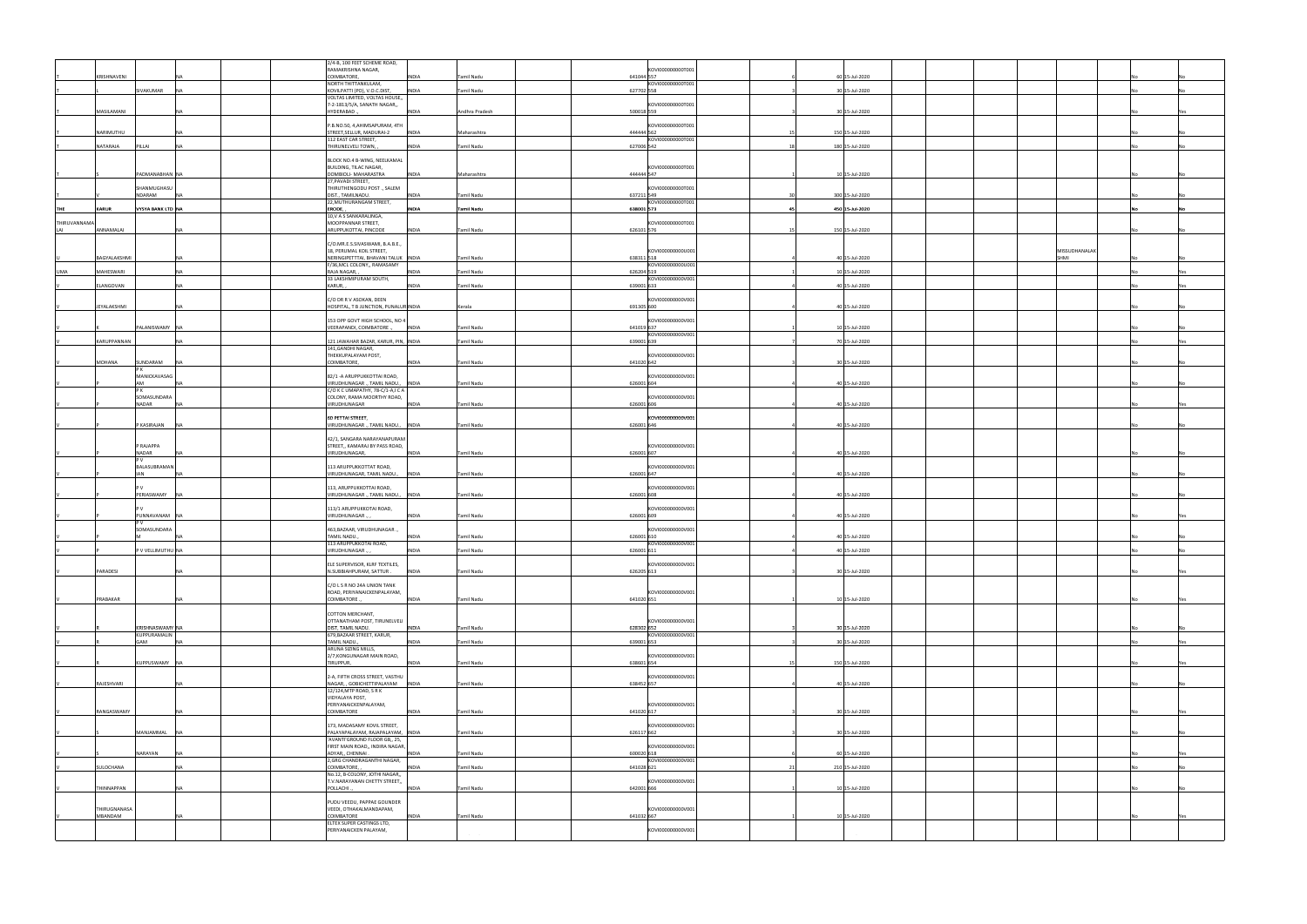|             |              |                                 | 2/4-B, 100 FEET SCHEME ROAD,                                      |              |                   |                                  |                 |                      |    |     |
|-------------|--------------|---------------------------------|-------------------------------------------------------------------|--------------|-------------------|----------------------------------|-----------------|----------------------|----|-----|
|             |              |                                 | RAMAKRISHNA NAGAR,                                                |              |                   | KOVI000000000T00                 |                 |                      |    |     |
|             | KRISHNAVENI  |                                 | COIMBATORE,<br>NORTH THITTANKULAM,                                | INDIA        | Tamil Nadu        | 641044 557<br>KOVI000000000T001  | 60 15-Jul-2020  |                      |    |     |
|             |              | SIVAKUMAR<br><b>NA</b>          | KOVILPATTI (PO), V.O.C.DIST,                                      | <b>INDIA</b> | Tamil Nadu        | 627702 558                       | 30 15-Jul-2020  |                      |    |     |
|             |              |                                 | VOLTAS LIMITED, VOLTAS HOUSE,,                                    |              |                   |                                  |                 |                      |    |     |
|             |              |                                 | 7-2-1813/5/A, SANATH NAGAR,,                                      |              |                   | KOVI000000000T001                |                 |                      |    |     |
|             | MASILAMANI   |                                 | HYDERABAD.                                                        | <b>INDIA</b> | Andhra Pradesh    | 500018 559                       | 30 15-Jul-2020  |                      |    |     |
|             |              |                                 | P.B.NO.50, 4, AHIMSAPURAM, 4TH                                    |              |                   | KOVI000000000T001                |                 |                      |    |     |
|             | NARIMUTHU    |                                 | STREET, SELLUR, MADURAI-2                                         | <b>INDIA</b> | Maharashtra       | 444444 562                       | 150 15-Jul-2020 |                      |    |     |
|             | NATARAJA     | PILLAI                          | 112 EAST CAR STREET,                                              | <b>INDIA</b> |                   | KOVI000000000T001<br>627006 542  | 180 15-Jul-2020 |                      |    |     |
|             |              | NΔ                              | THIRUNELVELI TOWN,                                                |              | Tamil Nadu        |                                  |                 |                      |    |     |
|             |              |                                 | BLOCK NO.4 B-WING, NEELKAMAL                                      |              |                   |                                  |                 |                      |    |     |
|             |              |                                 | BUILDING, TILAC NAGAR,                                            |              |                   | KOVI000000000T001                |                 |                      |    |     |
|             |              | PADMANABHAN NA                  | DOMBIOLI- MAHARASTRA<br>27, PAVADI STREET,                        | <b>INDIA</b> | Maharashtra       | 444444 547                       | 10 15-Jul-2020  |                      |    |     |
|             |              | HANMUGHASU                      | THIRUTHENGODU POST., SALEM                                        |              |                   | KOVI000000000T001                |                 |                      |    |     |
|             |              | NDARAM                          | DIST., TAMILNADU.                                                 | INDIA        | Tamil Nadu        | 637211 549                       | 300 15-Jul-2020 |                      |    |     |
| THE         | KARUR        | <b>VYSYA BANK LTD NA</b>        | 22, MUTHURANGAM STREET,<br>ERODE.                                 | <b>INDIA</b> | Tamil Nadu        | KOVI000000000T001<br>638001 573  | 450 15-Jul-2020 |                      | No |     |
|             |              |                                 | 10, V A S SANKARALINGA,                                           |              |                   |                                  |                 |                      |    |     |
| THIRUVANNAM |              |                                 | MOOPPANNAR STREET,                                                |              |                   | KOVI000000000T001                |                 |                      |    |     |
| LAI         | ANNAMALAI    |                                 | ARUPPUKOTTAI, PINCODE                                             | <b>INDIA</b> | Tamil Nadu        | 626101 576                       | 150 15-Jul-2020 |                      |    |     |
|             |              |                                 | C/O.MR.E.S.SIVASWAMI, B.A.B.E.,                                   |              |                   |                                  |                 |                      |    |     |
|             |              |                                 | 18, PERUMAL KOIL STREET,                                          |              |                   | KOVI000000000U001                |                 | <b>MISSUDHANALAI</b> |    |     |
|             | BAGYALAKSHMI |                                 | NERINGIPETTTAI, BHAVANI TALUK INDIA                               |              | Tamil Nadu        | 638311 518                       | 40 15-Jul-2020  | SHMI                 |    |     |
| <b>UMA</b>  | MAHESWARI    | NΔ                              | F/36, MCL COLONY,, RAMASAMY<br>RAJA NAGAR,                        | <b>INDIA</b> | Tamil Nadu        | KOVI00000000000001<br>626204 519 | 10 15-Jul-2020  |                      |    | Yes |
|             |              |                                 | 33 LAKSHMIPURAM SOUTH,                                            |              |                   | KOVI000000000V001                |                 |                      |    |     |
|             | ELANGOVAN    |                                 | KARUR,                                                            | <b>INDIA</b> | Tamil Nadu        | 639001 633                       | 40 15-Jul-2020  |                      |    | Yes |
|             |              |                                 | C/O DR R V ASOKAN, DEEN                                           |              |                   | KOVI000000000V001                |                 |                      |    |     |
|             | JEYALAKSHMI  |                                 | HOSPITAL, T B JUNCTION, PUNALUR INDIA                             |              | Kerala            | 691305 600                       | 40 15-Jul-2020  |                      |    |     |
|             |              |                                 |                                                                   |              |                   |                                  |                 |                      |    |     |
|             |              | PALANISWAMY NA                  | 153 OPP GOVT HIGH SCHOOL, NO 4<br>VEERAPANDI, COIMBATORE.,        | <b>INDIA</b> | Tamil Nadu        | KOVI000000000V001<br>641019 637  | 10 15-Jul-2020  |                      |    |     |
|             |              |                                 |                                                                   |              |                   | KOVI000000000V001                |                 |                      |    |     |
|             | KARUPPANNAN  |                                 | 121 JAWAHAR BAZAR, KARUR, PIN, INDIA                              |              | Tamil Nadu        | 639001 639                       | 70 15-Jul-2020  |                      |    |     |
|             |              |                                 | 141, GANDHI NAGAR,                                                |              |                   |                                  |                 |                      |    |     |
|             | MOHANA       | SUNDARAM                        | THEKKUPALAYAM POST,<br>COIMBATORE,                                | <b>INDIA</b> | Tamil Nadu        | KOVI000000000V001<br>641020 642  | 30 15-Jul-2020  |                      |    |     |
|             |              |                                 |                                                                   |              |                   |                                  |                 |                      |    |     |
|             |              | MANICKAVASAG<br>ΔM              | 82/1 - A ARUPPUKKOTTAI ROAD,<br>VIRUDHUNAGAR., TAMIL NADU., INDIA |              | <b>Tamil Nadu</b> | KOVI000000000V001<br>626001 604  | 40 15-Jul-2020  |                      |    |     |
|             |              | PK                              | C/O K C UMAPATHY, 78-C/1-A,I C A                                  |              |                   |                                  |                 |                      |    |     |
|             |              | SOMASUNDARA                     | COLONY, RAMA MOORTHY ROAD,                                        |              |                   | KOVI000000000V001                |                 |                      |    |     |
|             |              | NADAR                           | VIRUDHUNAGAR                                                      | <b>INDIA</b> | Tamil Nadu        | 626001 606                       | 40 15-Jul-2020  |                      |    |     |
|             |              |                                 | 60 PETTAI STREET,                                                 |              |                   | KOVI000000000V001                |                 |                      |    |     |
|             |              | P KASIRAJAN                     | VIRUDHUNAGAR., TAMIL NADU., INDIA                                 |              | Tamil Nadu        | 626001 646                       | 40 15-Jul-2020  |                      |    |     |
|             |              |                                 | 42/1, SANGARA NARAYANAPURAM                                       |              |                   |                                  |                 |                      |    |     |
|             |              | P RAJAPPA                       | STREET,, KAMARAJ BY PASS ROAD,                                    |              |                   | KOVI000000000V001                |                 |                      |    |     |
|             |              | NADAR                           | VIRUDHUNAGAR,                                                     | <b>INDIA</b> | Tamil Nadu        | 626001 607                       | 40 15-Jul-2020  |                      |    |     |
|             |              | BALASUBRAMAN                    | 113 ARUPPUKKOTTAT ROAD,                                           |              |                   | KOVI000000000V001                |                 |                      |    |     |
|             |              | <b>IAN</b>                      | VIRUDHUNAGAR, TAMIL NADU.,                                        | <b>INDIA</b> | Tamil Nadu        | 626001 647                       | 40 15-Jul-2020  |                      |    |     |
|             |              |                                 |                                                                   |              |                   |                                  |                 |                      |    |     |
|             |              | PERIASWAMY<br>INA               | 113, ARUPPUKKOTTAI ROAD,<br>VIRUDHUNAGAR ., TAMIL NADU., INDIA    |              | <b>Tamil Nadu</b> | KOVI000000000V001<br>626001 608  | 40 15-Jul-2020  |                      |    |     |
|             |              |                                 |                                                                   |              |                   |                                  |                 |                      |    |     |
|             |              |                                 | 113/1 ARUPPUKKOTAI ROAD,                                          |              |                   | KOVI000000000V001                |                 |                      |    |     |
|             |              | PUNNAVANAM                      | VIRUDHUNAGAR.                                                     | INDIA        | Tamil Nadu        | 626001 609                       | 40 15-Jul-2020  |                      |    |     |
|             |              | SOMASUNDARA                     | 463, BAZAAR, VIRUDHUNAGAR.,                                       |              |                   | KOVI000000000V001                |                 |                      |    |     |
|             |              |                                 | TAMIL NADU.,                                                      | <b>INDIA</b> | Tamil Nadu        | 626001 610                       | 40 15-Jul-2020  |                      |    |     |
|             |              | P V VELLIMUTHU   NA             | 113 ARUPPUKKOTAI ROAD,<br>VIRUDHUNAGAR                            | INDIA        | Tamil Nadu        | KOVI000000000V001<br>626001 611  |                 |                      |    |     |
|             |              |                                 |                                                                   |              |                   |                                  | 40 15-Jul-2020  |                      |    |     |
|             |              |                                 | ELE SUPERVISOR, KLRF TEXTILES,                                    |              |                   | KOVI000000000V001                |                 |                      |    |     |
|             | PARADESI     |                                 | N.SUBBIAHPURAM, SATTUR,                                           | <b>INDIA</b> | Tamil Nadu        | 626205 613                       | 30 15-Jul-2020  |                      |    |     |
|             |              |                                 | C/O L S R NO 24A UNION TANK                                       |              |                   |                                  |                 |                      |    |     |
|             |              |                                 | ROAD, PERIYANAICKENPALAYAM,                                       |              |                   | KOVI000000000V001                |                 |                      |    |     |
|             | PRABAKAR     |                                 | COIMBATORE.,                                                      | <b>INDIA</b> | Tamil Nadu        | 641020 651                       | 10 15-Jul-2020  |                      |    |     |
|             |              |                                 | COTTON MERCHANT,                                                  |              |                   |                                  |                 |                      |    |     |
|             |              |                                 | OTTANATHAM POST, TIRUNELVELI                                      |              |                   | KOVI000000000V001                |                 |                      |    |     |
|             |              | KRISHNASWAMY NA<br>KUPPURAMALIN | DIST, TAMIL NADU.<br>679, BAZAAR STREET, KARUR,                   | <b>INDIA</b> | Tamil Nadu        | 628302 652<br>KOVI000000000V001  | 30 15-Jul-2020  |                      |    |     |
|             |              | GAM                             | TAMIL NADU.,                                                      | <b>INDIA</b> | Tamil Nadu        | 639001 653                       | 30 15-Jul-2020  |                      |    | Yes |
|             |              |                                 | ARUNA SIZING MILLS,                                               |              |                   |                                  |                 |                      |    |     |
|             |              | KUPPUSWAMY NA                   | 2/7, KONGUNAGAR MAIN ROAD,<br>TIRUPPUR,                           | <b>INDIA</b> | Tamil Nadu        | KOVI000000000V001<br>638601 654  | 150 15-Jul-2020 |                      |    |     |
|             |              |                                 |                                                                   |              |                   |                                  |                 |                      |    |     |
|             |              |                                 | 2-A, FIFTH CROSS STREET, VASTHU                                   |              |                   | KOVI000000000V001                |                 |                      |    |     |
|             | RAJESHVARI   |                                 | NAGAR, , GOBICHETTIPALAYAM   INDIA<br>12/124, MTP ROAD, SRK       |              | Tamil Nadu        | 638452 657                       | 40 15-Jul-2020  |                      |    |     |
|             |              |                                 | VIDYALAYA POST,                                                   |              |                   |                                  |                 |                      |    |     |
|             |              |                                 | PERIYANAICKENPALAYAM,                                             |              |                   | KOVI000000000V001                |                 |                      |    |     |
|             | RANGASWAMY   |                                 | COIMBATORE                                                        | <b>INDIA</b> | Tamil Nadu        | 641020 617                       | 30 15-Jul-2020  |                      |    |     |
|             |              |                                 | 173, MADASAMY KOVIL STREET,                                       |              |                   | KOVI000000000V001                |                 |                      |    |     |
|             |              | MANJAMMAL                       | PALAYAPALAYAM, RAJAPALAYAM, INDIA                                 |              | Tamil Nadu        | 626117 662                       | 30 15-Jul-2020  |                      |    |     |
|             |              |                                 | 'AVANTI'GROUND FLOOR GB,, 25,<br>FIRST MAIN ROAD,, INDIRA NAGAR,  |              |                   | KOVI000000000V001                |                 |                      |    |     |
|             |              | NARAYAN<br>NA                   | ADYAR,, CHENNAI.                                                  | <b>INDIA</b> | Tamil Nadu        | 600020 618                       | 60 15-Jul-2020  |                      |    |     |
|             |              |                                 | 2, GRG CHANDRAGANTHI NAGAR,                                       |              |                   | KOVI000000000V001                |                 |                      |    |     |
|             | ULOCHANA     |                                 | COIMBATORE,<br>No.12, B-COLONY, JOTHI NAGAR,,                     | INDIA        | Tamil Nadu        | 641028 621                       | 210 15-Jul-2020 |                      |    |     |
|             |              |                                 | T.V.NARAYANAN CHETTY STREET,,                                     |              |                   | KOVI000000000V001                |                 |                      |    |     |
|             | THINNAPPAN   |                                 | POLLACHI.,                                                        | <b>INDIA</b> | Tamil Nadu        | 642001 666                       | 10 15-Jul-2020  |                      |    |     |
|             |              |                                 | PUDU VEEDU, PAPPAE GOUNDER                                        |              |                   |                                  |                 |                      |    |     |
|             | THIRUGNANASA |                                 | VEEDI, OTHAKALMANDAPAM,                                           |              |                   | KOVI000000000V001                |                 |                      |    |     |
|             | MBANDAM      |                                 | COIMBATORE                                                        | <b>INDIA</b> | <b>Tamil Nadu</b> | 641032 667                       | 10 15-Jul-2020  |                      |    | Yes |
|             |              |                                 | ELTEX SUPER CASTINGS LTD,<br>PERIYANAICKEN PALAYAM,               |              |                   | KOVI000000000V001                |                 |                      |    |     |
|             |              |                                 |                                                                   |              |                   |                                  |                 |                      |    |     |